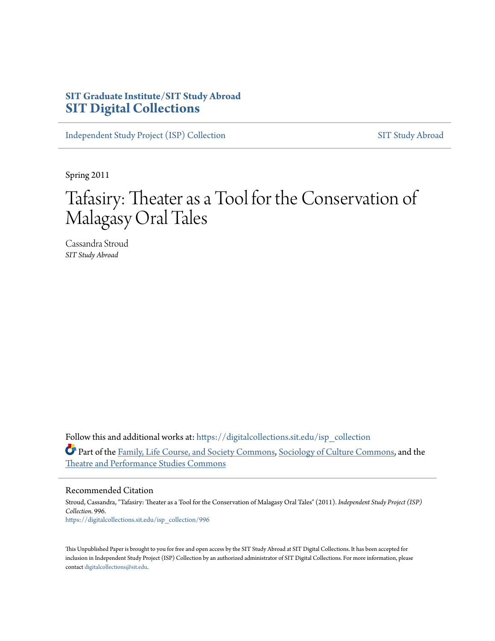## **SIT Graduate Institute/SIT Study Abroad [SIT Digital Collections](https://digitalcollections.sit.edu?utm_source=digitalcollections.sit.edu%2Fisp_collection%2F996&utm_medium=PDF&utm_campaign=PDFCoverPages)**

[Independent Study Project \(ISP\) Collection](https://digitalcollections.sit.edu/isp_collection?utm_source=digitalcollections.sit.edu%2Fisp_collection%2F996&utm_medium=PDF&utm_campaign=PDFCoverPages) [SIT Study Abroad](https://digitalcollections.sit.edu/study_abroad?utm_source=digitalcollections.sit.edu%2Fisp_collection%2F996&utm_medium=PDF&utm_campaign=PDFCoverPages)

Spring 2011

# Tafasiry: Theater as a Tool for the Conservation of Malagasy Oral Tales

Cassandra Stroud *SIT Study Abroad*

Follow this and additional works at: [https://digitalcollections.sit.edu/isp\\_collection](https://digitalcollections.sit.edu/isp_collection?utm_source=digitalcollections.sit.edu%2Fisp_collection%2F996&utm_medium=PDF&utm_campaign=PDFCoverPages) Part of the [Family, Life Course, and Society Commons](http://network.bepress.com/hgg/discipline/419?utm_source=digitalcollections.sit.edu%2Fisp_collection%2F996&utm_medium=PDF&utm_campaign=PDFCoverPages), [Sociology of Culture Commons,](http://network.bepress.com/hgg/discipline/431?utm_source=digitalcollections.sit.edu%2Fisp_collection%2F996&utm_medium=PDF&utm_campaign=PDFCoverPages) and the [Theatre and Performance Studies Commons](http://network.bepress.com/hgg/discipline/552?utm_source=digitalcollections.sit.edu%2Fisp_collection%2F996&utm_medium=PDF&utm_campaign=PDFCoverPages)

#### Recommended Citation

Stroud, Cassandra, "Tafasiry: Theater as a Tool for the Conservation of Malagasy Oral Tales" (2011). *Independent Study Project (ISP) Collection*. 996. [https://digitalcollections.sit.edu/isp\\_collection/996](https://digitalcollections.sit.edu/isp_collection/996?utm_source=digitalcollections.sit.edu%2Fisp_collection%2F996&utm_medium=PDF&utm_campaign=PDFCoverPages)

This Unpublished Paper is brought to you for free and open access by the SIT Study Abroad at SIT Digital Collections. It has been accepted for inclusion in Independent Study Project (ISP) Collection by an authorized administrator of SIT Digital Collections. For more information, please contact [digitalcollections@sit.edu](mailto:digitalcollections@sit.edu).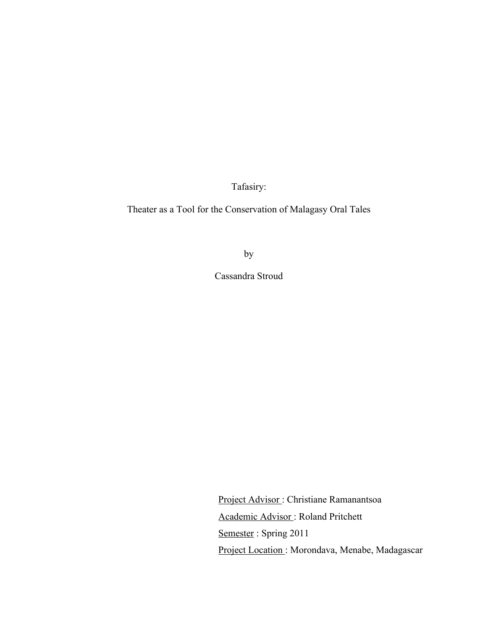Tafasiry:

Theater as a Tool for the Conservation of Malagasy Oral Tales

by

Cassandra Stroud

Project Advisor : Christiane Ramanantsoa Academic Advisor : Roland Pritchett Semester: Spring 2011 Project Location : Morondava, Menabe, Madagascar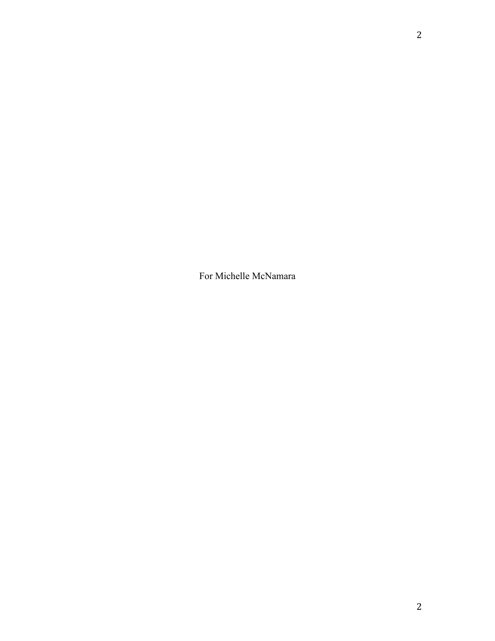For Michelle McNamara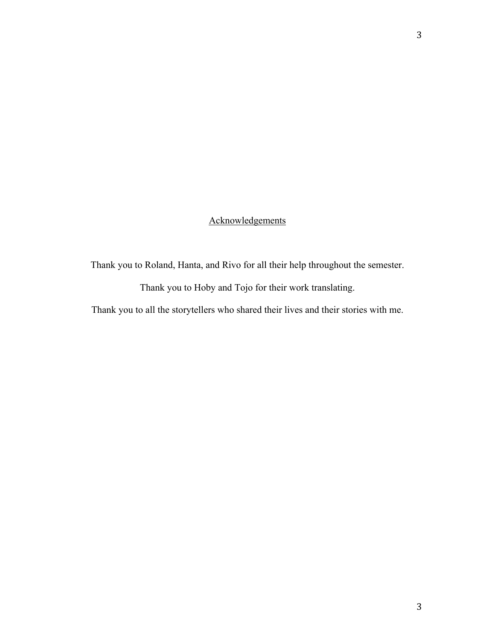## Acknowledgements

Thank you to Roland, Hanta, and Rivo for all their help throughout the semester.

Thank you to Hoby and Tojo for their work translating.

Thank you to all the storytellers who shared their lives and their stories with me.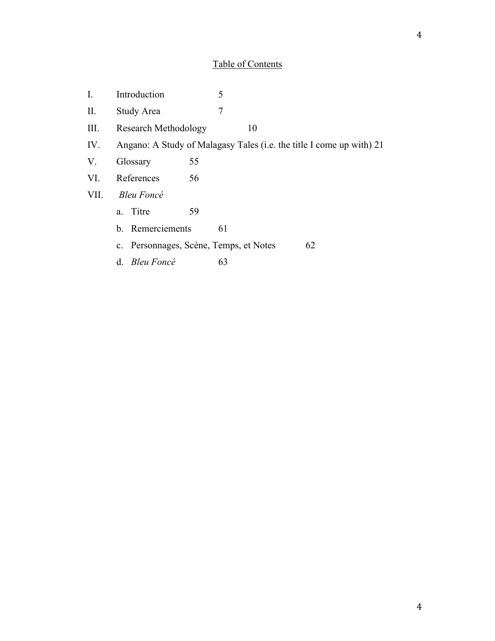## Table of Contents

| I.   | Introduction                                                         | 5                                      |    |
|------|----------------------------------------------------------------------|----------------------------------------|----|
| II.  | Study Area                                                           | 7                                      |    |
| Ш.   | <b>Research Methodology</b>                                          | 10                                     |    |
| IV.  | Angano: A Study of Malagasy Tales (i.e. the title I come up with) 21 |                                        |    |
| V.   | 55<br>Glossary                                                       |                                        |    |
| VI.  | References<br>56                                                     |                                        |    |
| VII. | <b>Bleu Foncé</b>                                                    |                                        |    |
|      | Titre<br>59<br>a.                                                    |                                        |    |
|      | b. Remerciements                                                     | 61                                     |    |
|      |                                                                      | c. Personnages, Scène, Temps, et Notes | 62 |
|      | d. Bleu Foncé                                                        | 63                                     |    |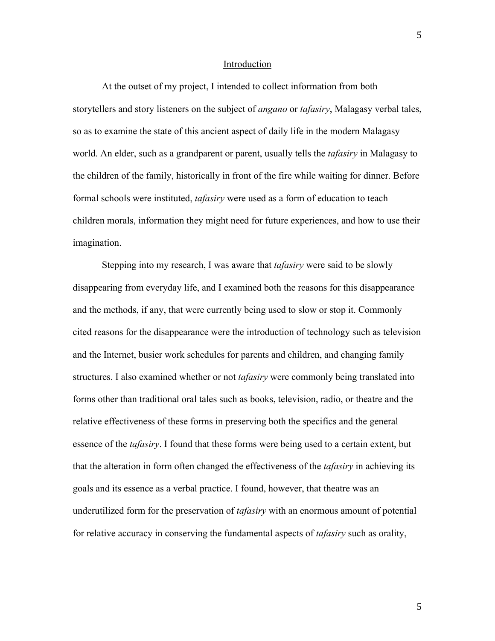#### Introduction

At the outset of my project, I intended to collect information from both storytellers and story listeners on the subject of *angano* or *tafasiry*, Malagasy verbal tales, so as to examine the state of this ancient aspect of daily life in the modern Malagasy world. An elder, such as a grandparent or parent, usually tells the *tafasiry* in Malagasy to the children of the family, historically in front of the fire while waiting for dinner. Before formal schools were instituted, *tafasiry* were used as a form of education to teach children morals, information they might need for future experiences, and how to use their imagination.

Stepping into my research, I was aware that *tafasiry* were said to be slowly disappearing from everyday life, and I examined both the reasons for this disappearance and the methods, if any, that were currently being used to slow or stop it. Commonly cited reasons for the disappearance were the introduction of technology such as television and the Internet, busier work schedules for parents and children, and changing family structures. I also examined whether or not *tafasiry* were commonly being translated into forms other than traditional oral tales such as books, television, radio, or theatre and the relative effectiveness of these forms in preserving both the specifics and the general essence of the *tafasiry*. I found that these forms were being used to a certain extent, but that the alteration in form often changed the effectiveness of the *tafasiry* in achieving its goals and its essence as a verbal practice. I found, however, that theatre was an underutilized form for the preservation of *tafasiry* with an enormous amount of potential for relative accuracy in conserving the fundamental aspects of *tafasiry* such as orality,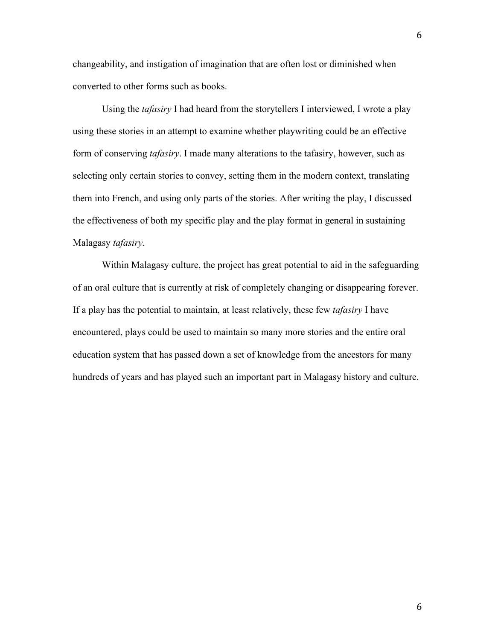changeability, and instigation of imagination that are often lost or diminished when converted to other forms such as books.

Using the *tafasiry* I had heard from the storytellers I interviewed, I wrote a play using these stories in an attempt to examine whether playwriting could be an effective form of conserving *tafasiry*. I made many alterations to the tafasiry, however, such as selecting only certain stories to convey, setting them in the modern context, translating them into French, and using only parts of the stories. After writing the play, I discussed the effectiveness of both my specific play and the play format in general in sustaining Malagasy *tafasiry*.

Within Malagasy culture, the project has great potential to aid in the safeguarding of an oral culture that is currently at risk of completely changing or disappearing forever. If a play has the potential to maintain, at least relatively, these few *tafasiry* I have encountered, plays could be used to maintain so many more stories and the entire oral education system that has passed down a set of knowledge from the ancestors for many hundreds of years and has played such an important part in Malagasy history and culture.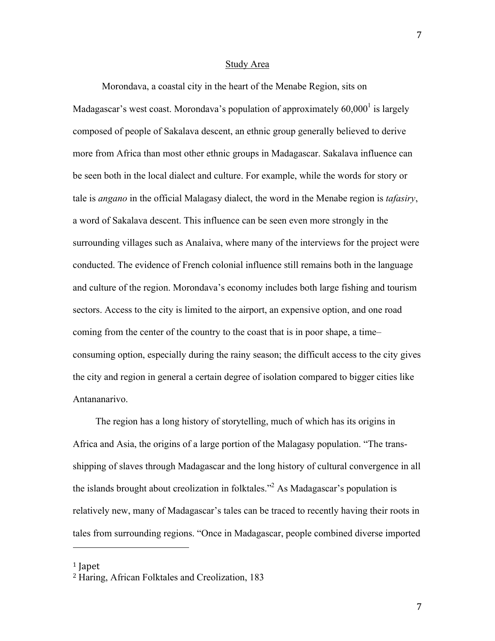#### Study Area

Morondava, a coastal city in the heart of the Menabe Region, sits on Madagascar's west coast. Morondava's population of approximately  $60,000<sup>1</sup>$  is largely composed of people of Sakalava descent, an ethnic group generally believed to derive more from Africa than most other ethnic groups in Madagascar. Sakalava influence can be seen both in the local dialect and culture. For example, while the words for story or tale is *angano* in the official Malagasy dialect, the word in the Menabe region is *tafasiry*, a word of Sakalava descent. This influence can be seen even more strongly in the surrounding villages such as Analaiva, where many of the interviews for the project were conducted. The evidence of French colonial influence still remains both in the language and culture of the region. Morondava's economy includes both large fishing and tourism sectors. Access to the city is limited to the airport, an expensive option, and one road coming from the center of the country to the coast that is in poor shape, a time– consuming option, especially during the rainy season; the difficult access to the city gives the city and region in general a certain degree of isolation compared to bigger cities like Antananarivo.

The region has a long history of storytelling, much of which has its origins in Africa and Asia, the origins of a large portion of the Malagasy population. "The transshipping of slaves through Madagascar and the long history of cultural convergence in all the islands brought about creolization in folktales."<sup>2</sup> As Madagascar's population is relatively new, many of Madagascar's tales can be traced to recently having their roots in tales from surrounding regions. "Once in Madagascar, people combined diverse imported

<sup>1</sup> Japet

<sup>2</sup> Haring, African Folktales and Creolization, 183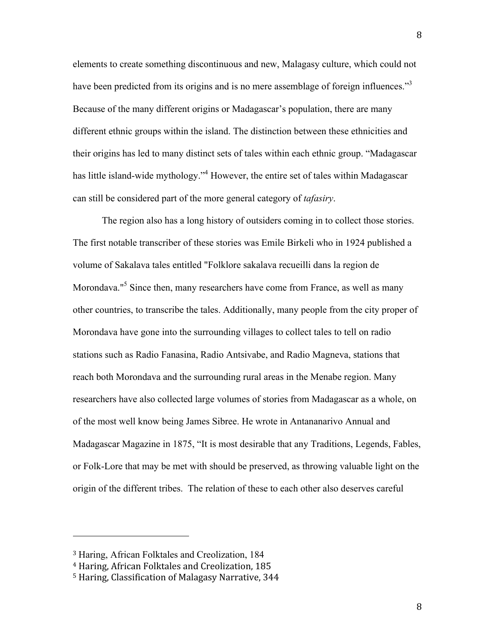elements to create something discontinuous and new, Malagasy culture, which could not have been predicted from its origins and is no mere assemblage of foreign influences."<sup>3</sup> Because of the many different origins or Madagascar's population, there are many different ethnic groups within the island. The distinction between these ethnicities and their origins has led to many distinct sets of tales within each ethnic group. "Madagascar has little island-wide mythology."<sup>4</sup> However, the entire set of tales within Madagascar can still be considered part of the more general category of *tafasiry*.

The region also has a long history of outsiders coming in to collect those stories. The first notable transcriber of these stories was Emile Birkeli who in 1924 published a volume of Sakalava tales entitled "Folklore sakalava recueilli dans la region de Morondava."<sup>5</sup> Since then, many researchers have come from France, as well as many other countries, to transcribe the tales. Additionally, many people from the city proper of Morondava have gone into the surrounding villages to collect tales to tell on radio stations such as Radio Fanasina, Radio Antsivabe, and Radio Magneva, stations that reach both Morondava and the surrounding rural areas in the Menabe region. Many researchers have also collected large volumes of stories from Madagascar as a whole, on of the most well know being James Sibree. He wrote in Antananarivo Annual and Madagascar Magazine in 1875, "It is most desirable that any Traditions, Legends, Fables, or Folk-Lore that may be met with should be preserved, as throwing valuable light on the origin of the different tribes. The relation of these to each other also deserves careful

<sup>3</sup> Haring, African Folktales and Creolization, 184

<sup>4</sup> Haring, African Folktales and Creolization, 185

<sup>5</sup> Haring, Classification of Malagasy Narrative, 344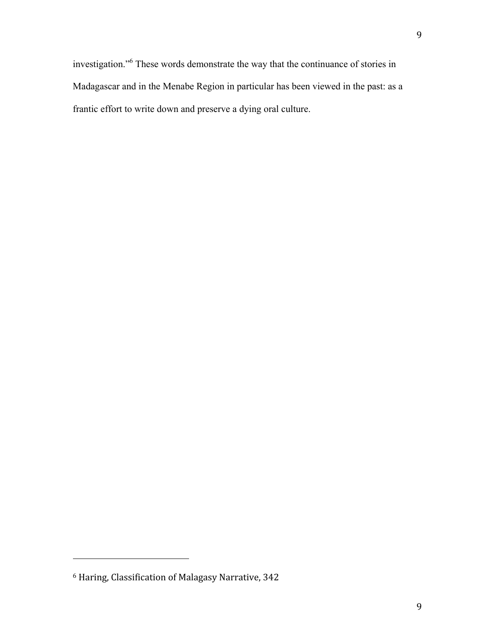investigation."6 These words demonstrate the way that the continuance of stories in Madagascar and in the Menabe Region in particular has been viewed in the past: as a frantic effort to write down and preserve a dying oral culture.

<sup>6</sup> Haring, Classification of Malagasy Narrative, 342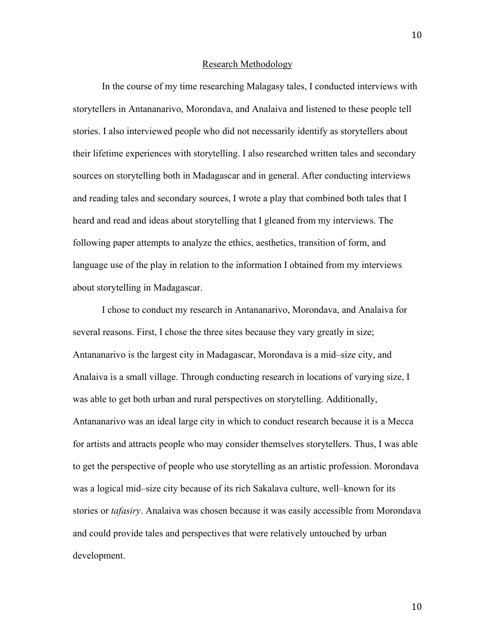#### Research Methodology

In the course of my time researching Malagasy tales, I conducted interviews with storytellers in Antananarivo, Morondava, and Analaiva and listened to these people tell stories. I also interviewed people who did not necessarily identify as storytellers about their lifetime experiences with storytelling. I also researched written tales and secondary sources on storytelling both in Madagascar and in general. After conducting interviews and reading tales and secondary sources, I wrote a play that combined both tales that I heard and read and ideas about storytelling that I gleaned from my interviews. The following paper attempts to analyze the ethics, aesthetics, transition of form, and language use of the play in relation to the information I obtained from my interviews about storytelling in Madagascar.

I chose to conduct my research in Antananarivo, Morondava, and Analaiva for several reasons. First, I chose the three sites because they vary greatly in size; Antananarivo is the largest city in Madagascar, Morondava is a mid–size city, and Analaiva is a small village. Through conducting research in locations of varying size, I was able to get both urban and rural perspectives on storytelling. Additionally, Antananarivo was an ideal large city in which to conduct research because it is a Mecca for artists and attracts people who may consider themselves storytellers. Thus, I was able to get the perspective of people who use storytelling as an artistic profession. Morondava was a logical mid–size city because of its rich Sakalava culture, well–known for its stories or *tafasiry*. Analaiva was chosen because it was easily accessible from Morondava and could provide tales and perspectives that were relatively untouched by urban development.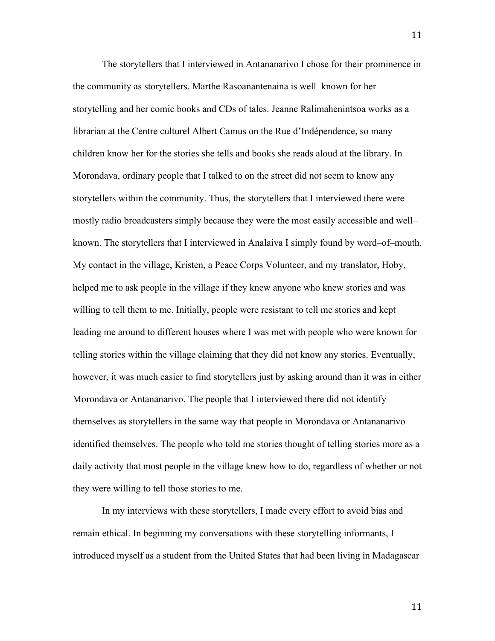The storytellers that I interviewed in Antananarivo I chose for their prominence in the community as storytellers. Marthe Rasoanantenaina is well–known for her storytelling and her comic books and CDs of tales. Jeanne Ralimahenintsoa works as a librarian at the Centre culturel Albert Camus on the Rue d'Indépendence, so many children know her for the stories she tells and books she reads aloud at the library. In Morondava, ordinary people that I talked to on the street did not seem to know any storytellers within the community. Thus, the storytellers that I interviewed there were mostly radio broadcasters simply because they were the most easily accessible and well– known. The storytellers that I interviewed in Analaiva I simply found by word–of–mouth. My contact in the village, Kristen, a Peace Corps Volunteer, and my translator, Hoby, helped me to ask people in the village if they knew anyone who knew stories and was willing to tell them to me. Initially, people were resistant to tell me stories and kept leading me around to different houses where I was met with people who were known for telling stories within the village claiming that they did not know any stories. Eventually, however, it was much easier to find storytellers just by asking around than it was in either Morondava or Antananarivo. The people that I interviewed there did not identify themselves as storytellers in the same way that people in Morondava or Antananarivo identified themselves. The people who told me stories thought of telling stories more as a daily activity that most people in the village knew how to do, regardless of whether or not they were willing to tell those stories to me.

In my interviews with these storytellers, I made every effort to avoid bias and remain ethical. In beginning my conversations with these storytelling informants, I introduced myself as a student from the United States that had been living in Madagascar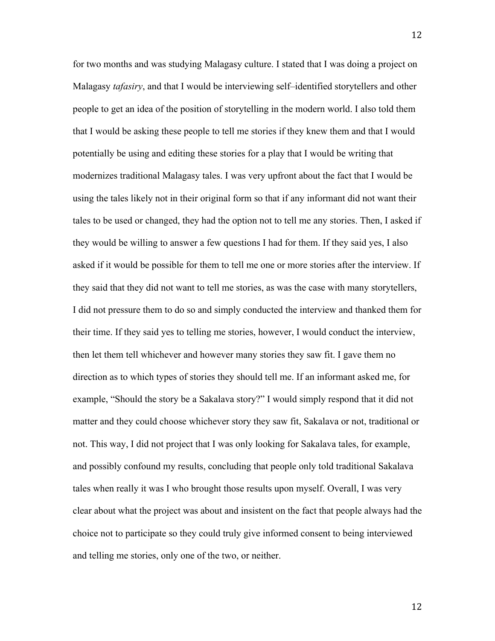for two months and was studying Malagasy culture. I stated that I was doing a project on Malagasy *tafasiry*, and that I would be interviewing self–identified storytellers and other people to get an idea of the position of storytelling in the modern world. I also told them that I would be asking these people to tell me stories if they knew them and that I would potentially be using and editing these stories for a play that I would be writing that modernizes traditional Malagasy tales. I was very upfront about the fact that I would be using the tales likely not in their original form so that if any informant did not want their tales to be used or changed, they had the option not to tell me any stories. Then, I asked if they would be willing to answer a few questions I had for them. If they said yes, I also asked if it would be possible for them to tell me one or more stories after the interview. If they said that they did not want to tell me stories, as was the case with many storytellers, I did not pressure them to do so and simply conducted the interview and thanked them for their time. If they said yes to telling me stories, however, I would conduct the interview, then let them tell whichever and however many stories they saw fit. I gave them no direction as to which types of stories they should tell me. If an informant asked me, for example, "Should the story be a Sakalava story?" I would simply respond that it did not matter and they could choose whichever story they saw fit, Sakalava or not, traditional or not. This way, I did not project that I was only looking for Sakalava tales, for example, and possibly confound my results, concluding that people only told traditional Sakalava tales when really it was I who brought those results upon myself. Overall, I was very clear about what the project was about and insistent on the fact that people always had the choice not to participate so they could truly give informed consent to being interviewed and telling me stories, only one of the two, or neither.

12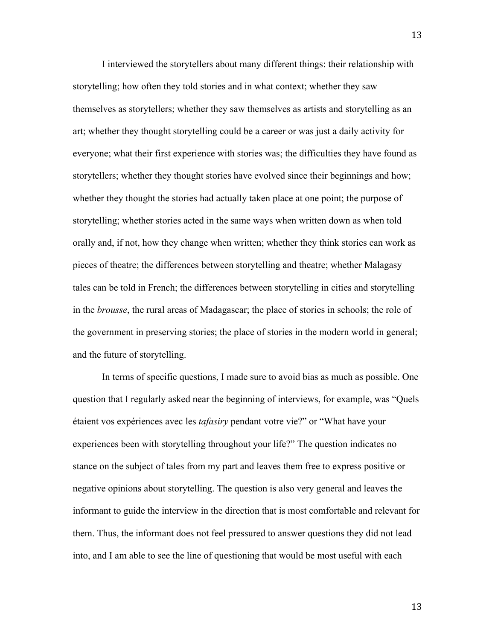I interviewed the storytellers about many different things: their relationship with storytelling; how often they told stories and in what context; whether they saw themselves as storytellers; whether they saw themselves as artists and storytelling as an art; whether they thought storytelling could be a career or was just a daily activity for everyone; what their first experience with stories was; the difficulties they have found as storytellers; whether they thought stories have evolved since their beginnings and how; whether they thought the stories had actually taken place at one point; the purpose of storytelling; whether stories acted in the same ways when written down as when told orally and, if not, how they change when written; whether they think stories can work as pieces of theatre; the differences between storytelling and theatre; whether Malagasy tales can be told in French; the differences between storytelling in cities and storytelling in the *brousse*, the rural areas of Madagascar; the place of stories in schools; the role of the government in preserving stories; the place of stories in the modern world in general; and the future of storytelling.

In terms of specific questions, I made sure to avoid bias as much as possible. One question that I regularly asked near the beginning of interviews, for example, was "Quels étaient vos expériences avec les *tafasiry* pendant votre vie?" or "What have your experiences been with storytelling throughout your life?" The question indicates no stance on the subject of tales from my part and leaves them free to express positive or negative opinions about storytelling. The question is also very general and leaves the informant to guide the interview in the direction that is most comfortable and relevant for them. Thus, the informant does not feel pressured to answer questions they did not lead into, and I am able to see the line of questioning that would be most useful with each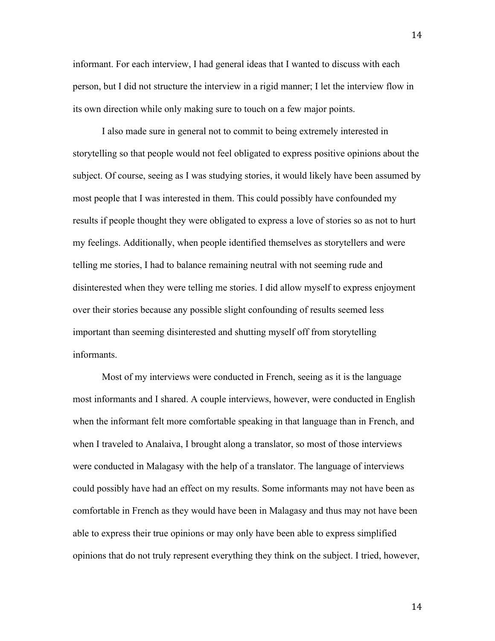informant. For each interview, I had general ideas that I wanted to discuss with each person, but I did not structure the interview in a rigid manner; I let the interview flow in its own direction while only making sure to touch on a few major points.

I also made sure in general not to commit to being extremely interested in storytelling so that people would not feel obligated to express positive opinions about the subject. Of course, seeing as I was studying stories, it would likely have been assumed by most people that I was interested in them. This could possibly have confounded my results if people thought they were obligated to express a love of stories so as not to hurt my feelings. Additionally, when people identified themselves as storytellers and were telling me stories, I had to balance remaining neutral with not seeming rude and disinterested when they were telling me stories. I did allow myself to express enjoyment over their stories because any possible slight confounding of results seemed less important than seeming disinterested and shutting myself off from storytelling informants.

Most of my interviews were conducted in French, seeing as it is the language most informants and I shared. A couple interviews, however, were conducted in English when the informant felt more comfortable speaking in that language than in French, and when I traveled to Analaiva, I brought along a translator, so most of those interviews were conducted in Malagasy with the help of a translator. The language of interviews could possibly have had an effect on my results. Some informants may not have been as comfortable in French as they would have been in Malagasy and thus may not have been able to express their true opinions or may only have been able to express simplified opinions that do not truly represent everything they think on the subject. I tried, however,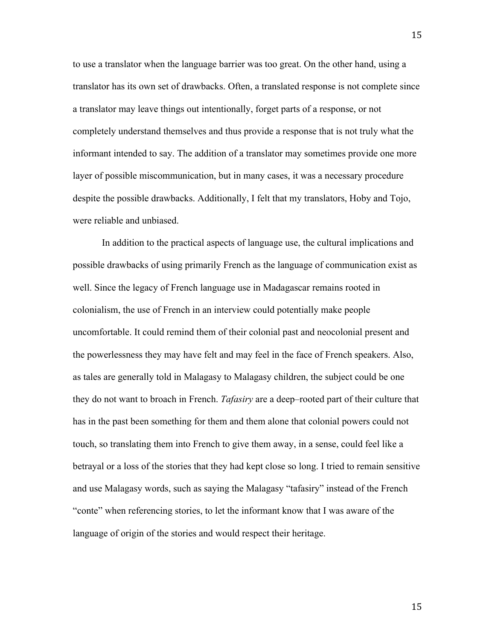to use a translator when the language barrier was too great. On the other hand, using a translator has its own set of drawbacks. Often, a translated response is not complete since a translator may leave things out intentionally, forget parts of a response, or not completely understand themselves and thus provide a response that is not truly what the informant intended to say. The addition of a translator may sometimes provide one more layer of possible miscommunication, but in many cases, it was a necessary procedure despite the possible drawbacks. Additionally, I felt that my translators, Hoby and Tojo, were reliable and unbiased.

In addition to the practical aspects of language use, the cultural implications and possible drawbacks of using primarily French as the language of communication exist as well. Since the legacy of French language use in Madagascar remains rooted in colonialism, the use of French in an interview could potentially make people uncomfortable. It could remind them of their colonial past and neocolonial present and the powerlessness they may have felt and may feel in the face of French speakers. Also, as tales are generally told in Malagasy to Malagasy children, the subject could be one they do not want to broach in French. *Tafasiry* are a deep–rooted part of their culture that has in the past been something for them and them alone that colonial powers could not touch, so translating them into French to give them away, in a sense, could feel like a betrayal or a loss of the stories that they had kept close so long. I tried to remain sensitive and use Malagasy words, such as saying the Malagasy "tafasiry" instead of the French "conte" when referencing stories, to let the informant know that I was aware of the language of origin of the stories and would respect their heritage.

15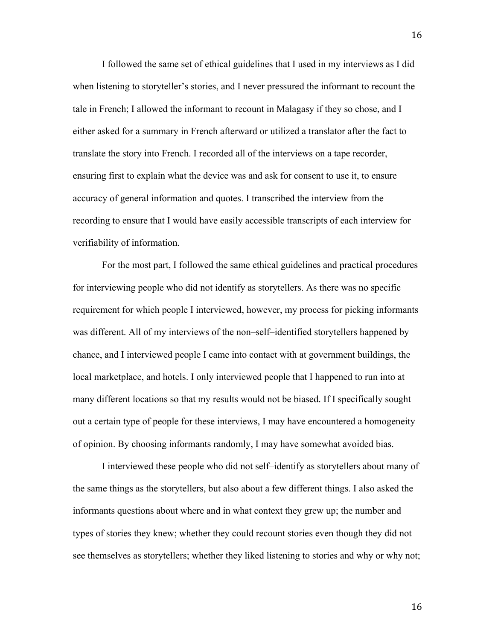I followed the same set of ethical guidelines that I used in my interviews as I did when listening to storyteller's stories, and I never pressured the informant to recount the tale in French; I allowed the informant to recount in Malagasy if they so chose, and I either asked for a summary in French afterward or utilized a translator after the fact to translate the story into French. I recorded all of the interviews on a tape recorder, ensuring first to explain what the device was and ask for consent to use it, to ensure accuracy of general information and quotes. I transcribed the interview from the recording to ensure that I would have easily accessible transcripts of each interview for verifiability of information.

For the most part, I followed the same ethical guidelines and practical procedures for interviewing people who did not identify as storytellers. As there was no specific requirement for which people I interviewed, however, my process for picking informants was different. All of my interviews of the non–self–identified storytellers happened by chance, and I interviewed people I came into contact with at government buildings, the local marketplace, and hotels. I only interviewed people that I happened to run into at many different locations so that my results would not be biased. If I specifically sought out a certain type of people for these interviews, I may have encountered a homogeneity of opinion. By choosing informants randomly, I may have somewhat avoided bias.

I interviewed these people who did not self–identify as storytellers about many of the same things as the storytellers, but also about a few different things. I also asked the informants questions about where and in what context they grew up; the number and types of stories they knew; whether they could recount stories even though they did not see themselves as storytellers; whether they liked listening to stories and why or why not;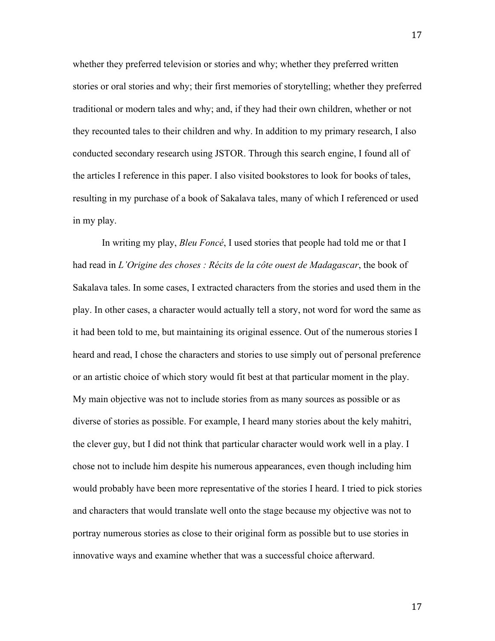whether they preferred television or stories and why; whether they preferred written stories or oral stories and why; their first memories of storytelling; whether they preferred traditional or modern tales and why; and, if they had their own children, whether or not they recounted tales to their children and why. In addition to my primary research, I also conducted secondary research using JSTOR. Through this search engine, I found all of the articles I reference in this paper. I also visited bookstores to look for books of tales, resulting in my purchase of a book of Sakalava tales, many of which I referenced or used in my play.

In writing my play, *Bleu Foncé*, I used stories that people had told me or that I had read in *L'Origine des choses : Récits de la côte ouest de Madagascar*, the book of Sakalava tales. In some cases, I extracted characters from the stories and used them in the play. In other cases, a character would actually tell a story, not word for word the same as it had been told to me, but maintaining its original essence. Out of the numerous stories I heard and read, I chose the characters and stories to use simply out of personal preference or an artistic choice of which story would fit best at that particular moment in the play. My main objective was not to include stories from as many sources as possible or as diverse of stories as possible. For example, I heard many stories about the kely mahitri, the clever guy, but I did not think that particular character would work well in a play. I chose not to include him despite his numerous appearances, even though including him would probably have been more representative of the stories I heard. I tried to pick stories and characters that would translate well onto the stage because my objective was not to portray numerous stories as close to their original form as possible but to use stories in innovative ways and examine whether that was a successful choice afterward.

17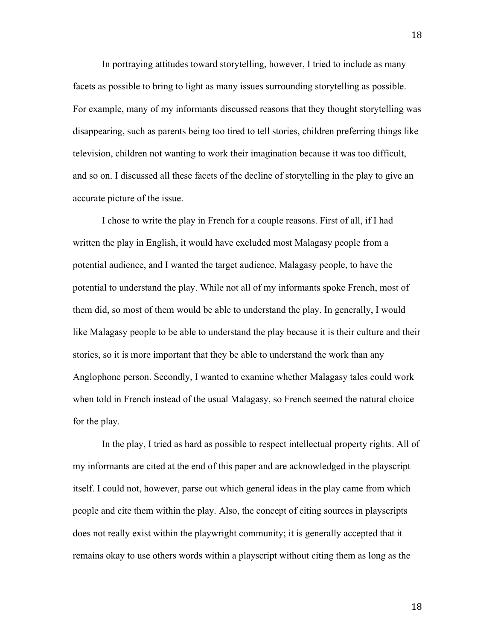In portraying attitudes toward storytelling, however, I tried to include as many facets as possible to bring to light as many issues surrounding storytelling as possible. For example, many of my informants discussed reasons that they thought storytelling was disappearing, such as parents being too tired to tell stories, children preferring things like television, children not wanting to work their imagination because it was too difficult, and so on. I discussed all these facets of the decline of storytelling in the play to give an accurate picture of the issue.

I chose to write the play in French for a couple reasons. First of all, if I had written the play in English, it would have excluded most Malagasy people from a potential audience, and I wanted the target audience, Malagasy people, to have the potential to understand the play. While not all of my informants spoke French, most of them did, so most of them would be able to understand the play. In generally, I would like Malagasy people to be able to understand the play because it is their culture and their stories, so it is more important that they be able to understand the work than any Anglophone person. Secondly, I wanted to examine whether Malagasy tales could work when told in French instead of the usual Malagasy, so French seemed the natural choice for the play.

In the play, I tried as hard as possible to respect intellectual property rights. All of my informants are cited at the end of this paper and are acknowledged in the playscript itself. I could not, however, parse out which general ideas in the play came from which people and cite them within the play. Also, the concept of citing sources in playscripts does not really exist within the playwright community; it is generally accepted that it remains okay to use others words within a playscript without citing them as long as the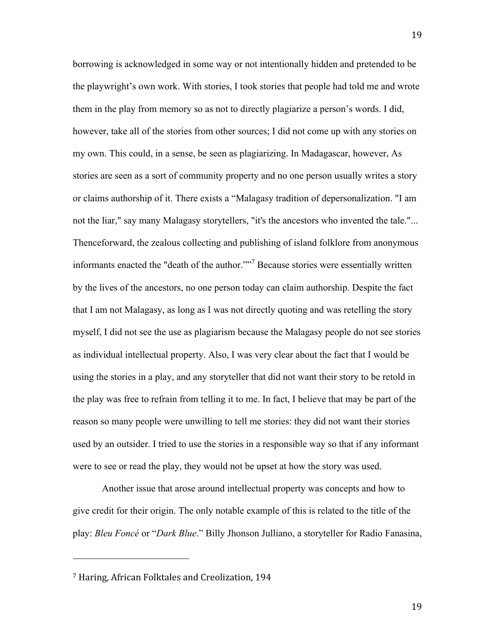borrowing is acknowledged in some way or not intentionally hidden and pretended to be the playwright's own work. With stories, I took stories that people had told me and wrote them in the play from memory so as not to directly plagiarize a person's words. I did, however, take all of the stories from other sources; I did not come up with any stories on my own. This could, in a sense, be seen as plagiarizing. In Madagascar, however, As stories are seen as a sort of community property and no one person usually writes a story or claims authorship of it. There exists a "Malagasy tradition of depersonalization. "I am not the liar," say many Malagasy storytellers, "it's the ancestors who invented the tale."... Thenceforward, the zealous collecting and publishing of island folklore from anonymous informants enacted the "death of the author."<sup>"7</sup> Because stories were essentially written by the lives of the ancestors, no one person today can claim authorship. Despite the fact that I am not Malagasy, as long as I was not directly quoting and was retelling the story myself, I did not see the use as plagiarism because the Malagasy people do not see stories as individual intellectual property. Also, I was very clear about the fact that I would be using the stories in a play, and any storyteller that did not want their story to be retold in the play was free to refrain from telling it to me. In fact, I believe that may be part of the reason so many people were unwilling to tell me stories: they did not want their stories used by an outsider. I tried to use the stories in a responsible way so that if any informant were to see or read the play, they would not be upset at how the story was used.

Another issue that arose around intellectual property was concepts and how to give credit for their origin. The only notable example of this is related to the title of the play: *Bleu Foncé* or "*Dark Blue*." Billy Jhonson Julliano, a storyteller for Radio Fanasina,

<sup>7</sup> Haring, African Folktales and Creolization, 194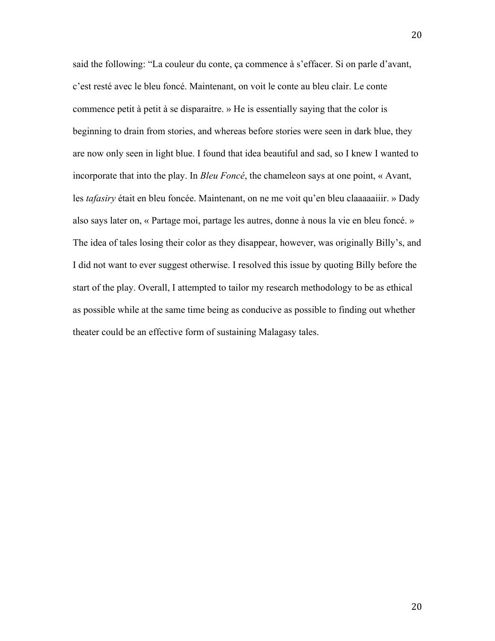said the following: "La couleur du conte, ça commence à s'effacer. Si on parle d'avant, c'est resté avec le bleu foncé. Maintenant, on voit le conte au bleu clair. Le conte commence petit à petit à se disparaitre. » He is essentially saying that the color is beginning to drain from stories, and whereas before stories were seen in dark blue, they are now only seen in light blue. I found that idea beautiful and sad, so I knew I wanted to incorporate that into the play. In *Bleu Foncé*, the chameleon says at one point, « Avant, les *tafasiry* était en bleu foncée. Maintenant, on ne me voit qu'en bleu claaaaaiiir. » Dady also says later on, « Partage moi, partage les autres, donne à nous la vie en bleu foncé. » The idea of tales losing their color as they disappear, however, was originally Billy's, and I did not want to ever suggest otherwise. I resolved this issue by quoting Billy before the start of the play. Overall, I attempted to tailor my research methodology to be as ethical as possible while at the same time being as conducive as possible to finding out whether theater could be an effective form of sustaining Malagasy tales.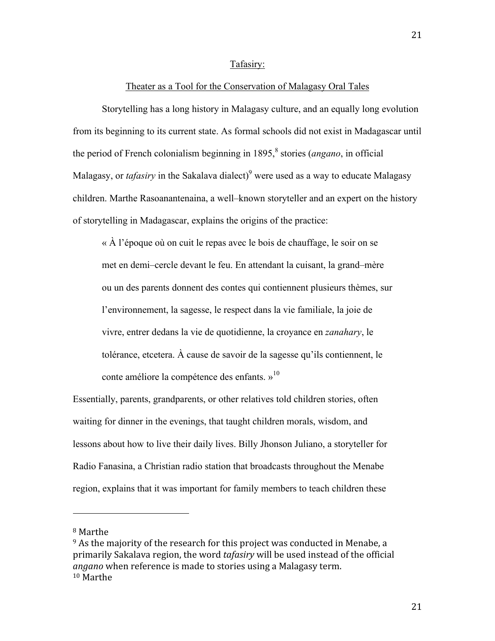#### Tafasiry:

#### Theater as a Tool for the Conservation of Malagasy Oral Tales

Storytelling has a long history in Malagasy culture, and an equally long evolution from its beginning to its current state. As formal schools did not exist in Madagascar until the period of French colonialism beginning in 1895, 8 stories (*angano*, in official Malagasy, or *tafasiry* in the Sakalava dialect)<sup>9</sup> were used as a way to educate Malagasy children. Marthe Rasoanantenaina, a well–known storyteller and an expert on the history of storytelling in Madagascar, explains the origins of the practice:

« À l'époque où on cuit le repas avec le bois de chauffage, le soir on se met en demi–cercle devant le feu. En attendant la cuisant, la grand–mère ou un des parents donnent des contes qui contiennent plusieurs thèmes, sur l'environnement, la sagesse, le respect dans la vie familiale, la joie de vivre, entrer dedans la vie de quotidienne, la croyance en *zanahary*, le tolérance, etcetera. À cause de savoir de la sagesse qu'ils contiennent, le conte améliore la compétence des enfants.  $v^{10}$ 

Essentially, parents, grandparents, or other relatives told children stories, often waiting for dinner in the evenings, that taught children morals, wisdom, and lessons about how to live their daily lives. Billy Jhonson Juliano, a storyteller for Radio Fanasina, a Christian radio station that broadcasts throughout the Menabe region, explains that it was important for family members to teach children these

<sup>8</sup> Marthe

 $9$  As the majority of the research for this project was conducted in Menabe, a primarily Sakalava region, the word *tafasiry* will be used instead of the official *angano* when reference is made to stories using a Malagasy term. 10 Marthe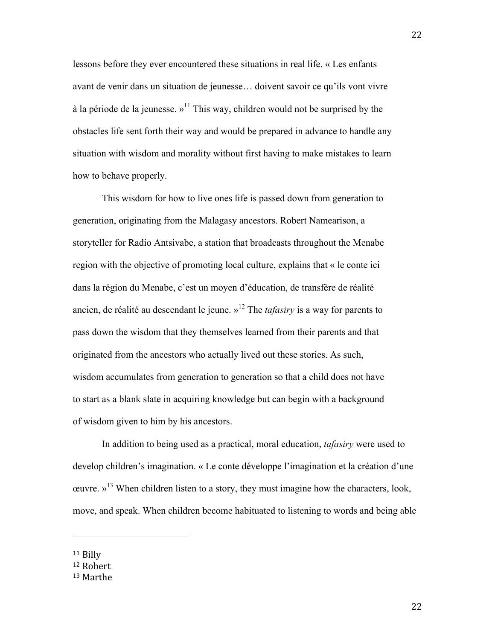lessons before they ever encountered these situations in real life. « Les enfants avant de venir dans un situation de jeunesse… doivent savoir ce qu'ils vont vivre à la période de la jeunesse. »<sup>11</sup> This way, children would not be surprised by the obstacles life sent forth their way and would be prepared in advance to handle any situation with wisdom and morality without first having to make mistakes to learn how to behave properly.

This wisdom for how to live ones life is passed down from generation to generation, originating from the Malagasy ancestors. Robert Namearison, a storyteller for Radio Antsivabe, a station that broadcasts throughout the Menabe region with the objective of promoting local culture, explains that « le conte ici dans la région du Menabe, c'est un moyen d'éducation, de transfère de réalité ancien, de réalité au descendant le jeune. » <sup>12</sup> The *tafasiry* is a way for parents to pass down the wisdom that they themselves learned from their parents and that originated from the ancestors who actually lived out these stories. As such, wisdom accumulates from generation to generation so that a child does not have to start as a blank slate in acquiring knowledge but can begin with a background of wisdom given to him by his ancestors.

In addition to being used as a practical, moral education, *tafasiry* were used to develop children's imagination. « Le conte développe l'imagination et la création d'une ceuvre.  $v^{13}$  When children listen to a story, they must imagine how the characters, look, move, and speak. When children become habituated to listening to words and being able

11 Billy

<sup>12</sup> Robert

<sup>13</sup> Marthe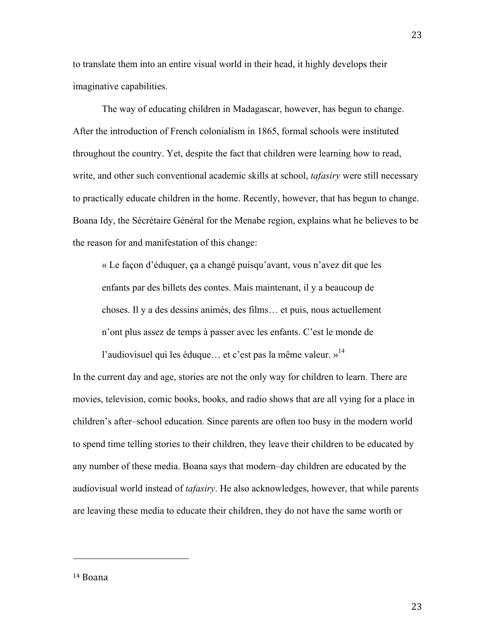to translate them into an entire visual world in their head, it highly develops their imaginative capabilities.

The way of educating children in Madagascar, however, has begun to change. After the introduction of French colonialism in 1865, formal schools were instituted throughout the country. Yet, despite the fact that children were learning how to read, write, and other such conventional academic skills at school, *tafasiry* were still necessary to practically educate children in the home. Recently, however, that has begun to change. Boana Idy, the Sécrétaire Général for the Menabe region, explains what he believes to be the reason for and manifestation of this change:

« Le façon d'éduquer, ça a changé puisqu'avant, vous n'avez dit que les enfants par des billets des contes. Mais maintenant, il y a beaucoup de choses. Il y a des dessins animés, des films… et puis, nous actuellement n'ont plus assez de temps à passer avec les enfants. C'est le monde de

l'audiovisuel qui les éduque... et c'est pas la même valeur. »<sup>14</sup> In the current day and age, stories are not the only way for children to learn. There are movies, television, comic books, books, and radio shows that are all vying for a place in children's after–school education. Since parents are often too busy in the modern world to spend time telling stories to their children, they leave their children to be educated by any number of these media. Boana says that modern–day children are educated by the audiovisual world instead of *tafasiry*. He also acknowledges, however, that while parents are leaving these media to educate their children, they do not have the same worth or

14 Boana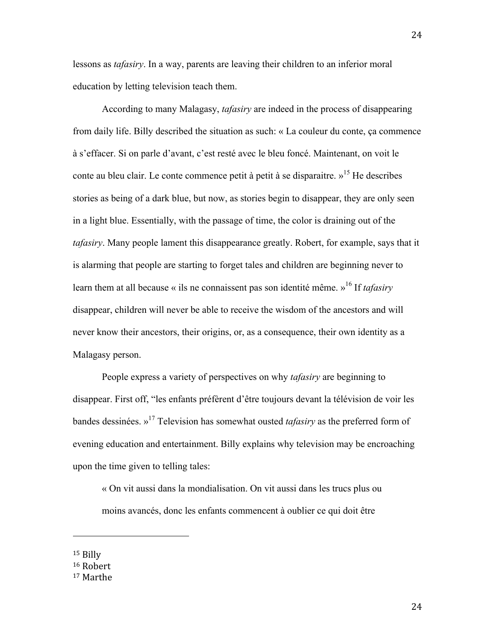lessons as *tafasiry*. In a way, parents are leaving their children to an inferior moral education by letting television teach them.

According to many Malagasy, *tafasiry* are indeed in the process of disappearing from daily life. Billy described the situation as such: « La couleur du conte, ça commence à s'effacer. Si on parle d'avant, c'est resté avec le bleu foncé. Maintenant, on voit le conte au bleu clair. Le conte commence petit à petit à se disparaitre.  $v^{15}$  He describes stories as being of a dark blue, but now, as stories begin to disappear, they are only seen in a light blue. Essentially, with the passage of time, the color is draining out of the *tafasiry*. Many people lament this disappearance greatly. Robert, for example, says that it is alarming that people are starting to forget tales and children are beginning never to learn them at all because « ils ne connaissent pas son identité même. »16 If *tafasiry* disappear, children will never be able to receive the wisdom of the ancestors and will never know their ancestors, their origins, or, as a consequence, their own identity as a Malagasy person.

People express a variety of perspectives on why *tafasiry* are beginning to disappear. First off, "les enfants préfèrent d'être toujours devant la télévision de voir les bandes dessinées. »17 Television has somewhat ousted *tafasiry* as the preferred form of evening education and entertainment. Billy explains why television may be encroaching upon the time given to telling tales:

« On vit aussi dans la mondialisation. On vit aussi dans les trucs plus ou moins avancés, donc les enfants commencent à oublier ce qui doit être

15 Billy

<sup>16</sup> Robert

<sup>17</sup> Marthe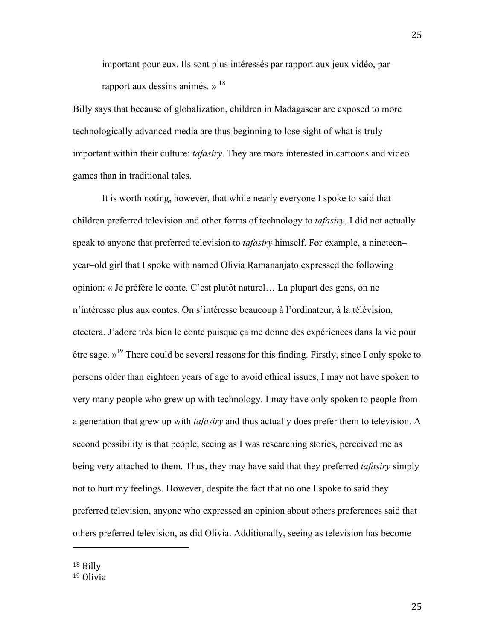important pour eux. Ils sont plus intéressés par rapport aux jeux vidéo, par rapport aux dessins animés. »  $18$ 

Billy says that because of globalization, children in Madagascar are exposed to more technologically advanced media are thus beginning to lose sight of what is truly important within their culture: *tafasiry*. They are more interested in cartoons and video games than in traditional tales.

It is worth noting, however, that while nearly everyone I spoke to said that children preferred television and other forms of technology to *tafasiry*, I did not actually speak to anyone that preferred television to *tafasiry* himself. For example, a nineteen– year–old girl that I spoke with named Olivia Ramananjato expressed the following opinion: « Je préfère le conte. C'est plutôt naturel… La plupart des gens, on ne n'intéresse plus aux contes. On s'intéresse beaucoup à l'ordinateur, à la télévision, etcetera. J'adore très bien le conte puisque ça me donne des expériences dans la vie pour être sage. »<sup>19</sup> There could be several reasons for this finding. Firstly, since I only spoke to persons older than eighteen years of age to avoid ethical issues, I may not have spoken to very many people who grew up with technology. I may have only spoken to people from a generation that grew up with *tafasiry* and thus actually does prefer them to television. A second possibility is that people, seeing as I was researching stories, perceived me as being very attached to them. Thus, they may have said that they preferred *tafasiry* simply not to hurt my feelings. However, despite the fact that no one I spoke to said they preferred television, anyone who expressed an opinion about others preferences said that others preferred television, as did Olivia. Additionally, seeing as television has become

18 Billy

<sup>19</sup> Olivia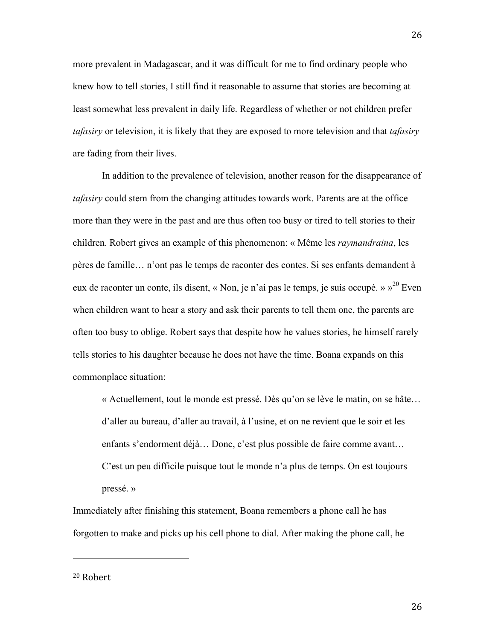more prevalent in Madagascar, and it was difficult for me to find ordinary people who knew how to tell stories, I still find it reasonable to assume that stories are becoming at least somewhat less prevalent in daily life. Regardless of whether or not children prefer *tafasiry* or television, it is likely that they are exposed to more television and that *tafasiry* are fading from their lives.

In addition to the prevalence of television, another reason for the disappearance of *tafasiry* could stem from the changing attitudes towards work. Parents are at the office more than they were in the past and are thus often too busy or tired to tell stories to their children. Robert gives an example of this phenomenon: « Même les *raymandraina*, les pères de famille… n'ont pas le temps de raconter des contes. Si ses enfants demandent à eux de raconter un conte, ils disent, « Non, je n'ai pas le temps, je suis occupé. » »<sup>20</sup> Even when children want to hear a story and ask their parents to tell them one, the parents are often too busy to oblige. Robert says that despite how he values stories, he himself rarely tells stories to his daughter because he does not have the time. Boana expands on this commonplace situation:

« Actuellement, tout le monde est pressé. Dès qu'on se lève le matin, on se hâte… d'aller au bureau, d'aller au travail, à l'usine, et on ne revient que le soir et les enfants s'endorment déjà… Donc, c'est plus possible de faire comme avant… C'est un peu difficile puisque tout le monde n'a plus de temps. On est toujours pressé. »

Immediately after finishing this statement, Boana remembers a phone call he has forgotten to make and picks up his cell phone to dial. After making the phone call, he

20 Robert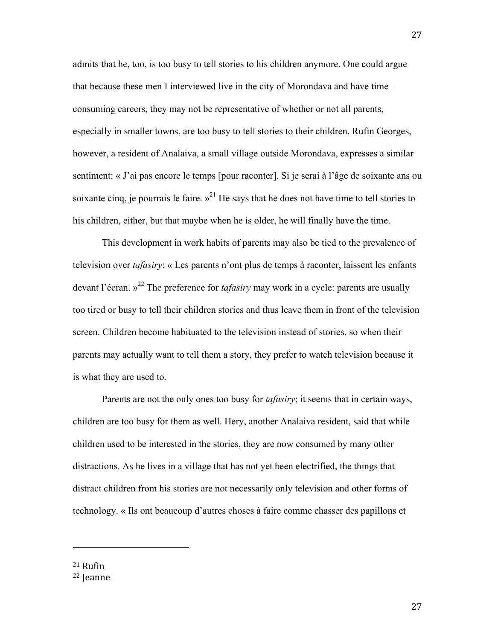admits that he, too, is too busy to tell stories to his children anymore. One could argue that because these men I interviewed live in the city of Morondava and have time– consuming careers, they may not be representative of whether or not all parents, especially in smaller towns, are too busy to tell stories to their children. Rufin Georges, however, a resident of Analaiva, a small village outside Morondava, expresses a similar sentiment: « J'ai pas encore le temps [pour raconter]. Si je serai à l'âge de soixante ans ou soixante cinq, je pourrais le faire.  $v^{21}$  He says that he does not have time to tell stories to his children, either, but that maybe when he is older, he will finally have the time.

This development in work habits of parents may also be tied to the prevalence of television over *tafasiry*: « Les parents n'ont plus de temps à raconter, laissent les enfants devant l'écran. » <sup>22</sup> The preference for *tafasiry* may work in a cycle: parents are usually too tired or busy to tell their children stories and thus leave them in front of the television screen. Children become habituated to the television instead of stories, so when their parents may actually want to tell them a story, they prefer to watch television because it is what they are used to.

Parents are not the only ones too busy for *tafasiry*; it seems that in certain ways, children are too busy for them as well. Hery, another Analaiva resident, said that while children used to be interested in the stories, they are now consumed by many other distractions. As he lives in a village that has not yet been electrified, the things that distract children from his stories are not necessarily only television and other forms of technology. « Ils ont beaucoup d'autres choses à faire comme chasser des papillons et

21 Rufin

<sup>22</sup> Jeanne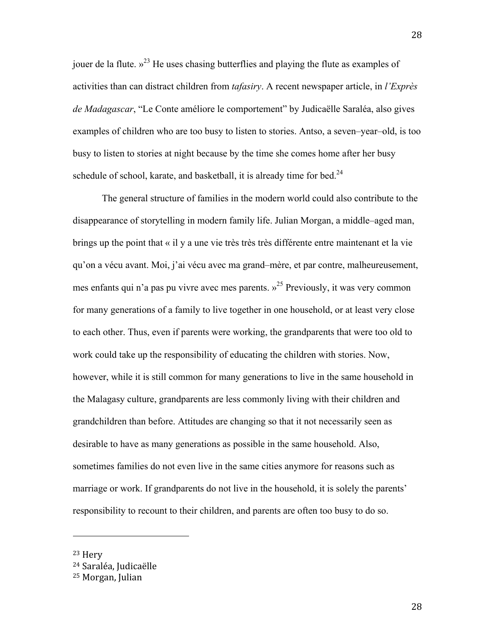jouer de la flute.  $v^{23}$  He uses chasing butterflies and playing the flute as examples of activities than can distract children from *tafasiry*. A recent newspaper article, in *l'Exprès de Madagascar*, "Le Conte améliore le comportement" by Judicaëlle Saraléa, also gives examples of children who are too busy to listen to stories. Antso, a seven–year–old, is too busy to listen to stories at night because by the time she comes home after her busy schedule of school, karate, and basketball, it is already time for bed. $24$ 

The general structure of families in the modern world could also contribute to the disappearance of storytelling in modern family life. Julian Morgan, a middle–aged man, brings up the point that « il y a une vie très très très différente entre maintenant et la vie qu'on a vécu avant. Moi, j'ai vécu avec ma grand–mère, et par contre, malheureusement, mes enfants qui n'a pas pu vivre avec mes parents. »25 Previously, it was very common for many generations of a family to live together in one household, or at least very close to each other. Thus, even if parents were working, the grandparents that were too old to work could take up the responsibility of educating the children with stories. Now, however, while it is still common for many generations to live in the same household in the Malagasy culture, grandparents are less commonly living with their children and grandchildren than before. Attitudes are changing so that it not necessarily seen as desirable to have as many generations as possible in the same household. Also, sometimes families do not even live in the same cities anymore for reasons such as marriage or work. If grandparents do not live in the household, it is solely the parents' responsibility to recount to their children, and parents are often too busy to do so.

<sup>23</sup> Hery

<sup>24</sup> Saraléa, Judicaëlle

<sup>25</sup> Morgan, Julian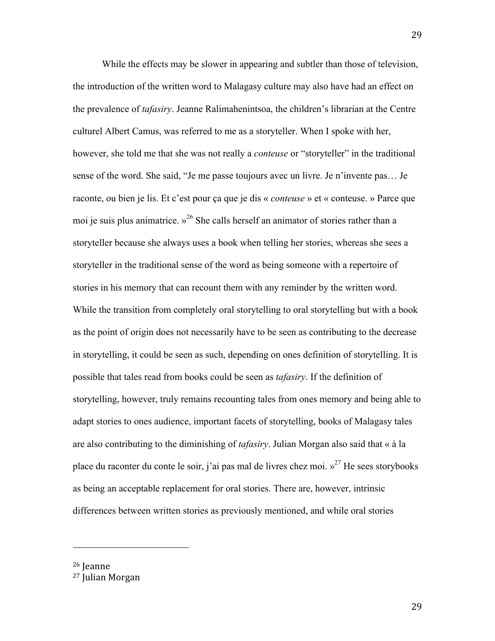While the effects may be slower in appearing and subtler than those of television, the introduction of the written word to Malagasy culture may also have had an effect on the prevalence of *tafasiry*. Jeanne Ralimahenintsoa, the children's librarian at the Centre culturel Albert Camus, was referred to me as a storyteller. When I spoke with her, however, she told me that she was not really a *conteuse* or "storyteller" in the traditional sense of the word. She said, "Je me passe toujours avec un livre. Je n'invente pas… Je raconte, ou bien je lis. Et c'est pour ça que je dis « *conteuse* » et « conteuse. » Parce que moi je suis plus animatrice.  $v^{26}$  She calls herself an animator of stories rather than a storyteller because she always uses a book when telling her stories, whereas she sees a storyteller in the traditional sense of the word as being someone with a repertoire of stories in his memory that can recount them with any reminder by the written word. While the transition from completely oral storytelling to oral storytelling but with a book as the point of origin does not necessarily have to be seen as contributing to the decrease in storytelling, it could be seen as such, depending on ones definition of storytelling. It is possible that tales read from books could be seen as *tafasiry*. If the definition of storytelling, however, truly remains recounting tales from ones memory and being able to adapt stories to ones audience, important facets of storytelling, books of Malagasy tales are also contributing to the diminishing of *tafasiry*. Julian Morgan also said that « à la place du raconter du conte le soir, j'ai pas mal de livres chez moi.  $v^{27}$  He sees storybooks as being an acceptable replacement for oral stories. There are, however, intrinsic differences between written stories as previously mentioned, and while oral stories

26 Jeanne

<sup>27</sup> Julian Morgan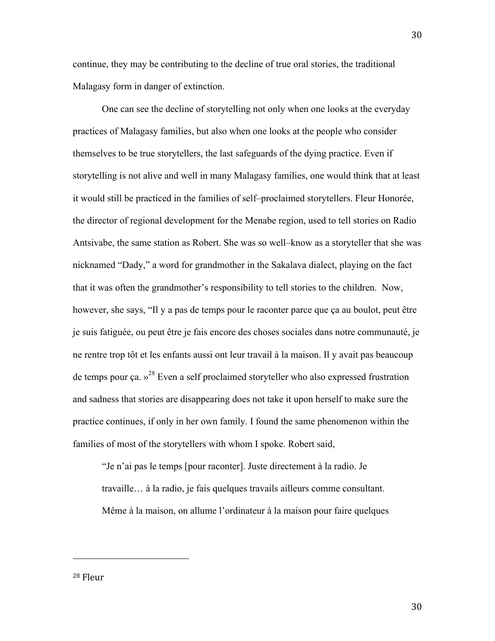continue, they may be contributing to the decline of true oral stories, the traditional Malagasy form in danger of extinction.

One can see the decline of storytelling not only when one looks at the everyday practices of Malagasy families, but also when one looks at the people who consider themselves to be true storytellers, the last safeguards of the dying practice. Even if storytelling is not alive and well in many Malagasy families, one would think that at least it would still be practiced in the families of self–proclaimed storytellers. Fleur Honorée, the director of regional development for the Menabe region, used to tell stories on Radio Antsivabe, the same station as Robert. She was so well–know as a storyteller that she was nicknamed "Dady," a word for grandmother in the Sakalava dialect, playing on the fact that it was often the grandmother's responsibility to tell stories to the children. Now, however, she says, "Il y a pas de temps pour le raconter parce que ça au boulot, peut être je suis fatiguée, ou peut être je fais encore des choses sociales dans notre communauté, je ne rentre trop tôt et les enfants aussi ont leur travail à la maison. Il y avait pas beaucoup de temps pour ça.  $v^{28}$  Even a self proclaimed storyteller who also expressed frustration and sadness that stories are disappearing does not take it upon herself to make sure the practice continues, if only in her own family. I found the same phenomenon within the families of most of the storytellers with whom I spoke. Robert said,

"Je n'ai pas le temps [pour raconter]. Juste directement à la radio. Je travaille… à la radio, je fais quelques travails ailleurs comme consultant.

Même à la maison, on allume l'ordinateur à la maison pour faire quelques

28 Fleur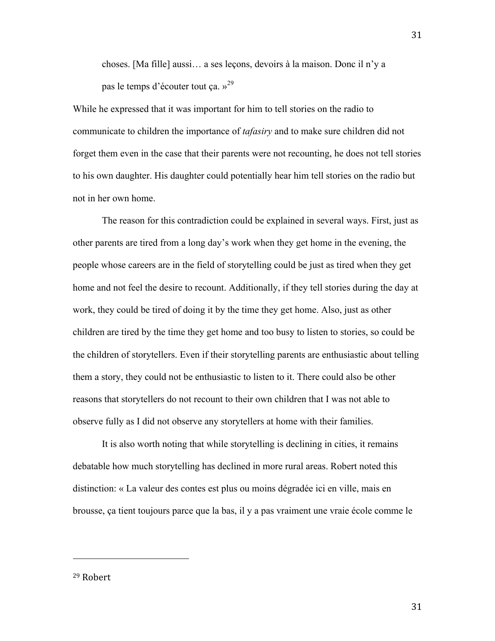choses. [Ma fille] aussi… a ses leçons, devoirs à la maison. Donc il n'y a pas le temps d'écouter tout ça. »<sup>29</sup>

While he expressed that it was important for him to tell stories on the radio to communicate to children the importance of *tafasiry* and to make sure children did not forget them even in the case that their parents were not recounting, he does not tell stories to his own daughter. His daughter could potentially hear him tell stories on the radio but not in her own home.

The reason for this contradiction could be explained in several ways. First, just as other parents are tired from a long day's work when they get home in the evening, the people whose careers are in the field of storytelling could be just as tired when they get home and not feel the desire to recount. Additionally, if they tell stories during the day at work, they could be tired of doing it by the time they get home. Also, just as other children are tired by the time they get home and too busy to listen to stories, so could be the children of storytellers. Even if their storytelling parents are enthusiastic about telling them a story, they could not be enthusiastic to listen to it. There could also be other reasons that storytellers do not recount to their own children that I was not able to observe fully as I did not observe any storytellers at home with their families.

It is also worth noting that while storytelling is declining in cities, it remains debatable how much storytelling has declined in more rural areas. Robert noted this distinction: « La valeur des contes est plus ou moins dégradée ici en ville, mais en brousse, ça tient toujours parce que la bas, il y a pas vraiment une vraie école comme le

29 Robert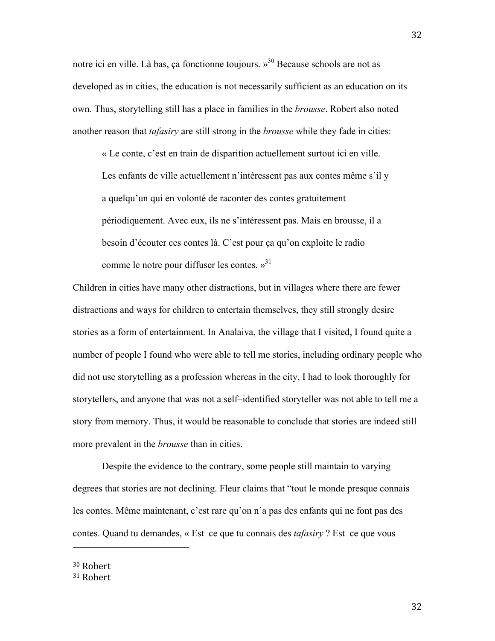notre ici en ville. Là bas, ça fonctionne toujours. »30 Because schools are not as developed as in cities, the education is not necessarily sufficient as an education on its own. Thus, storytelling still has a place in families in the *brousse*. Robert also noted another reason that *tafasiry* are still strong in the *brousse* while they fade in cities:

« Le conte, c'est en train de disparition actuellement surtout ici en ville. Les enfants de ville actuellement n'intéressent pas aux contes même s'il y a quelqu'un qui en volonté de raconter des contes gratuitement périodiquement. Avec eux, ils ne s'intéressent pas. Mais en brousse, il a besoin d'écouter ces contes là. C'est pour ça qu'on exploite le radio comme le notre pour diffuser les contes.  $v^{31}$ 

Children in cities have many other distractions, but in villages where there are fewer distractions and ways for children to entertain themselves, they still strongly desire stories as a form of entertainment. In Analaiva, the village that I visited, I found quite a number of people I found who were able to tell me stories, including ordinary people who did not use storytelling as a profession whereas in the city, I had to look thoroughly for storytellers, and anyone that was not a self–identified storyteller was not able to tell me a story from memory. Thus, it would be reasonable to conclude that stories are indeed still more prevalent in the *brousse* than in cities.

Despite the evidence to the contrary, some people still maintain to varying degrees that stories are not declining. Fleur claims that "tout le monde presque connais les contes. Même maintenant, c'est rare qu'on n'a pas des enfants qui ne font pas des contes. Quand tu demandes, « Est–ce que tu connais des *tafasiry* ? Est–ce que vous

30 Robert

<sup>31</sup> Robert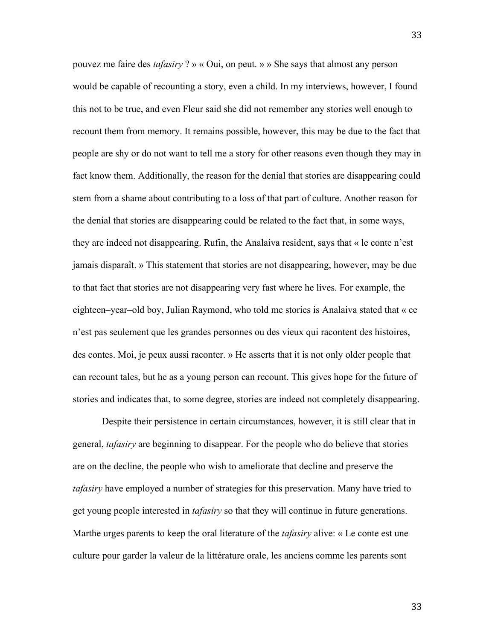pouvez me faire des *tafasiry* ? » « Oui, on peut. » » She says that almost any person would be capable of recounting a story, even a child. In my interviews, however, I found this not to be true, and even Fleur said she did not remember any stories well enough to recount them from memory. It remains possible, however, this may be due to the fact that people are shy or do not want to tell me a story for other reasons even though they may in fact know them. Additionally, the reason for the denial that stories are disappearing could stem from a shame about contributing to a loss of that part of culture. Another reason for the denial that stories are disappearing could be related to the fact that, in some ways, they are indeed not disappearing. Rufin, the Analaiva resident, says that « le conte n'est jamais disparaît. » This statement that stories are not disappearing, however, may be due to that fact that stories are not disappearing very fast where he lives. For example, the eighteen–year–old boy, Julian Raymond, who told me stories is Analaiva stated that « ce n'est pas seulement que les grandes personnes ou des vieux qui racontent des histoires, des contes. Moi, je peux aussi raconter. » He asserts that it is not only older people that can recount tales, but he as a young person can recount. This gives hope for the future of stories and indicates that, to some degree, stories are indeed not completely disappearing.

Despite their persistence in certain circumstances, however, it is still clear that in general, *tafasiry* are beginning to disappear. For the people who do believe that stories are on the decline, the people who wish to ameliorate that decline and preserve the *tafasiry* have employed a number of strategies for this preservation. Many have tried to get young people interested in *tafasiry* so that they will continue in future generations. Marthe urges parents to keep the oral literature of the *tafasiry* alive: « Le conte est une culture pour garder la valeur de la littérature orale, les anciens comme les parents sont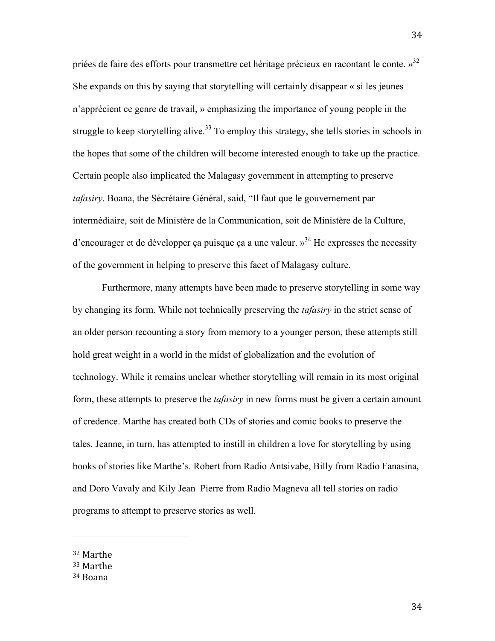priées de faire des efforts pour transmettre cet héritage précieux en racontant le conte. »<sup>32</sup> She expands on this by saying that storytelling will certainly disappear « si les jeunes n'apprécient ce genre de travail, » emphasizing the importance of young people in the struggle to keep storytelling alive.<sup>33</sup> To employ this strategy, she tells stories in schools in the hopes that some of the children will become interested enough to take up the practice. Certain people also implicated the Malagasy government in attempting to preserve *tafasiry*. Boana, the Sécrétaire Général, said, "Il faut que le gouvernement par intermédiaire, soit de Ministère de la Communication, soit de Ministère de la Culture, d'encourager et de développer ca puisque ça a une valeur.  $v^{34}$  He expresses the necessity of the government in helping to preserve this facet of Malagasy culture.

Furthermore, many attempts have been made to preserve storytelling in some way by changing its form. While not technically preserving the *tafasiry* in the strict sense of an older person recounting a story from memory to a younger person, these attempts still hold great weight in a world in the midst of globalization and the evolution of technology. While it remains unclear whether storytelling will remain in its most original form, these attempts to preserve the *tafasiry* in new forms must be given a certain amount of credence. Marthe has created both CDs of stories and comic books to preserve the tales. Jeanne, in turn, has attempted to instill in children a love for storytelling by using books of stories like Marthe's. Robert from Radio Antsivabe, Billy from Radio Fanasina, and Doro Vavaly and Kily Jean–Pierre from Radio Magneva all tell stories on radio programs to attempt to preserve stories as well.

<sup>32</sup> Marthe

<sup>33</sup> Marthe

<sup>34</sup> Boana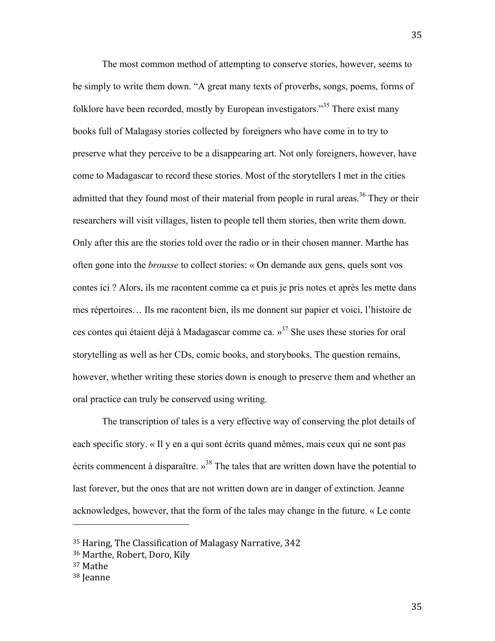The most common method of attempting to conserve stories, however, seems to be simply to write them down. "A great many texts of proverbs, songs, poems, forms of folklore have been recorded, mostly by European investigators."<sup>35</sup> There exist many books full of Malagasy stories collected by foreigners who have come in to try to preserve what they perceive to be a disappearing art. Not only foreigners, however, have come to Madagascar to record these stories. Most of the storytellers I met in the cities admitted that they found most of their material from people in rural areas.<sup>36</sup> They or their researchers will visit villages, listen to people tell them stories, then write them down. Only after this are the stories told over the radio or in their chosen manner. Marthe has often gone into the *brousse* to collect stories: « On demande aux gens, quels sont vos contes ici ? Alors, ils me racontent comme ca et puis je pris notes et après les mette dans mes répertoires… Ils me racontent bien, ils me donnent sur papier et voici, l'histoire de ces contes qui étaient déjà à Madagascar comme ca.  $v^{37}$  She uses these stories for oral storytelling as well as her CDs, comic books, and storybooks. The question remains, however, whether writing these stories down is enough to preserve them and whether an oral practice can truly be conserved using writing.

The transcription of tales is a very effective way of conserving the plot details of each specific story. « Il y en a qui sont écrits quand mêmes, mais ceux qui ne sont pas écrits commencent à disparaître.  $v^{38}$  The tales that are written down have the potential to last forever, but the ones that are not written down are in danger of extinction. Jeanne acknowledges, however, that the form of the tales may change in the future. « Le conte

<sup>35</sup> Haring, The Classification of Malagasy Narrative, 342

<sup>36</sup> Marthe, Robert, Doro, Kily

<sup>37</sup> Mathe

<sup>38</sup> Jeanne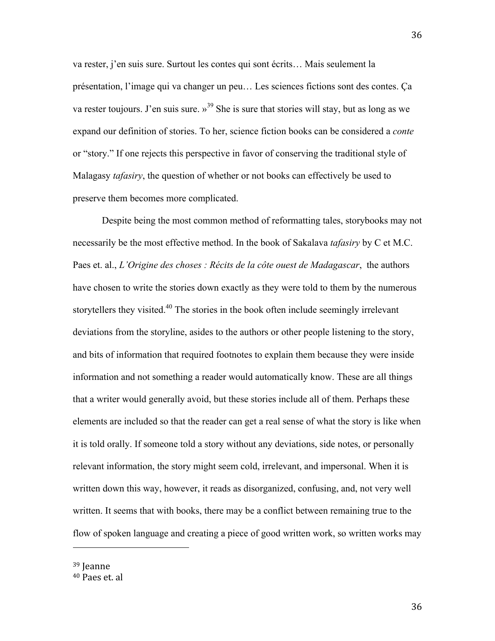va rester, j'en suis sure. Surtout les contes qui sont écrits… Mais seulement la présentation, l'image qui va changer un peu… Les sciences fictions sont des contes. Ça va rester toujours. J'en suis sure.  $v^{39}$  She is sure that stories will stay, but as long as we expand our definition of stories. To her, science fiction books can be considered a *conte* or "story." If one rejects this perspective in favor of conserving the traditional style of Malagasy *tafasiry*, the question of whether or not books can effectively be used to preserve them becomes more complicated.

Despite being the most common method of reformatting tales, storybooks may not necessarily be the most effective method. In the book of Sakalava *tafasiry* by C et M.C. Paes et. al., *L'Origine des choses : Récits de la côte ouest de Madagascar*, the authors have chosen to write the stories down exactly as they were told to them by the numerous storytellers they visited.<sup>40</sup> The stories in the book often include seemingly irrelevant deviations from the storyline, asides to the authors or other people listening to the story, and bits of information that required footnotes to explain them because they were inside information and not something a reader would automatically know. These are all things that a writer would generally avoid, but these stories include all of them. Perhaps these elements are included so that the reader can get a real sense of what the story is like when it is told orally. If someone told a story without any deviations, side notes, or personally relevant information, the story might seem cold, irrelevant, and impersonal. When it is written down this way, however, it reads as disorganized, confusing, and, not very well written. It seems that with books, there may be a conflict between remaining true to the flow of spoken language and creating a piece of good written work, so written works may

39 Jeanne

<sup>40</sup> Paes et. al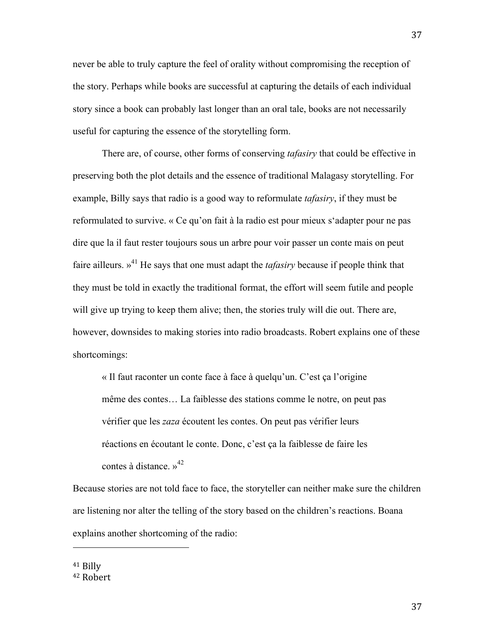never be able to truly capture the feel of orality without compromising the reception of the story. Perhaps while books are successful at capturing the details of each individual story since a book can probably last longer than an oral tale, books are not necessarily useful for capturing the essence of the storytelling form.

There are, of course, other forms of conserving *tafasiry* that could be effective in preserving both the plot details and the essence of traditional Malagasy storytelling. For example, Billy says that radio is a good way to reformulate *tafasiry*, if they must be reformulated to survive. « Ce qu'on fait à la radio est pour mieux s'adapter pour ne pas dire que la il faut rester toujours sous un arbre pour voir passer un conte mais on peut faire ailleurs. »<sup>41</sup> He says that one must adapt the *tafasiry* because if people think that they must be told in exactly the traditional format, the effort will seem futile and people will give up trying to keep them alive; then, the stories truly will die out. There are, however, downsides to making stories into radio broadcasts. Robert explains one of these shortcomings:

« Il faut raconter un conte face à face à quelqu'un. C'est ça l'origine même des contes… La faiblesse des stations comme le notre, on peut pas vérifier que les *zaza* écoutent les contes. On peut pas vérifier leurs réactions en écoutant le conte. Donc, c'est ça la faiblesse de faire les contes à distance. » 42

Because stories are not told face to face, the storyteller can neither make sure the children are listening nor alter the telling of the story based on the children's reactions. Boana explains another shortcoming of the radio:

41 Billy

<sup>42</sup> Robert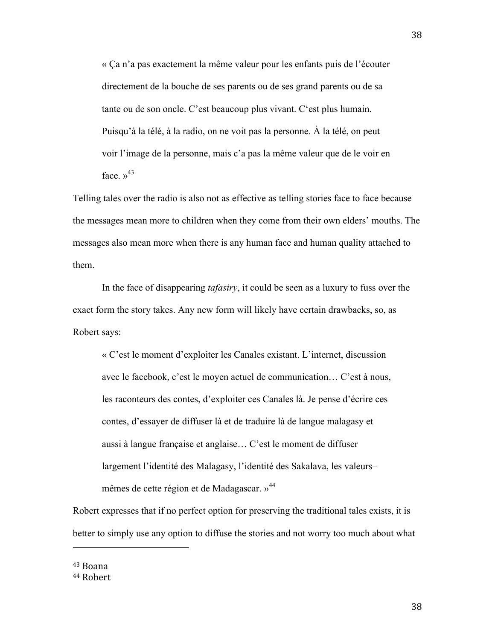« Ça n'a pas exactement la même valeur pour les enfants puis de l'écouter directement de la bouche de ses parents ou de ses grand parents ou de sa tante ou de son oncle. C'est beaucoup plus vivant. C'est plus humain. Puisqu'à la télé, à la radio, on ne voit pas la personne. À la télé, on peut voir l'image de la personne, mais c'a pas la même valeur que de le voir en face  $v^{43}$ 

Telling tales over the radio is also not as effective as telling stories face to face because the messages mean more to children when they come from their own elders' mouths. The messages also mean more when there is any human face and human quality attached to them.

In the face of disappearing *tafasiry*, it could be seen as a luxury to fuss over the exact form the story takes. Any new form will likely have certain drawbacks, so, as Robert says:

« C'est le moment d'exploiter les Canales existant. L'internet, discussion avec le facebook, c'est le moyen actuel de communication… C'est à nous, les raconteurs des contes, d'exploiter ces Canales là. Je pense d'écrire ces contes, d'essayer de diffuser là et de traduire là de langue malagasy et aussi à langue française et anglaise… C'est le moment de diffuser largement l'identité des Malagasy, l'identité des Sakalava, les valeurs– mêmes de cette région et de Madagascar. »<sup>44</sup>

Robert expresses that if no perfect option for preserving the traditional tales exists, it is better to simply use any option to diffuse the stories and not worry too much about what

43 Boana

<sup>44</sup> Robert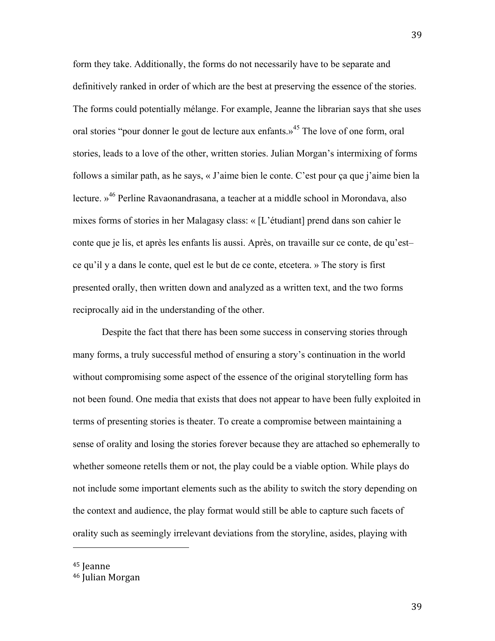form they take. Additionally, the forms do not necessarily have to be separate and definitively ranked in order of which are the best at preserving the essence of the stories. The forms could potentially mélange. For example, Jeanne the librarian says that she uses oral stories "pour donner le gout de lecture aux enfants.»<sup>45</sup> The love of one form, oral stories, leads to a love of the other, written stories. Julian Morgan's intermixing of forms follows a similar path, as he says, « J'aime bien le conte. C'est pour ça que j'aime bien la lecture. »46 Perline Ravaonandrasana, a teacher at a middle school in Morondava, also mixes forms of stories in her Malagasy class: « [L'étudiant] prend dans son cahier le conte que je lis, et après les enfants lis aussi. Après, on travaille sur ce conte, de qu'est– ce qu'il y a dans le conte, quel est le but de ce conte, etcetera. » The story is first presented orally, then written down and analyzed as a written text, and the two forms reciprocally aid in the understanding of the other.

Despite the fact that there has been some success in conserving stories through many forms, a truly successful method of ensuring a story's continuation in the world without compromising some aspect of the essence of the original storytelling form has not been found. One media that exists that does not appear to have been fully exploited in terms of presenting stories is theater. To create a compromise between maintaining a sense of orality and losing the stories forever because they are attached so ephemerally to whether someone retells them or not, the play could be a viable option. While plays do not include some important elements such as the ability to switch the story depending on the context and audience, the play format would still be able to capture such facets of orality such as seemingly irrelevant deviations from the storyline, asides, playing with

<sup>45</sup> Jeanne

<sup>46</sup> Julian Morgan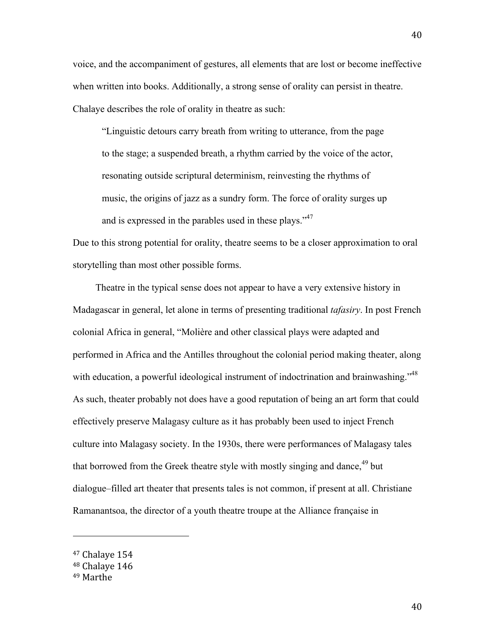voice, and the accompaniment of gestures, all elements that are lost or become ineffective when written into books. Additionally, a strong sense of orality can persist in theatre. Chalaye describes the role of orality in theatre as such:

"Linguistic detours carry breath from writing to utterance, from the page to the stage; a suspended breath, a rhythm carried by the voice of the actor, resonating outside scriptural determinism, reinvesting the rhythms of music, the origins of jazz as a sundry form. The force of orality surges up and is expressed in the parables used in these plays."<sup>47</sup>

Due to this strong potential for orality, theatre seems to be a closer approximation to oral storytelling than most other possible forms.

Theatre in the typical sense does not appear to have a very extensive history in Madagascar in general, let alone in terms of presenting traditional *tafasiry*. In post French colonial Africa in general, "Molière and other classical plays were adapted and performed in Africa and the Antilles throughout the colonial period making theater, along with education, a powerful ideological instrument of indoctrination and brainwashing."<sup>48</sup> As such, theater probably not does have a good reputation of being an art form that could effectively preserve Malagasy culture as it has probably been used to inject French culture into Malagasy society. In the 1930s, there were performances of Malagasy tales that borrowed from the Greek theatre style with mostly singing and dance,  $49$  but dialogue–filled art theater that presents tales is not common, if present at all. Christiane Ramanantsoa, the director of a youth theatre troupe at the Alliance française in

<sup>47</sup> Chalaye 154

<sup>48</sup> Chalaye 146

<sup>49</sup> Marthe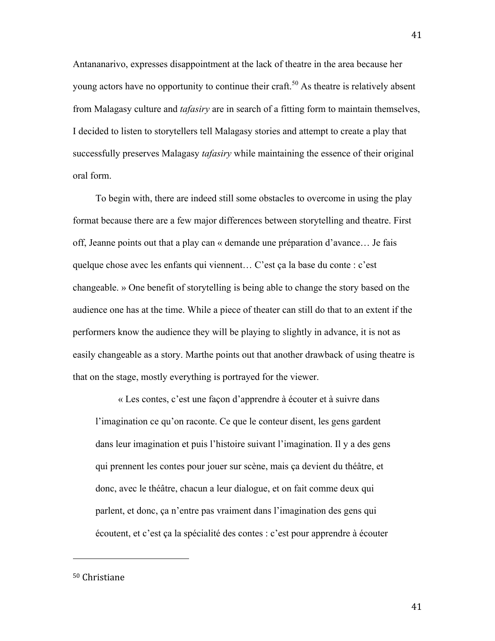Antananarivo, expresses disappointment at the lack of theatre in the area because her young actors have no opportunity to continue their craft.<sup>50</sup> As theatre is relatively absent from Malagasy culture and *tafasiry* are in search of a fitting form to maintain themselves, I decided to listen to storytellers tell Malagasy stories and attempt to create a play that successfully preserves Malagasy *tafasiry* while maintaining the essence of their original oral form.

To begin with, there are indeed still some obstacles to overcome in using the play format because there are a few major differences between storytelling and theatre. First off, Jeanne points out that a play can « demande une préparation d'avance… Je fais quelque chose avec les enfants qui viennent… C'est ça la base du conte : c'est changeable. » One benefit of storytelling is being able to change the story based on the audience one has at the time. While a piece of theater can still do that to an extent if the performers know the audience they will be playing to slightly in advance, it is not as easily changeable as a story. Marthe points out that another drawback of using theatre is that on the stage, mostly everything is portrayed for the viewer.

« Les contes, c'est une façon d'apprendre à écouter et à suivre dans l'imagination ce qu'on raconte. Ce que le conteur disent, les gens gardent dans leur imagination et puis l'histoire suivant l'imagination. Il y a des gens qui prennent les contes pour jouer sur scène, mais ça devient du théâtre, et donc, avec le théâtre, chacun a leur dialogue, et on fait comme deux qui parlent, et donc, ça n'entre pas vraiment dans l'imagination des gens qui écoutent, et c'est ça la spécialité des contes : c'est pour apprendre à écouter

50 Christiane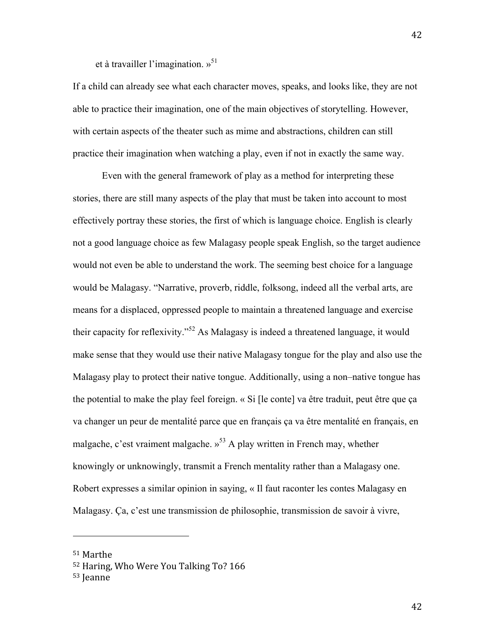et à travailler l'imagination.  $v^{51}$ 

If a child can already see what each character moves, speaks, and looks like, they are not able to practice their imagination, one of the main objectives of storytelling. However, with certain aspects of the theater such as mime and abstractions, children can still practice their imagination when watching a play, even if not in exactly the same way.

Even with the general framework of play as a method for interpreting these stories, there are still many aspects of the play that must be taken into account to most effectively portray these stories, the first of which is language choice. English is clearly not a good language choice as few Malagasy people speak English, so the target audience would not even be able to understand the work. The seeming best choice for a language would be Malagasy. "Narrative, proverb, riddle, folksong, indeed all the verbal arts, are means for a displaced, oppressed people to maintain a threatened language and exercise their capacity for reflexivity."<sup>52</sup> As Malagasy is indeed a threatened language, it would make sense that they would use their native Malagasy tongue for the play and also use the Malagasy play to protect their native tongue. Additionally, using a non–native tongue has the potential to make the play feel foreign. « Si [le conte] va être traduit, peut être que ça va changer un peur de mentalité parce que en français ça va être mentalité en français, en malgache, c'est vraiment malgache.  $v^{53}$  A play written in French may, whether knowingly or unknowingly, transmit a French mentality rather than a Malagasy one. Robert expresses a similar opinion in saying, « Il faut raconter les contes Malagasy en Malagasy. Ça, c'est une transmission de philosophie, transmission de savoir à vivre,

<sup>51</sup> Marthe

<sup>52</sup> Haring, Who Were You Talking To? 166

<sup>53</sup> Jeanne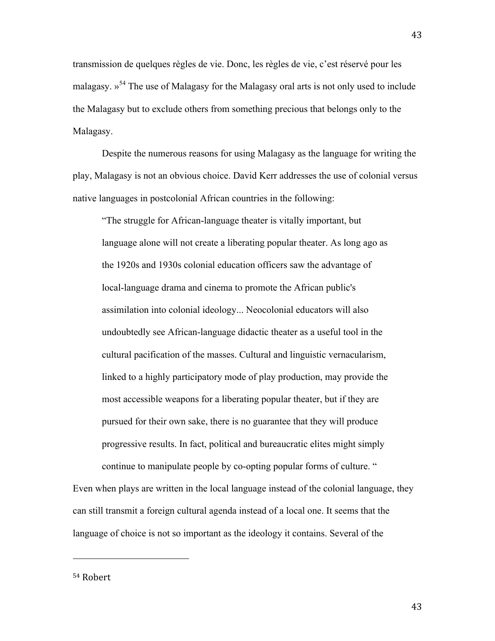transmission de quelques règles de vie. Donc, les règles de vie, c'est réservé pour les malagasy.  $v^{54}$  The use of Malagasy for the Malagasy oral arts is not only used to include the Malagasy but to exclude others from something precious that belongs only to the Malagasy.

Despite the numerous reasons for using Malagasy as the language for writing the play, Malagasy is not an obvious choice. David Kerr addresses the use of colonial versus native languages in postcolonial African countries in the following:

"The struggle for African-language theater is vitally important, but language alone will not create a liberating popular theater. As long ago as the 1920s and 1930s colonial education officers saw the advantage of local-language drama and cinema to promote the African public's assimilation into colonial ideology... Neocolonial educators will also undoubtedly see African-language didactic theater as a useful tool in the cultural pacification of the masses. Cultural and linguistic vernacularism, linked to a highly participatory mode of play production, may provide the most accessible weapons for a liberating popular theater, but if they are pursued for their own sake, there is no guarantee that they will produce progressive results. In fact, political and bureaucratic elites might simply continue to manipulate people by co-opting popular forms of culture. "

Even when plays are written in the local language instead of the colonial language, they can still transmit a foreign cultural agenda instead of a local one. It seems that the language of choice is not so important as the ideology it contains. Several of the

54 Robert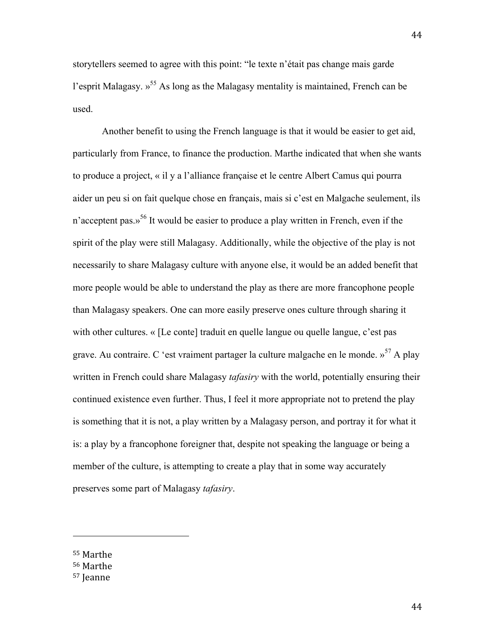storytellers seemed to agree with this point: "le texte n'était pas change mais garde l'esprit Malagasy. »<sup>55</sup> As long as the Malagasy mentality is maintained, French can be used.

Another benefit to using the French language is that it would be easier to get aid, particularly from France, to finance the production. Marthe indicated that when she wants to produce a project, « il y a l'alliance française et le centre Albert Camus qui pourra aider un peu si on fait quelque chose en français, mais si c'est en Malgache seulement, ils n'acceptent pas.»<sup>56</sup> It would be easier to produce a play written in French, even if the spirit of the play were still Malagasy. Additionally, while the objective of the play is not necessarily to share Malagasy culture with anyone else, it would be an added benefit that more people would be able to understand the play as there are more francophone people than Malagasy speakers. One can more easily preserve ones culture through sharing it with other cultures. « [Le conte] traduit en quelle langue ou quelle langue, c'est pas grave. Au contraire. C 'est vraiment partager la culture malgache en le monde.  $v^{57}$  A play written in French could share Malagasy *tafasiry* with the world, potentially ensuring their continued existence even further. Thus, I feel it more appropriate not to pretend the play is something that it is not, a play written by a Malagasy person, and portray it for what it is: a play by a francophone foreigner that, despite not speaking the language or being a member of the culture, is attempting to create a play that in some way accurately preserves some part of Malagasy *tafasiry*.

55 Marthe

<sup>56</sup> Marthe

<sup>57</sup> Jeanne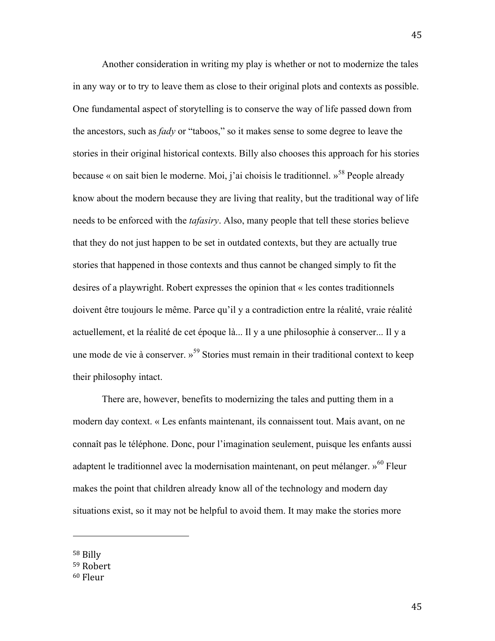Another consideration in writing my play is whether or not to modernize the tales in any way or to try to leave them as close to their original plots and contexts as possible. One fundamental aspect of storytelling is to conserve the way of life passed down from the ancestors, such as *fady* or "taboos," so it makes sense to some degree to leave the stories in their original historical contexts. Billy also chooses this approach for his stories because « on sait bien le moderne. Moi, j'ai choisis le traditionnel. »<sup>58</sup> People already know about the modern because they are living that reality, but the traditional way of life needs to be enforced with the *tafasiry*. Also, many people that tell these stories believe that they do not just happen to be set in outdated contexts, but they are actually true stories that happened in those contexts and thus cannot be changed simply to fit the desires of a playwright. Robert expresses the opinion that « les contes traditionnels doivent être toujours le même. Parce qu'il y a contradiction entre la réalité, vraie réalité actuellement, et la réalité de cet époque là... Il y a une philosophie à conserver... Il y a une mode de vie à conserver.  $v^{59}$  Stories must remain in their traditional context to keep their philosophy intact.

There are, however, benefits to modernizing the tales and putting them in a modern day context. « Les enfants maintenant, ils connaissent tout. Mais avant, on ne connaît pas le téléphone. Donc, pour l'imagination seulement, puisque les enfants aussi adaptent le traditionnel avec la modernisation maintenant, on peut mélanger.  $v^{60}$  Fleur makes the point that children already know all of the technology and modern day situations exist, so it may not be helpful to avoid them. It may make the stories more

<sup>58</sup> Billy

<sup>59</sup> Robert

<sup>60</sup> Fleur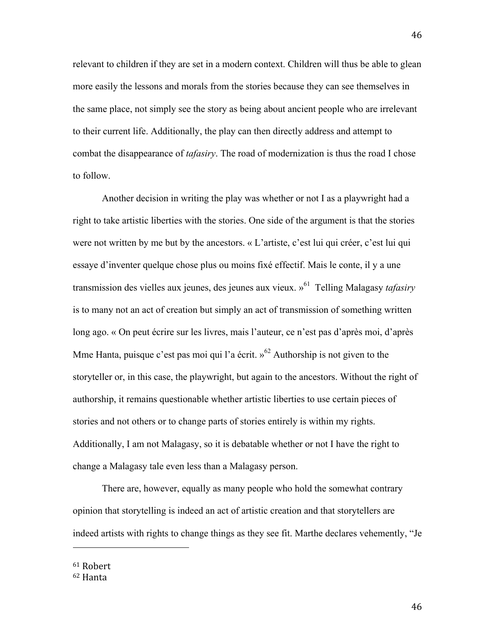relevant to children if they are set in a modern context. Children will thus be able to glean more easily the lessons and morals from the stories because they can see themselves in the same place, not simply see the story as being about ancient people who are irrelevant to their current life. Additionally, the play can then directly address and attempt to combat the disappearance of *tafasiry*. The road of modernization is thus the road I chose to follow.

Another decision in writing the play was whether or not I as a playwright had a right to take artistic liberties with the stories. One side of the argument is that the stories were not written by me but by the ancestors. « L'artiste, c'est lui qui créer, c'est lui qui essaye d'inventer quelque chose plus ou moins fixé effectif. Mais le conte, il y a une transmission des vielles aux jeunes, des jeunes aux vieux. »61 Telling Malagasy *tafasiry* is to many not an act of creation but simply an act of transmission of something written long ago. « On peut écrire sur les livres, mais l'auteur, ce n'est pas d'après moi, d'après Mme Hanta, puisque c'est pas moi qui l'a écrit. »<sup>62</sup> Authorship is not given to the storyteller or, in this case, the playwright, but again to the ancestors. Without the right of authorship, it remains questionable whether artistic liberties to use certain pieces of stories and not others or to change parts of stories entirely is within my rights. Additionally, I am not Malagasy, so it is debatable whether or not I have the right to change a Malagasy tale even less than a Malagasy person.

There are, however, equally as many people who hold the somewhat contrary opinion that storytelling is indeed an act of artistic creation and that storytellers are indeed artists with rights to change things as they see fit. Marthe declares vehemently, "Je

61 Robert

<sup>62</sup> Hanta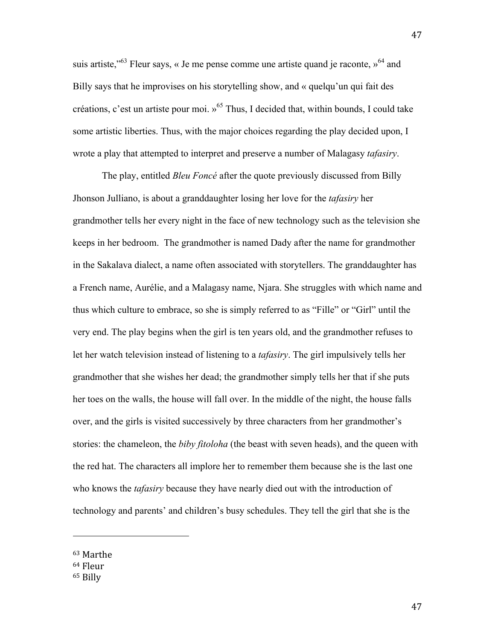suis artiste,"<sup>63</sup> Fleur says, « Je me pense comme une artiste quand je raconte,  $\gamma^{64}$  and Billy says that he improvises on his storytelling show, and « quelqu'un qui fait des créations, c'est un artiste pour moi.  $v^{65}$  Thus, I decided that, within bounds, I could take some artistic liberties. Thus, with the major choices regarding the play decided upon, I wrote a play that attempted to interpret and preserve a number of Malagasy *tafasiry*.

The play, entitled *Bleu Foncé* after the quote previously discussed from Billy Jhonson Julliano, is about a granddaughter losing her love for the *tafasiry* her grandmother tells her every night in the face of new technology such as the television she keeps in her bedroom. The grandmother is named Dady after the name for grandmother in the Sakalava dialect, a name often associated with storytellers. The granddaughter has a French name, Aurélie, and a Malagasy name, Njara. She struggles with which name and thus which culture to embrace, so she is simply referred to as "Fille" or "Girl" until the very end. The play begins when the girl is ten years old, and the grandmother refuses to let her watch television instead of listening to a *tafasiry*. The girl impulsively tells her grandmother that she wishes her dead; the grandmother simply tells her that if she puts her toes on the walls, the house will fall over. In the middle of the night, the house falls over, and the girls is visited successively by three characters from her grandmother's stories: the chameleon, the *biby fitoloha* (the beast with seven heads), and the queen with the red hat. The characters all implore her to remember them because she is the last one who knows the *tafasiry* because they have nearly died out with the introduction of technology and parents' and children's busy schedules. They tell the girl that she is the

<sup>63</sup> Marthe

<sup>64</sup> Fleur

<sup>65</sup> Billy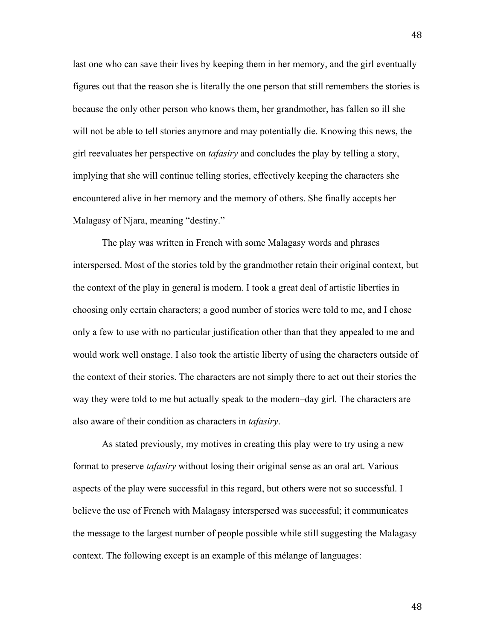last one who can save their lives by keeping them in her memory, and the girl eventually figures out that the reason she is literally the one person that still remembers the stories is because the only other person who knows them, her grandmother, has fallen so ill she will not be able to tell stories anymore and may potentially die. Knowing this news, the girl reevaluates her perspective on *tafasiry* and concludes the play by telling a story, implying that she will continue telling stories, effectively keeping the characters she encountered alive in her memory and the memory of others. She finally accepts her Malagasy of Njara, meaning "destiny."

The play was written in French with some Malagasy words and phrases interspersed. Most of the stories told by the grandmother retain their original context, but the context of the play in general is modern. I took a great deal of artistic liberties in choosing only certain characters; a good number of stories were told to me, and I chose only a few to use with no particular justification other than that they appealed to me and would work well onstage. I also took the artistic liberty of using the characters outside of the context of their stories. The characters are not simply there to act out their stories the way they were told to me but actually speak to the modern–day girl. The characters are also aware of their condition as characters in *tafasiry*.

As stated previously, my motives in creating this play were to try using a new format to preserve *tafasiry* without losing their original sense as an oral art. Various aspects of the play were successful in this regard, but others were not so successful. I believe the use of French with Malagasy interspersed was successful; it communicates the message to the largest number of people possible while still suggesting the Malagasy context. The following except is an example of this mélange of languages: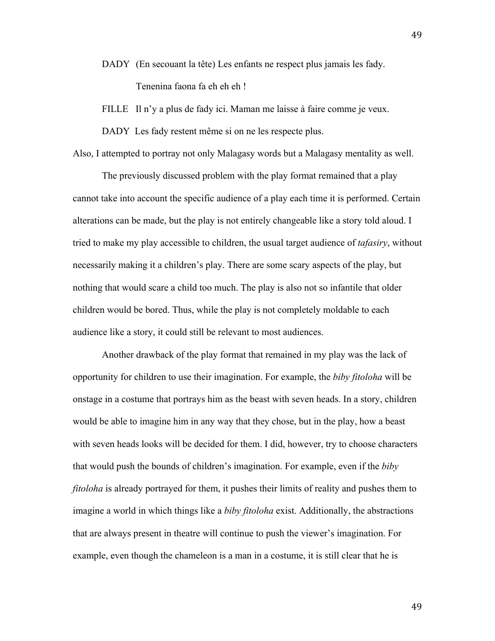- DADY (En secouant la tête) Les enfants ne respect plus jamais les fady. Tenenina faona fa eh eh eh !
- FILLE Il n'y a plus de fady ici. Maman me laisse à faire comme je veux.

DADY Les fady restent même si on ne les respecte plus.

Also, I attempted to portray not only Malagasy words but a Malagasy mentality as well.

The previously discussed problem with the play format remained that a play cannot take into account the specific audience of a play each time it is performed. Certain alterations can be made, but the play is not entirely changeable like a story told aloud. I tried to make my play accessible to children, the usual target audience of *tafasiry*, without necessarily making it a children's play. There are some scary aspects of the play, but nothing that would scare a child too much. The play is also not so infantile that older children would be bored. Thus, while the play is not completely moldable to each audience like a story, it could still be relevant to most audiences.

Another drawback of the play format that remained in my play was the lack of opportunity for children to use their imagination. For example, the *biby fitoloha* will be onstage in a costume that portrays him as the beast with seven heads. In a story, children would be able to imagine him in any way that they chose, but in the play, how a beast with seven heads looks will be decided for them. I did, however, try to choose characters that would push the bounds of children's imagination. For example, even if the *biby fitoloha* is already portrayed for them, it pushes their limits of reality and pushes them to imagine a world in which things like a *biby fitoloha* exist. Additionally, the abstractions that are always present in theatre will continue to push the viewer's imagination. For example, even though the chameleon is a man in a costume, it is still clear that he is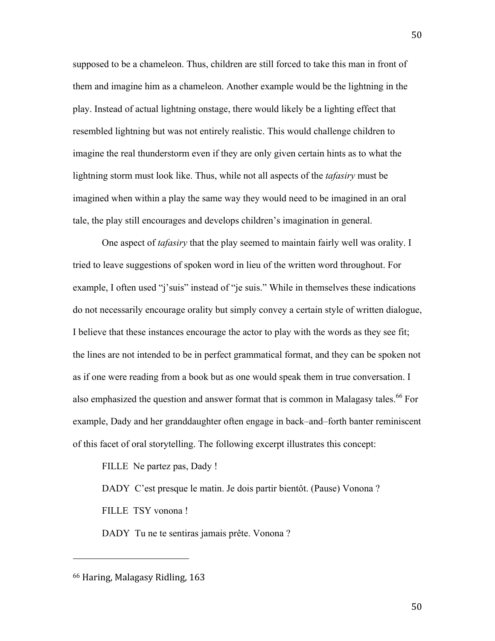supposed to be a chameleon. Thus, children are still forced to take this man in front of them and imagine him as a chameleon. Another example would be the lightning in the play. Instead of actual lightning onstage, there would likely be a lighting effect that resembled lightning but was not entirely realistic. This would challenge children to imagine the real thunderstorm even if they are only given certain hints as to what the lightning storm must look like. Thus, while not all aspects of the *tafasiry* must be imagined when within a play the same way they would need to be imagined in an oral tale, the play still encourages and develops children's imagination in general.

One aspect of *tafasiry* that the play seemed to maintain fairly well was orality. I tried to leave suggestions of spoken word in lieu of the written word throughout. For example, I often used "j'suis" instead of "je suis." While in themselves these indications do not necessarily encourage orality but simply convey a certain style of written dialogue, I believe that these instances encourage the actor to play with the words as they see fit; the lines are not intended to be in perfect grammatical format, and they can be spoken not as if one were reading from a book but as one would speak them in true conversation. I also emphasized the question and answer format that is common in Malagasy tales.<sup>66</sup> For example, Dady and her granddaughter often engage in back–and–forth banter reminiscent of this facet of oral storytelling. The following excerpt illustrates this concept:

FILLE Ne partez pas, Dady !

DADY C'est presque le matin. Je dois partir bientôt. (Pause) Vonona ?

FILLE TSY vonona !

DADY Tu ne te sentiras jamais prête. Vonona ?

<sup>66</sup> Haring, Malagasy Ridling, 163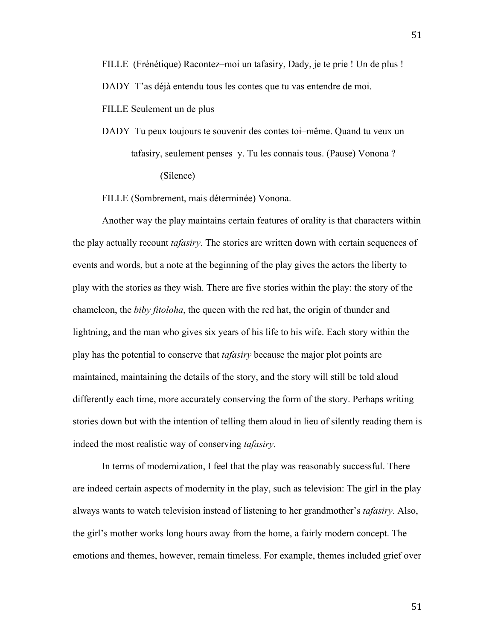FILLE Seulement un de plus

DADY Tu peux toujours te souvenir des contes toi–même. Quand tu veux un tafasiry, seulement penses–y. Tu les connais tous. (Pause) Vonona ? (Silence)

FILLE (Sombrement, mais déterminée) Vonona.

Another way the play maintains certain features of orality is that characters within the play actually recount *tafasiry*. The stories are written down with certain sequences of events and words, but a note at the beginning of the play gives the actors the liberty to play with the stories as they wish. There are five stories within the play: the story of the chameleon, the *biby fitoloha*, the queen with the red hat, the origin of thunder and lightning, and the man who gives six years of his life to his wife. Each story within the play has the potential to conserve that *tafasiry* because the major plot points are maintained, maintaining the details of the story, and the story will still be told aloud differently each time, more accurately conserving the form of the story. Perhaps writing stories down but with the intention of telling them aloud in lieu of silently reading them is indeed the most realistic way of conserving *tafasiry*.

In terms of modernization, I feel that the play was reasonably successful. There are indeed certain aspects of modernity in the play, such as television: The girl in the play always wants to watch television instead of listening to her grandmother's *tafasiry*. Also, the girl's mother works long hours away from the home, a fairly modern concept. The emotions and themes, however, remain timeless. For example, themes included grief over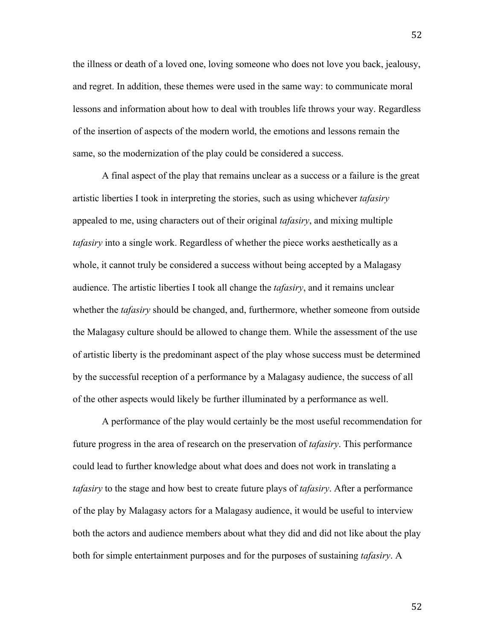the illness or death of a loved one, loving someone who does not love you back, jealousy, and regret. In addition, these themes were used in the same way: to communicate moral lessons and information about how to deal with troubles life throws your way. Regardless of the insertion of aspects of the modern world, the emotions and lessons remain the same, so the modernization of the play could be considered a success.

A final aspect of the play that remains unclear as a success or a failure is the great artistic liberties I took in interpreting the stories, such as using whichever *tafasiry*  appealed to me, using characters out of their original *tafasiry*, and mixing multiple *tafasiry* into a single work. Regardless of whether the piece works aesthetically as a whole, it cannot truly be considered a success without being accepted by a Malagasy audience. The artistic liberties I took all change the *tafasiry*, and it remains unclear whether the *tafasiry* should be changed, and, furthermore, whether someone from outside the Malagasy culture should be allowed to change them. While the assessment of the use of artistic liberty is the predominant aspect of the play whose success must be determined by the successful reception of a performance by a Malagasy audience, the success of all of the other aspects would likely be further illuminated by a performance as well.

A performance of the play would certainly be the most useful recommendation for future progress in the area of research on the preservation of *tafasiry*. This performance could lead to further knowledge about what does and does not work in translating a *tafasiry* to the stage and how best to create future plays of *tafasiry*. After a performance of the play by Malagasy actors for a Malagasy audience, it would be useful to interview both the actors and audience members about what they did and did not like about the play both for simple entertainment purposes and for the purposes of sustaining *tafasiry*. A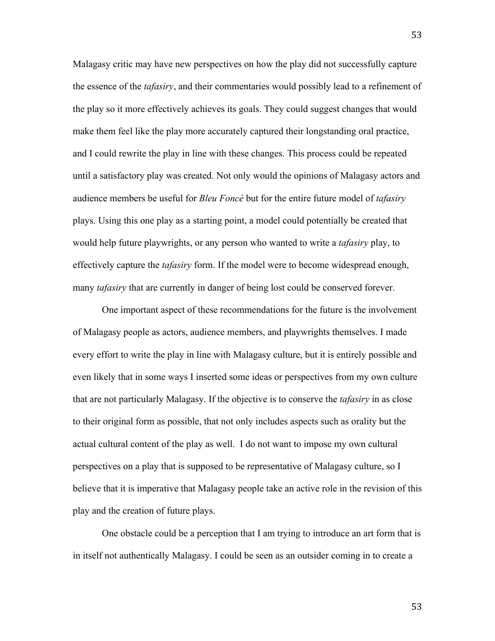Malagasy critic may have new perspectives on how the play did not successfully capture the essence of the *tafasiry*, and their commentaries would possibly lead to a refinement of the play so it more effectively achieves its goals. They could suggest changes that would make them feel like the play more accurately captured their longstanding oral practice, and I could rewrite the play in line with these changes. This process could be repeated until a satisfactory play was created. Not only would the opinions of Malagasy actors and audience members be useful for *Bleu Foncé* but for the entire future model of *tafasiry* plays. Using this one play as a starting point, a model could potentially be created that would help future playwrights, or any person who wanted to write a *tafasiry* play, to effectively capture the *tafasiry* form. If the model were to become widespread enough, many *tafasiry* that are currently in danger of being lost could be conserved forever.

One important aspect of these recommendations for the future is the involvement of Malagasy people as actors, audience members, and playwrights themselves. I made every effort to write the play in line with Malagasy culture, but it is entirely possible and even likely that in some ways I inserted some ideas or perspectives from my own culture that are not particularly Malagasy. If the objective is to conserve the *tafasiry* in as close to their original form as possible, that not only includes aspects such as orality but the actual cultural content of the play as well. I do not want to impose my own cultural perspectives on a play that is supposed to be representative of Malagasy culture, so I believe that it is imperative that Malagasy people take an active role in the revision of this play and the creation of future plays.

One obstacle could be a perception that I am trying to introduce an art form that is in itself not authentically Malagasy. I could be seen as an outsider coming in to create a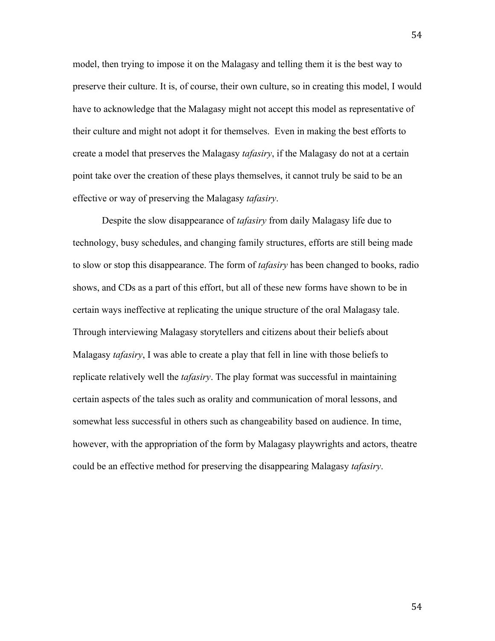model, then trying to impose it on the Malagasy and telling them it is the best way to preserve their culture. It is, of course, their own culture, so in creating this model, I would have to acknowledge that the Malagasy might not accept this model as representative of their culture and might not adopt it for themselves. Even in making the best efforts to create a model that preserves the Malagasy *tafasiry*, if the Malagasy do not at a certain point take over the creation of these plays themselves, it cannot truly be said to be an effective or way of preserving the Malagasy *tafasiry*.

Despite the slow disappearance of *tafasiry* from daily Malagasy life due to technology, busy schedules, and changing family structures, efforts are still being made to slow or stop this disappearance. The form of *tafasiry* has been changed to books, radio shows, and CDs as a part of this effort, but all of these new forms have shown to be in certain ways ineffective at replicating the unique structure of the oral Malagasy tale. Through interviewing Malagasy storytellers and citizens about their beliefs about Malagasy *tafasiry*, I was able to create a play that fell in line with those beliefs to replicate relatively well the *tafasiry*. The play format was successful in maintaining certain aspects of the tales such as orality and communication of moral lessons, and somewhat less successful in others such as changeability based on audience. In time, however, with the appropriation of the form by Malagasy playwrights and actors, theatre could be an effective method for preserving the disappearing Malagasy *tafasiry*.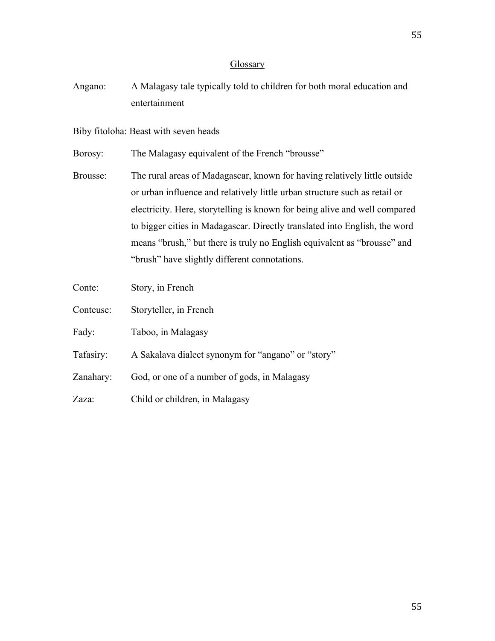# **Glossary**

Angano: A Malagasy tale typically told to children for both moral education and entertainment

Biby fitoloha: Beast with seven heads

Borosy: The Malagasy equivalent of the French "brousse"

- Brousse: The rural areas of Madagascar, known for having relatively little outside or urban influence and relatively little urban structure such as retail or electricity. Here, storytelling is known for being alive and well compared to bigger cities in Madagascar. Directly translated into English, the word means "brush," but there is truly no English equivalent as "brousse" and "brush" have slightly different connotations.
- Conte: Story, in French
- Conteuse: Storyteller, in French
- Fady: Taboo, in Malagasy
- Tafasiry: A Sakalava dialect synonym for "angano" or "story"
- Zanahary: God, or one of a number of gods, in Malagasy
- Zaza: Child or children, in Malagasy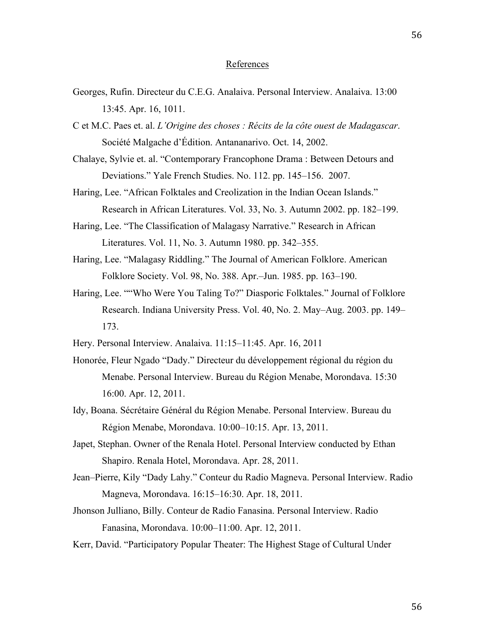# References

- Georges, Rufin. Directeur du C.E.G. Analaiva. Personal Interview. Analaiva. 13:00 13:45. Apr. 16, 1011.
- C et M.C. Paes et. al. *L'Origine des choses : Récits de la côte ouest de Madagascar*. Société Malgache d'Édition. Antananarivo. Oct. 14, 2002.
- Chalaye, Sylvie et. al. "Contemporary Francophone Drama : Between Detours and Deviations." Yale French Studies. No. 112. pp. 145–156. 2007.
- Haring, Lee. "African Folktales and Creolization in the Indian Ocean Islands." Research in African Literatures. Vol. 33, No. 3. Autumn 2002. pp. 182–199.
- Haring, Lee. "The Classification of Malagasy Narrative." Research in African Literatures. Vol. 11, No. 3. Autumn 1980. pp. 342–355.
- Haring, Lee. "Malagasy Riddling." The Journal of American Folklore. American Folklore Society. Vol. 98, No. 388. Apr.–Jun. 1985. pp. 163–190.
- Haring, Lee. ""Who Were You Taling To?" Diasporic Folktales." Journal of Folklore Research. Indiana University Press. Vol. 40, No. 2. May–Aug. 2003. pp. 149– 173.
- Hery. Personal Interview. Analaiva. 11:15–11:45. Apr. 16, 2011
- Honorée, Fleur Ngado "Dady." Directeur du développement régional du région du Menabe. Personal Interview. Bureau du Région Menabe, Morondava. 15:30 16:00. Apr. 12, 2011.
- Idy, Boana. Sécrétaire Général du Région Menabe. Personal Interview. Bureau du Région Menabe, Morondava. 10:00–10:15. Apr. 13, 2011.
- Japet, Stephan. Owner of the Renala Hotel. Personal Interview conducted by Ethan Shapiro. Renala Hotel, Morondava. Apr. 28, 2011.
- Jean–Pierre, Kily "Dady Lahy." Conteur du Radio Magneva. Personal Interview. Radio Magneva, Morondava. 16:15–16:30. Apr. 18, 2011.
- Jhonson Julliano, Billy. Conteur de Radio Fanasina. Personal Interview. Radio Fanasina, Morondava. 10:00–11:00. Apr. 12, 2011.
- Kerr, David. "Participatory Popular Theater: The Highest Stage of Cultural Under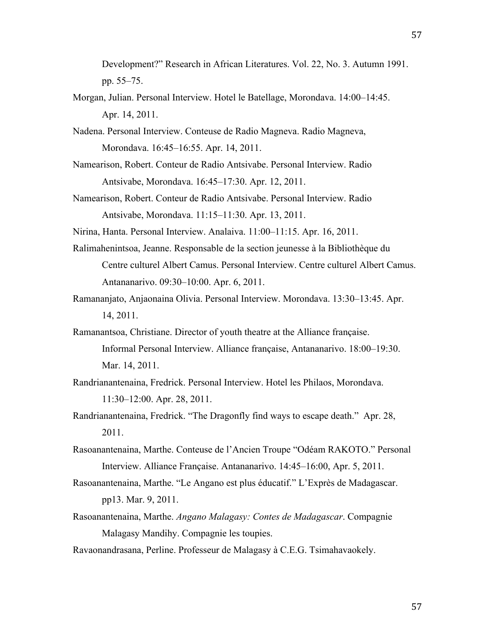Development?" Research in African Literatures. Vol. 22, No. 3. Autumn 1991. pp. 55–75.

- Morgan, Julian. Personal Interview. Hotel le Batellage, Morondava. 14:00–14:45. Apr. 14, 2011.
- Nadena. Personal Interview. Conteuse de Radio Magneva. Radio Magneva, Morondava. 16:45–16:55. Apr. 14, 2011.
- Namearison, Robert. Conteur de Radio Antsivabe. Personal Interview. Radio Antsivabe, Morondava. 16:45–17:30. Apr. 12, 2011.
- Namearison, Robert. Conteur de Radio Antsivabe. Personal Interview. Radio Antsivabe, Morondava. 11:15–11:30. Apr. 13, 2011.

Nirina, Hanta. Personal Interview. Analaiva. 11:00–11:15. Apr. 16, 2011.

- Ralimahenintsoa, Jeanne. Responsable de la section jeunesse à la Bibliothèque du Centre culturel Albert Camus. Personal Interview. Centre culturel Albert Camus. Antananarivo. 09:30–10:00. Apr. 6, 2011.
- Ramananjato, Anjaonaina Olivia. Personal Interview. Morondava. 13:30–13:45. Apr. 14, 2011.
- Ramanantsoa, Christiane. Director of youth theatre at the Alliance française. Informal Personal Interview. Alliance française, Antananarivo. 18:00–19:30. Mar. 14, 2011.
- Randrianantenaina, Fredrick. Personal Interview. Hotel les Philaos, Morondava. 11:30–12:00. Apr. 28, 2011.
- Randrianantenaina, Fredrick. "The Dragonfly find ways to escape death." Apr. 28, 2011.
- Rasoanantenaina, Marthe. Conteuse de l'Ancien Troupe "Odéam RAKOTO." Personal Interview. Alliance Française. Antananarivo. 14:45–16:00, Apr. 5, 2011.
- Rasoanantenaina, Marthe. "Le Angano est plus éducatif." L'Exprès de Madagascar. pp13. Mar. 9, 2011.
- Rasoanantenaina, Marthe. *Angano Malagasy: Contes de Madagascar*. Compagnie Malagasy Mandihy. Compagnie les toupies.
- Ravaonandrasana, Perline. Professeur de Malagasy à C.E.G. Tsimahavaokely.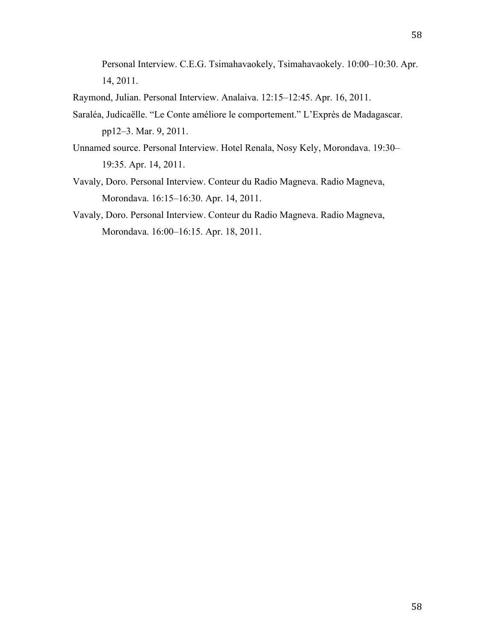Personal Interview. C.E.G. Tsimahavaokely, Tsimahavaokely. 10:00–10:30. Apr. 14, 2011.

Raymond, Julian. Personal Interview. Analaiva. 12:15–12:45. Apr. 16, 2011.

- Saraléa, Judicaëlle. "Le Conte améliore le comportement." L'Exprès de Madagascar. pp12–3. Mar. 9, 2011.
- Unnamed source. Personal Interview. Hotel Renala, Nosy Kely, Morondava. 19:30– 19:35. Apr. 14, 2011.
- Vavaly, Doro. Personal Interview. Conteur du Radio Magneva. Radio Magneva, Morondava. 16:15–16:30. Apr. 14, 2011.
- Vavaly, Doro. Personal Interview. Conteur du Radio Magneva. Radio Magneva, Morondava. 16:00–16:15. Apr. 18, 2011.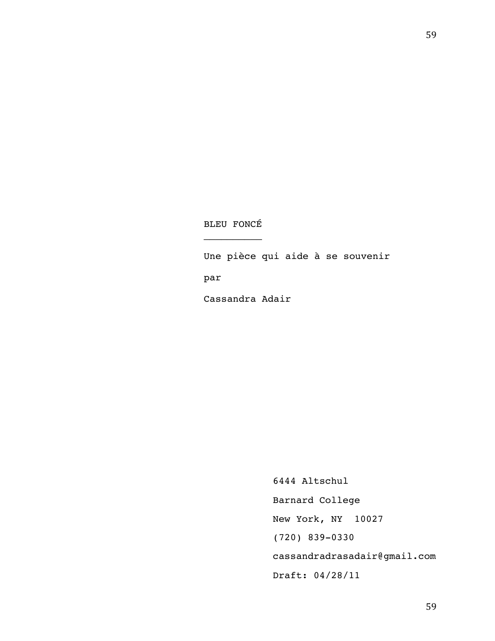# BLEU FONCÉ

 $\mathcal{L}$  . The set of the set of the set of the set of the set of the set of the set of the set of the set of the set of the set of the set of the set of the set of the set of the set of the set of the set of the set of t

Une pièce qui aide à se souvenir

par

Cassandra Adair

6444 Altschul Barnard College New York, NY 10027 (720) 839-0330 cassandradrasadair@gmail.com Draft: 04/28/11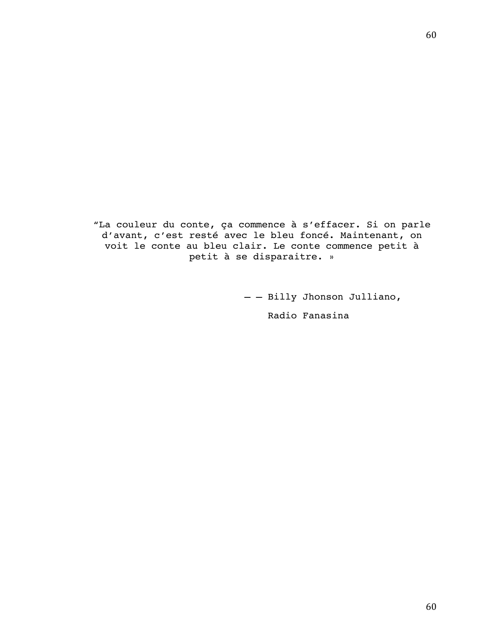"La couleur du conte, ça commence à s'effacer. Si on parle d'avant, c'est resté avec le bleu foncé. Maintenant, on voit le conte au bleu clair. Le conte commence petit à petit à se disparaitre. »

> – – Billy Jhonson Julliano, Radio Fanasina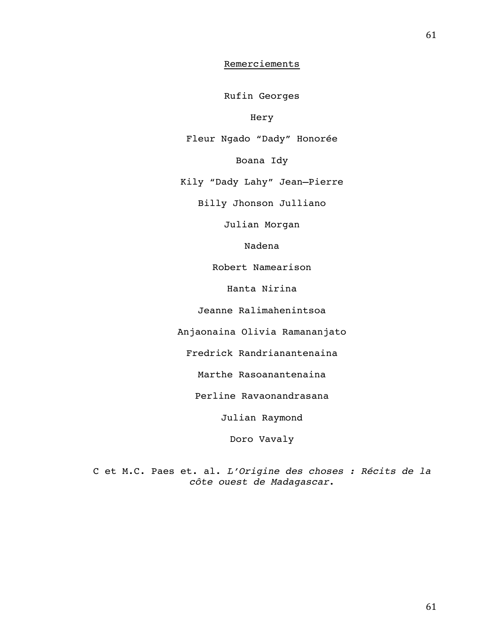# Remerciements

Rufin Georges

Hery

Fleur Ngado "Dady" Honorée

Boana Idy

Kily "Dady Lahy" Jean–Pierre

Billy Jhonson Julliano

Julian Morgan

Nadena

Robert Namearison

Hanta Nirina

Jeanne Ralimahenintsoa

Anjaonaina Olivia Ramananjato

Fredrick Randrianantenaina

Marthe Rasoanantenaina

Perline Ravaonandrasana

Julian Raymond

Doro Vavaly

C et M.C. Paes et. al. *L'Origine des choses : Récits de la côte ouest de Madagascar*.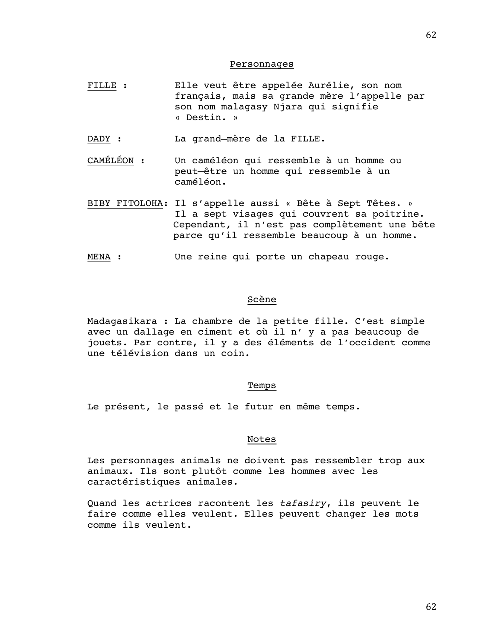#### Personnages

- FILLE : Elle veut être appelée Aurélie, son nom français, mais sa grande mère l'appelle par son nom malagasy Njara qui signifie « Destin. »
- DADY : La grand–mère de la FILLE.
- CAMÉLÉON : Un caméléon qui ressemble à un homme ou peut–être un homme qui ressemble à un caméléon.
- BIBY FITOLOHA: Il s'appelle aussi « Bête à Sept Têtes. » Il a sept visages qui couvrent sa poitrine. Cependant, il n'est pas complètement une bête parce qu'il ressemble beaucoup à un homme.
- MENA : Une reine qui porte un chapeau rouge.

### Scène

Madagasikara : La chambre de la petite fille. C'est simple avec un dallage en ciment et où il n' y a pas beaucoup de jouets. Par contre, il y a des éléments de l'occident comme une télévision dans un coin.

#### Temps

Le présent, le passé et le futur en même temps.

#### Notes

Les personnages animals ne doivent pas ressembler trop aux animaux. Ils sont plutôt comme les hommes avec les caractéristiques animales.

Quand les actrices racontent les *tafasiry*, ils peuvent le faire comme elles veulent. Elles peuvent changer les mots comme ils veulent.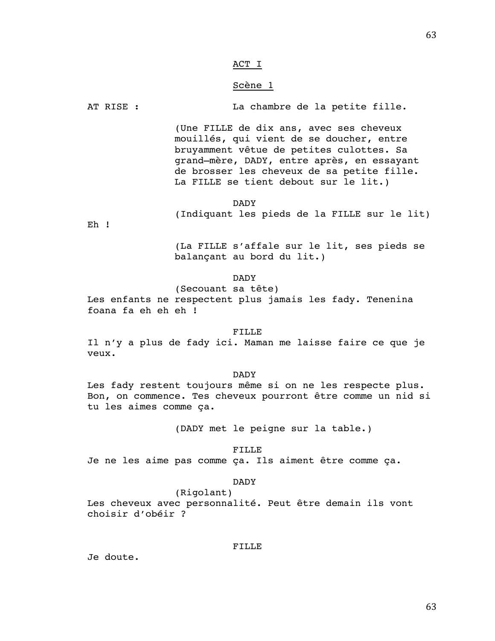## ACT I

## Scène 1

AT RISE : La chambre de la petite fille.

(Une FILLE de dix ans, avec ses cheveux mouillés, qui vient de se doucher, entre bruyamment vêtue de petites culottes. Sa grand–mère, DADY, entre après, en essayant de brosser les cheveux de sa petite fille. La FILLE se tient debout sur le lit.)

#### DADY

(Indiquant les pieds de la FILLE sur le lit)

Eh !

(La FILLE s'affale sur le lit, ses pieds se balançant au bord du lit.)

DADY

(Secouant sa tête) Les enfants ne respectent plus jamais les fady. Tenenina foana fa eh eh eh !

#### FILLE

Il n'y a plus de fady ici. Maman me laisse faire ce que je veux.

DADY

Les fady restent toujours même si on ne les respecte plus. Bon, on commence. Tes cheveux pourront être comme un nid si tu les aimes comme ça.

(DADY met le peigne sur la table.)

FILLE

Je ne les aime pas comme ça. Ils aiment être comme ça.

DADY

(Rigolant) Les cheveux avec personnalité. Peut être demain ils vont choisir d'obéir ?

FILLE

Je doute.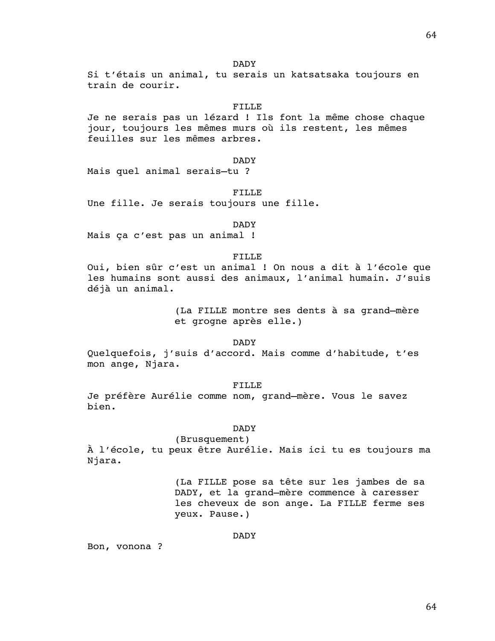DADY

Si t'étais un animal, tu serais un katsatsaka toujours en train de courir.

## FILLE

Je ne serais pas un lézard ! Ils font la même chose chaque jour, toujours les mêmes murs où ils restent, les mêmes feuilles sur les mêmes arbres.

# DADY

Mais quel animal serais–tu ?

#### FILLE

Une fille. Je serais toujours une fille.

#### DADY

Mais ça c'est pas un animal !

## FILLE

Oui, bien sûr c'est un animal ! On nous a dit à l'école que les humains sont aussi des animaux, l'animal humain. J'suis déjà un animal.

> (La FILLE montre ses dents à sa grand–mère et grogne après elle.)

> > DADY

Quelquefois, j'suis d'accord. Mais comme d'habitude, t'es mon ange, Njara.

FILLE

Je préfère Aurélie comme nom, grand–mère. Vous le savez bien.

#### DADY

(Brusquement) À l'école, tu peux être Aurélie. Mais ici tu es toujours ma Njara.

> (La FILLE pose sa tête sur les jambes de sa DADY, et la grand–mère commence à caresser les cheveux de son ange. La FILLE ferme ses yeux. Pause.)

> > DADY

Bon, vonona ?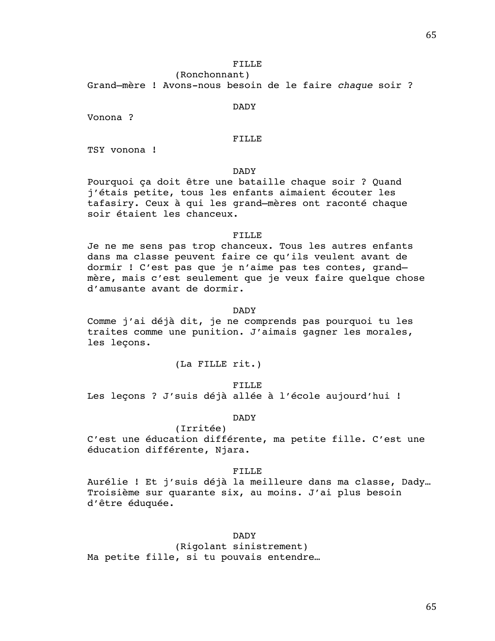## FILLE

(Ronchonnant)

Grand–mère ! Avons-nous besoin de le faire *chaque* soir ?

#### DADY

Vonona ?

## FILLE

TSY vonona !

# DADY

Pourquoi ça doit être une bataille chaque soir ? Quand j'étais petite, tous les enfants aimaient écouter les tafasiry. Ceux à qui les grand–mères ont raconté chaque soir étaient les chanceux.

#### FILLE

Je ne me sens pas trop chanceux. Tous les autres enfants dans ma classe peuvent faire ce qu'ils veulent avant de dormir ! C'est pas que je n'aime pas tes contes, grand– mère, mais c'est seulement que je veux faire quelque chose d'amusante avant de dormir.

### DADY

Comme j'ai déjà dit, je ne comprends pas pourquoi tu les traites comme une punition. J'aimais gagner les morales, les leçons.

(La FILLE rit.)

FILLE Les leçons ? J'suis déjà allée à l'école aujourd'hui !

DADY

(Irritée) C'est une éducation différente, ma petite fille. C'est une éducation différente, Njara.

### FILLE

Aurélie ! Et j'suis déjà la meilleure dans ma classe, Dady… Troisième sur quarante six, au moins. J'ai plus besoin d'être éduquée.

# DADY

(Rigolant sinistrement) Ma petite fille, si tu pouvais entendre…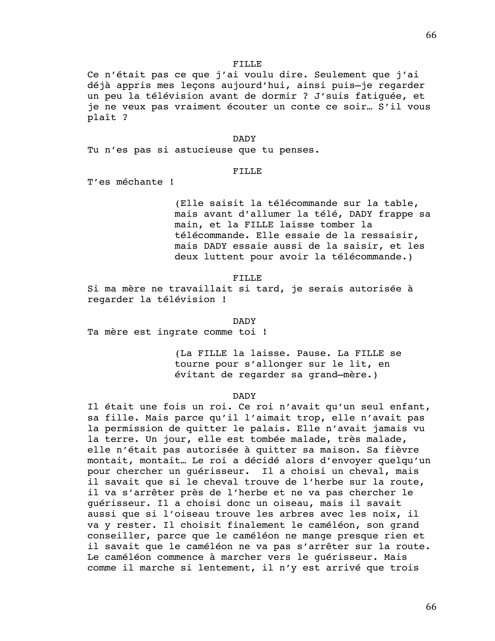#### FILLE

Ce n'était pas ce que j'ai voulu dire. Seulement que j'ai déjà appris mes leçons aujourd'hui, ainsi puis–je regarder un peu la télévision avant de dormir ? J'suis fatiguée, et je ne veux pas vraiment écouter un conte ce soir… S'il vous plaît ?

#### DADY

Tu n'es pas si astucieuse que tu penses.

## FILLE

T'es méchante !

(Elle saisit la télécommande sur la table, mais avant d'allumer la télé, DADY frappe sa main, et la FILLE laisse tomber la télécommande. Elle essaie de la ressaisir, mais DADY essaie aussi de la saisir, et les deux luttent pour avoir la télécommande.)

#### FILLE

Si ma mère ne travaillait si tard, je serais autorisée à regarder la télévision !

DADY

Ta mère est ingrate comme toi !

(La FILLE la laisse. Pause. La FILLE se tourne pour s'allonger sur le lit, en évitant de regarder sa grand–mère.)

#### DADY

Il était une fois un roi. Ce roi n'avait qu'un seul enfant, sa fille. Mais parce qu'il l'aimait trop, elle n'avait pas la permission de quitter le palais. Elle n'avait jamais vu la terre. Un jour, elle est tombée malade, très malade, elle n'était pas autorisée à quitter sa maison. Sa fièvre montait, montait… Le roi a décidé alors d'envoyer quelqu'un pour chercher un guérisseur. Il a choisi un cheval, mais il savait que si le cheval trouve de l'herbe sur la route, il va s'arrêter près de l'herbe et ne va pas chercher le guérisseur. Il a choisi donc un oiseau, mais il savait aussi que si l'oiseau trouve les arbres avec les noix, il va y rester. Il choisit finalement le caméléon, son grand conseiller, parce que le caméléon ne mange presque rien et il savait que le caméléon ne va pas s'arrêter sur la route. Le caméléon commence à marcher vers le guérisseur. Mais comme il marche si lentement, il n'y est arrivé que trois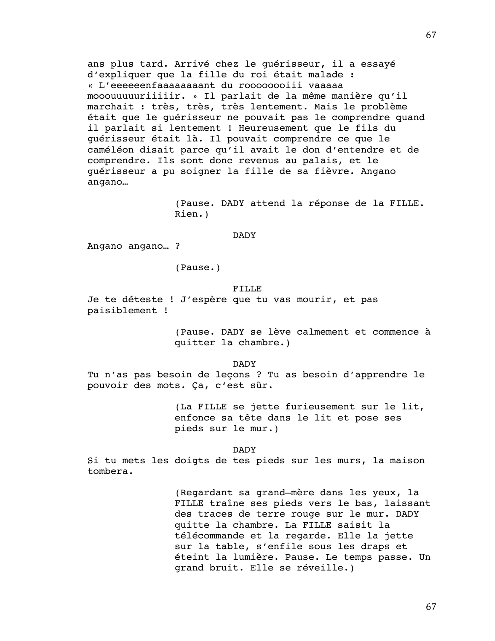ans plus tard. Arrivé chez le guérisseur, il a essayé d'expliquer que la fille du roi était malade : « L'eeeeeenfaaaaaaaant du roooooooiii vaaaaa mooouuuuuriiiiir. » Il parlait de la même manière qu'il marchait : très, très, très lentement. Mais le problème était que le guérisseur ne pouvait pas le comprendre quand il parlait si lentement ! Heureusement que le fils du guérisseur était là. Il pouvait comprendre ce que le caméléon disait parce qu'il avait le don d'entendre et de comprendre. Ils sont donc revenus au palais, et le guérisseur a pu soigner la fille de sa fièvre. Angano angano…

> (Pause. DADY attend la réponse de la FILLE. Rien.)

#### DADY

Angano angano… ?

(Pause.)

#### FILLE

Je te déteste ! J'espère que tu vas mourir, et pas paisiblement !

> (Pause. DADY se lève calmement et commence à quitter la chambre.)

> > DADY

Tu n'as pas besoin de leçons ? Tu as besoin d'apprendre le pouvoir des mots. Ça, c'est sûr.

> (La FILLE se jette furieusement sur le lit, enfonce sa tête dans le lit et pose ses pieds sur le mur.)

> > DADY

Si tu mets les doigts de tes pieds sur les murs, la maison tombera.

> (Regardant sa grand–mère dans les yeux, la FILLE traîne ses pieds vers le bas, laissant des traces de terre rouge sur le mur. DADY quitte la chambre. La FILLE saisit la télécommande et la regarde. Elle la jette sur la table, s'enfile sous les draps et éteint la lumière. Pause. Le temps passe. Un grand bruit. Elle se réveille.)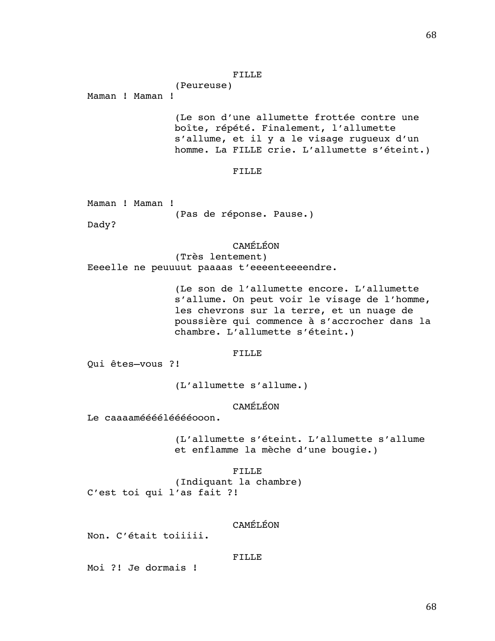#### FILLE

(Peureuse)

Maman ! Maman !

(Le son d'une allumette frottée contre une boîte, répété. Finalement, l'allumette s'allume, et il y a le visage rugueux d'un homme. La FILLE crie. L'allumette s'éteint.)

#### FILLE

|  | Maman ! Maman ! |  |                          |  |
|--|-----------------|--|--------------------------|--|
|  |                 |  | (Pas de réponse. Pause.) |  |

Dady?

# CAMÉLÉON

(Très lentement) Eeeelle ne peuuuut paaaas t'eeeenteeeendre.

> (Le son de l'allumette encore. L'allumette s'allume. On peut voir le visage de l'homme, les chevrons sur la terre, et un nuage de poussière qui commence à s'accrocher dans la chambre. L'allumette s'éteint.)

#### FILLE

Qui êtes–vous ?!

(L'allumette s'allume.)

# CAMÉLÉON

Le caaaaméééélééééooon.

(L'allumette s'éteint. L'allumette s'allume et enflamme la mèche d'une bougie.)

FILLE (Indiquant la chambre) C'est toi qui l'as fait ?!

# CAMÉLÉON

Non. C'était toiiiii.

## FILLE

Moi ?! Je dormais !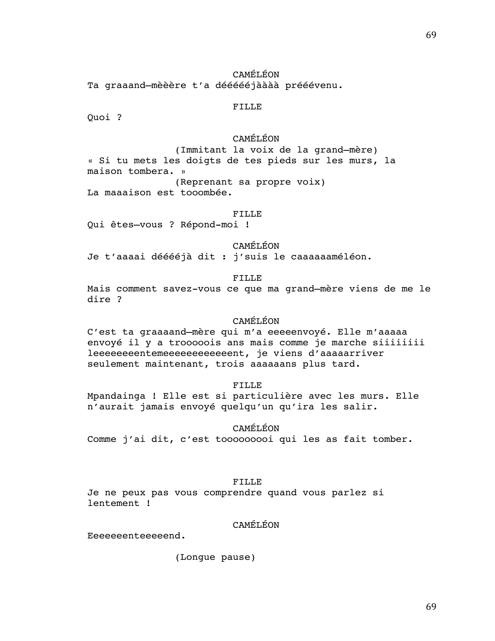CAMÉLÉON Ta graaand–mèèère t'a déééééjàààà prééévenu.

# FILLE

Quoi ?

# CAMÉLÉON

(Immitant la voix de la grand–mère) « Si tu mets les doigts de tes pieds sur les murs, la maison tombera. » (Reprenant sa propre voix) La maaaison est tooombée.

#### FILLE

Qui êtes–vous ? Répond-moi !

CAMÉLÉON

Je t'aaaai dééééjà dit : j'suis le caaaaaaméléon.

#### FILLE

Mais comment savez-vous ce que ma grand–mère viens de me le dire ?

## CAMÉLÉON

C'est ta graaaand–mère qui m'a eeeeenvoyé. Elle m'aaaaa envoyé il y a trooooois ans mais comme je marche siiiiiiii leeeeeeeentemeeeeeeeeeeeent, je viens d'aaaaarriver seulement maintenant, trois aaaaaans plus tard.

## FILLE

Mpandainga ! Elle est si particulière avec les murs. Elle n'aurait jamais envoyé quelqu'un qu'ira les salir.

CAMÉLÉON

Comme j'ai dit, c'est tooooooooi qui les as fait tomber.

## FILLE

Je ne peux pas vous comprendre quand vous parlez si lentement !

# CAMÉLÉON

Eeeeeeenteeeeend.

(Longue pause)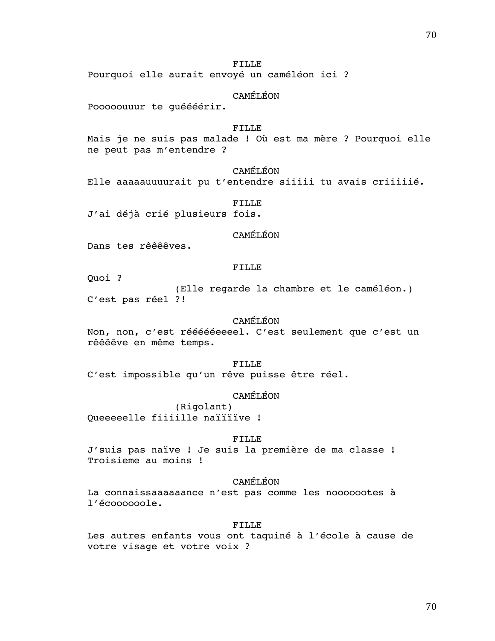FILLE

Pourquoi elle aurait envoyé un caméléon ici ?

CAMÉLÉON

Pooooouuur te guéééérir.

## FILLE

Mais je ne suis pas malade ! Où est ma mère ? Pourquoi elle ne peut pas m'entendre ?

# CAMÉLÉON

Elle aaaaauuuurait pu t'entendre siiiii tu avais criiiiié.

FILLE J'ai déjà crié plusieurs fois.

#### CAMÉLÉON

Dans tes rêêêêves.

#### FILLE

Quoi ?

(Elle regarde la chambre et le caméléon.) C'est pas réel ?!

# CAMÉLÉON

Non, non, c'est réééééeeeel. C'est seulement que c'est un rêêêêve en même temps.

FILLE C'est impossible qu'un rêve puisse être réel*.*

## CAMÉLÉON

(Rigolant) Queeeeelle fiiiille naïïïïve !

### FILLE

J'suis pas naïve ! Je suis la première de ma classe ! Troisieme au moins !

# CAMÉLÉON

La connaissaaaaaance n'est pas comme les nooooootes à l'écoooooole.

#### FILLE

Les autres enfants vous ont taquiné à l'école à cause de votre visage et votre voix ?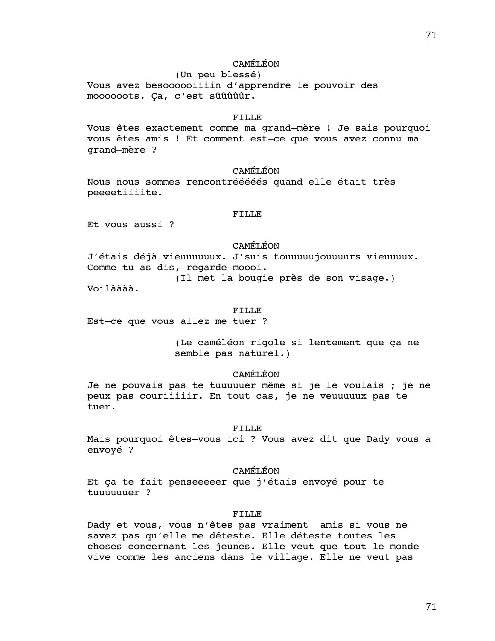# CAMÉLÉON

(Un peu blessé) Vous avez besoooooiiiin d'apprendre le pouvoir des moooooots. Ça, c'est sûûûûûr.

#### FILLE

Vous êtes exactement comme ma grand–mère ! Je sais pourquoi vous êtes amis ! Et comment est–ce que vous avez connu ma grand–mère ?

#### CAMÉLÉON

Nous nous sommes rencontrééééés quand elle était très peeeetiiiite.

## FILLE

Et vous aussi ?

# CAMÉLÉON

J'étais déjà vieuuuuuux. J'suis touuuuujouuuurs vieuuuux. Comme tu as dis, regarde–moooi.

(Il met la bougie près de son visage.)

Voilàààà.

### FILLE

Est–ce que vous allez me tuer ?

(Le caméléon rigole si lentement que ça ne semble pas naturel.)

## CAMÉLÉON

Je ne pouvais pas te tuuuuuer même si je le voulais ; je ne peux pas couriiiiir. En tout cas, je ne veuuuuux pas te tuer.

#### FILLE

Mais pourquoi êtes–vous ici ? Vous avez dit que Dady vous a envoyé ?

### CAMÉLÉON

Et ça te fait penseeeeer que j'étais envoyé pour te tuuuuuuer ?

## FILLE

Dady et vous, vous n'êtes pas vraiment amis si vous ne savez pas qu'elle me déteste. Elle déteste toutes les choses concernant les jeunes. Elle veut que tout le monde vive comme les anciens dans le village. Elle ne veut pas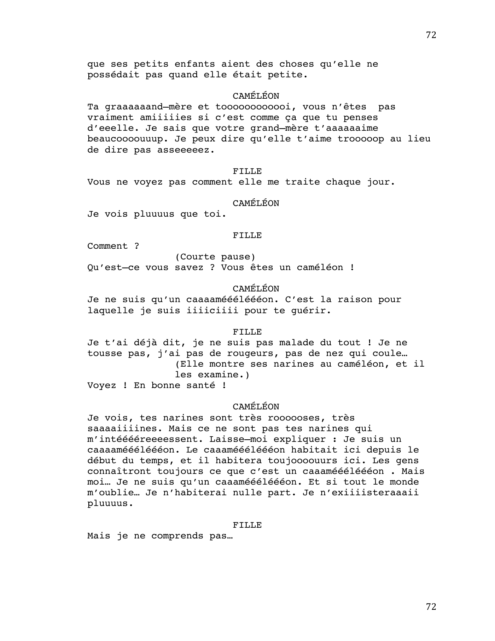que ses petits enfants aient des choses qu'elle ne possédait pas quand elle était petite.

# CAMÉLÉON

Ta graaaaaand–mère et toooooooooooi, vous n'êtes pas vraiment amiiiiies si c'est comme ça que tu penses d'eeelle. Je sais que votre grand–mère t'aaaaaaime beaucoooouuup. Je peux dire qu'elle t'aime trooooop au lieu de dire pas asseeeeez.

FILLE

Vous ne voyez pas comment elle me traite chaque jour.

# CAMÉLÉON

Je vois pluuuus que toi.

## FILLE

Comment ?

(Courte pause) Qu'est–ce vous savez ? Vous êtes un caméléon !

# CAMÉLÉON

Je ne suis qu'un caaaaméééléééon. C'est la raison pour laquelle je suis iiiiciiii pour te guérir.

## FILLE

Je t'ai déjà dit, je ne suis pas malade du tout ! Je ne tousse pas, j'ai pas de rougeurs, pas de nez qui coule… (Elle montre ses narines au caméléon, et il les examine.)

Voyez ! En bonne santé !

# CAMÉLÉON

Je vois, tes narines sont très roooooses, très saaaaiiiines. Mais ce ne sont pas tes narines qui m'intééééreeeessent. Laisse–moi expliquer : Je suis un caaaaméééléééon. Le caaaméééléééon habitait ici depuis le début du temps, et il habitera toujoooouurs ici. Les gens connaîtront toujours ce que c'est un caaaméééléééon . Mais moi… Je ne suis qu'un caaaméééléééon. Et si tout le monde m'oublie… Je n'habiterai nulle part. Je n'exiiiisteraaaii pluuuus.

## FILLE

Mais je ne comprends pas…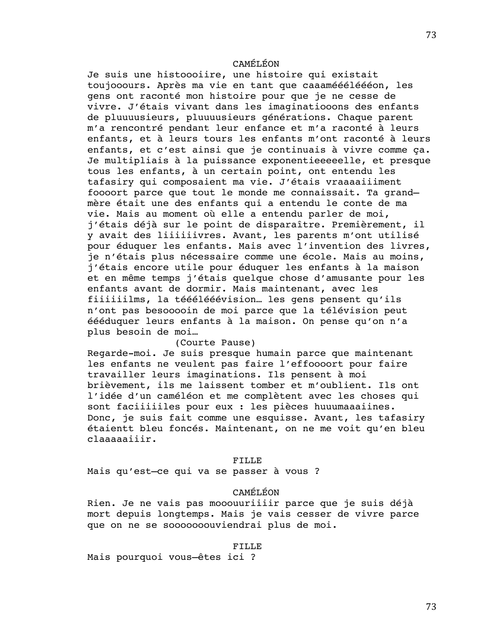# CAMÉLÉON

Je suis une histoooiire, une histoire qui existait toujooours. Après ma vie en tant que caaaméééléééon, les gens ont raconté mon histoire pour que je ne cesse de vivre. J'étais vivant dans les imaginatiooons des enfants de pluuuusieurs, pluuuusieurs générations. Chaque parent m'a rencontré pendant leur enfance et m'a raconté à leurs enfants, et à leurs tours les enfants m'ont raconté à leurs enfants, et c'est ainsi que je continuais à vivre comme ça. Je multipliais à la puissance exponentieeeeelle, et presque tous les enfants, à un certain point, ont entendu les tafasiry qui composaient ma vie. J'étais vraaaaiiiment foooort parce que tout le monde me connaissait. Ta grand– mère était une des enfants qui a entendu le conte de ma vie. Mais au moment où elle a entendu parler de moi, j'étais déjà sur le point de disparaître. Premièrement, il y avait des liiiiiivres. Avant, les parents m'ont utilisé pour éduquer les enfants. Mais avec l'invention des livres, je n'étais plus nécessaire comme une école. Mais au moins, j'étais encore utile pour éduquer les enfants à la maison et en même temps j'étais quelque chose d'amusante pour les enfants avant de dormir. Mais maintenant, avec les fiiiiiilms, la tééélééévision… les gens pensent qu'ils n'ont pas besooooin de moi parce que la télévision peut éééduquer leurs enfants à la maison. On pense qu'on n'a plus besoin de moi…

(Courte Pause) Regarde-moi. Je suis presque humain parce que maintenant les enfants ne veulent pas faire l'effoooort pour faire travailler leurs imaginations. Ils pensent à moi brièvement, ils me laissent tomber et m'oublient. Ils ont l'idée d'un caméléon et me complètent avec les choses qui sont faciiiiiles pour eux : les pièces huuumaaaiines. Donc, je suis fait comme une esquisse. Avant, les tafasiry étaientt bleu foncés. Maintenant, on ne me voit qu'en bleu claaaaaiiir.

## FILLE

Mais qu'est–ce qui va se passer à vous ?

# CAMÉLÉON

Rien. Je ne vais pas mooouuriiiir parce que je suis déjà mort depuis longtemps. Mais je vais cesser de vivre parce que on ne se sooooooouviendrai plus de moi.

#### FILLE

Mais pourquoi vous–êtes ici ?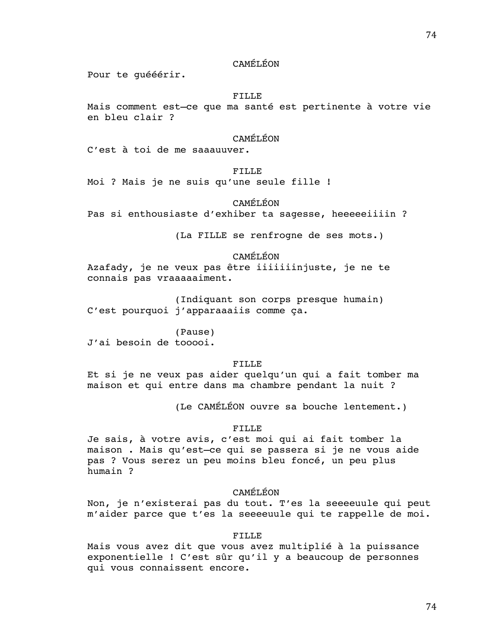# CAMÉLÉON

Pour te guééérir.

# FILLE

Mais comment est–ce que ma santé est pertinente à votre vie en bleu clair ?

# CAMÉLÉON

C'est à toi de me saaauuver.

## FILLE

Moi ? Mais je ne suis qu'une seule fille !

# CAMÉLÉON

Pas si enthousiaste d'exhiber ta sagesse, heeeeeiiiin ?

(La FILLE se renfrogne de ses mots.)

# CAMÉLÉON

Azafady, je ne veux pas être iiiiiiinjuste, je ne te connais pas vraaaaaiment.

(Indiquant son corps presque humain) C'est pourquoi j'apparaaaiis comme ça.

(Pause) J'ai besoin de tooooi.

# FILLE

Et si je ne veux pas aider quelqu'un qui a fait tomber ma maison et qui entre dans ma chambre pendant la nuit ?

(Le CAMÉLÉON ouvre sa bouche lentement.)

## FILLE

Je sais, à votre avis, c'est moi qui ai fait tomber la maison . Mais qu'est–ce qui se passera si je ne vous aide pas ? Vous serez un peu moins bleu foncé, un peu plus humain ?

# CAMÉLÉON

Non, je n'existerai pas du tout. T'es la seeeeuule qui peut m'aider parce que t'es la seeeeuule qui te rappelle de moi.

## FILLE

Mais vous avez dit que vous avez multiplié à la puissance exponentielle ! C'est sûr qu'il y a beaucoup de personnes qui vous connaissent encore.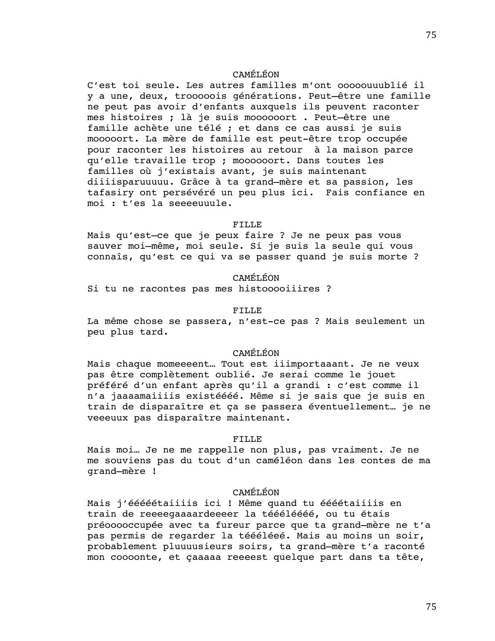# CAMÉLÉON

C'est toi seule. Les autres familles m'ont ooooouuublié il y a une, deux, trooooois générations. Peut–être une famille ne peut pas avoir d'enfants auxquels ils peuvent raconter mes histoires ; là je suis moooooort . Peut–être une famille achète une télé ; et dans ce cas aussi je suis mooooort. La mère de famille est peut-être trop occupée pour raconter les histoires au retour à la maison parce qu'elle travaille trop ; moooooort. Dans toutes les familles où j'existais avant, je suis maintenant diiiisparuuuuu. Grâce à ta grand–mère et sa passion, les tafasiry ont persévéré un peu plus ici. Fais confiance en moi : t'es la seeeeuuule.

## FILLE

Mais qu'est–ce que je peux faire ? Je ne peux pas vous sauver moi–même, moi seule. Si je suis la seule qui vous connaîs, qu'est ce qui va se passer quand je suis morte ?

# CAMÉLÉON

Si tu ne racontes pas mes histooooiiires ?

## FILLE

La même chose se passera, n'est-ce pas ? Mais seulement un peu plus tard.

# CAMÉLÉON

Mais chaque momeeeent… Tout est iiimportaaant. Je ne veux pas être complètement oublié. Je serai comme le jouet préféré d'un enfant après qu'il a grandi : c'est comme il n'a jaaaamaiiiis existéééé. Même si je sais que je suis en train de disparaître et ça se passera éventuellement… je ne veeeuux pas disparaître maintenant.

# FILLE

Mais moi… Je ne me rappelle non plus, pas vraiment. Je ne me souviens pas du tout d'un caméléon dans les contes de ma grand–mère !

# CAMÉLÉON

Mais j'ééééétaiiiis ici ! Même quand tu éééétaiiiis en train de reeeegaaaardeeeer la téééléééé, ou tu étais préooooccupée avec ta fureur parce que ta grand–mère ne t'a pas permis de regarder la téééléeé. Mais au moins un soir, probablement pluuuusieurs soirs, ta grand–mère t'a raconté mon coooonte, et çaaaaa reeeest quelque part dans ta tête,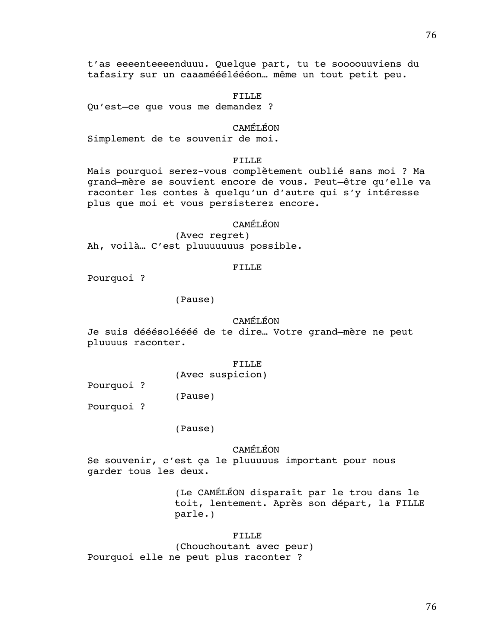t'as eeeenteeeenduuu. Quelque part, tu te soooouuviens du tafasiry sur un caaaméééléééon… même un tout petit peu.

# FILLE

Qu'est–ce que vous me demandez ?

## CAMÉLÉON

Simplement de te souvenir de moi.

# FILLE

Mais pourquoi serez-vous complètement oublié sans moi ? Ma grand–mère se souvient encore de vous. Peut–être qu'elle va raconter les contes à quelqu'un d'autre qui s'y intéresse plus que moi et vous persisterez encore.

# CAMÉLÉON

(Avec regret) Ah, voilà… C'est pluuuuuuus possible.

# FILLE

Pourquoi ?

# (Pause)

# CAMÉLÉON

Je suis dééésoléééé de te dire… Votre grand–mère ne peut pluuuus raconter.

### FILLE

(Avec suspicion)

Pourquoi ?

(Pause)

Pourquoi ?

# (Pause)

CAMÉLÉON

Se souvenir, c'est ça le pluuuuus important pour nous garder tous les deux.

> (Le CAMÉLÉON disparaît par le trou dans le toit, lentement. Après son départ, la FILLE parle.)

# FILLE

(Chouchoutant avec peur) Pourquoi elle ne peut plus raconter ?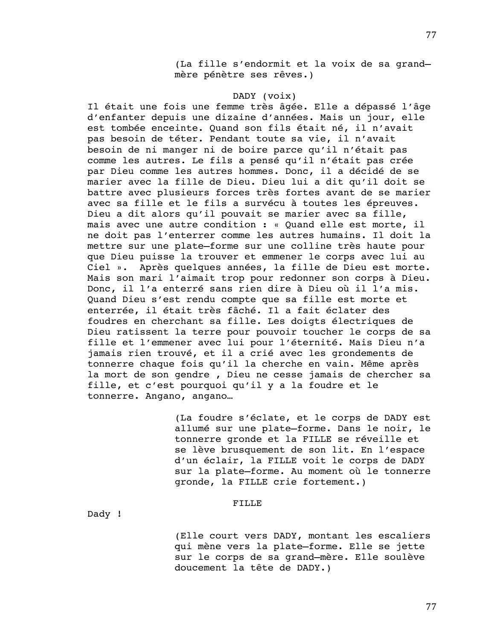(La fille s'endormit et la voix de sa grand– mère pénètre ses rêves.)

# DADY (voix)

Il était une fois une femme très âgée. Elle a dépassé l'âge d'enfanter depuis une dizaine d'années. Mais un jour, elle est tombée enceinte. Quand son fils était né, il n'avait pas besoin de téter. Pendant toute sa vie, il n'avait besoin de ni manger ni de boire parce qu'il n'était pas comme les autres. Le fils a pensé qu'il n'était pas crée par Dieu comme les autres hommes. Donc, il a décidé de se marier avec la fille de Dieu. Dieu lui a dit qu'il doit se battre avec plusieurs forces très fortes avant de se marier avec sa fille et le fils a survécu à toutes les épreuves. Dieu a dit alors qu'il pouvait se marier avec sa fille, mais avec une autre condition : « Quand elle est morte, il ne doit pas l'enterrer comme les autres humains. Il doit la mettre sur une plate–forme sur une colline très haute pour que Dieu puisse la trouver et emmener le corps avec lui au Ciel ». Après quelques années, la fille de Dieu est morte. Mais son mari l'aimait trop pour redonner son corps à Dieu. Donc, il l'a enterré sans rien dire à Dieu où il l'a mis. Quand Dieu s'est rendu compte que sa fille est morte et enterrée, il était très fâché. Il a fait éclater des foudres en cherchant sa fille. Les doigts électriques de Dieu ratissent la terre pour pouvoir toucher le corps de sa fille et l'emmener avec lui pour l'éternité. Mais Dieu n'a jamais rien trouvé, et il a crié avec les grondements de tonnerre chaque fois qu'il la cherche en vain. Même après la mort de son gendre , Dieu ne cesse jamais de chercher sa fille, et c'est pourquoi qu'il y a la foudre et le tonnerre. Angano, angano…

> (La foudre s'éclate, et le corps de DADY est allumé sur une plate–forme. Dans le noir, le tonnerre gronde et la FILLE se réveille et se lève brusquement de son lit. En l'espace d'un éclair, la FILLE voit le corps de DADY sur la plate–forme. Au moment où le tonnerre gronde, la FILLE crie fortement.)

# FILLE

Dady !

(Elle court vers DADY, montant les escaliers qui mène vers la plate–forme. Elle se jette sur le corps de sa grand–mère. Elle soulève doucement la tête de DADY.)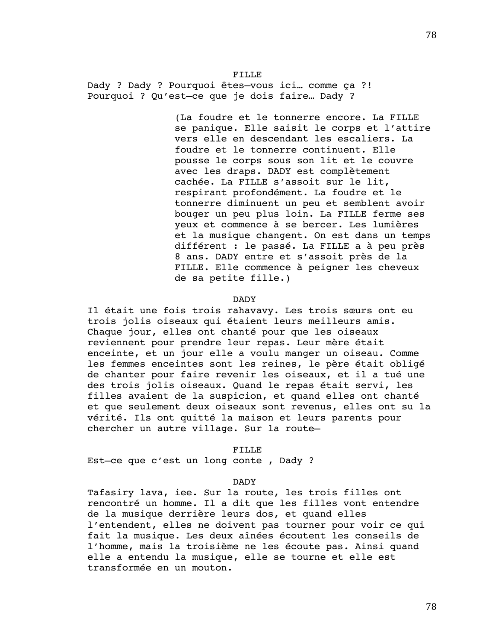FILLE Dady ? Dady ? Pourquoi êtes–vous ici… comme ça ?! Pourquoi ? Qu'est–ce que je dois faire… Dady ?

> (La foudre et le tonnerre encore. La FILLE se panique. Elle saisit le corps et l'attire vers elle en descendant les escaliers. La foudre et le tonnerre continuent. Elle pousse le corps sous son lit et le couvre avec les draps. DADY est complètement cachée. La FILLE s'assoit sur le lit, respirant profondément. La foudre et le tonnerre diminuent un peu et semblent avoir bouger un peu plus loin. La FILLE ferme ses yeux et commence à se bercer. Les lumières et la musique changent. On est dans un temps différent : le passé. La FILLE a à peu près 8 ans. DADY entre et s'assoit près de la FILLE. Elle commence à peigner les cheveux de sa petite fille.)

## DADY

Il était une fois trois rahavavy. Les trois sœurs ont eu trois jolis oiseaux qui étaient leurs meilleurs amis. Chaque jour, elles ont chanté pour que les oiseaux reviennent pour prendre leur repas. Leur mère était enceinte, et un jour elle a voulu manger un oiseau. Comme les femmes enceintes sont les reines, le père était obligé de chanter pour faire revenir les oiseaux, et il a tué une des trois jolis oiseaux. Quand le repas était servi, les filles avaient de la suspicion, et quand elles ont chanté et que seulement deux oiseaux sont revenus, elles ont su la vérité. Ils ont quitté la maison et leurs parents pour chercher un autre village. Sur la route–

### FILLE

Est–ce que c'est un long conte , Dady ?

### DADY

Tafasiry lava, iee. Sur la route, les trois filles ont rencontré un homme. Il a dit que les filles vont entendre de la musique derrière leurs dos, et quand elles l'entendent, elles ne doivent pas tourner pour voir ce qui fait la musique. Les deux aînées écoutent les conseils de l'homme, mais la troisième ne les écoute pas. Ainsi quand elle a entendu la musique, elle se tourne et elle est transformée en un mouton.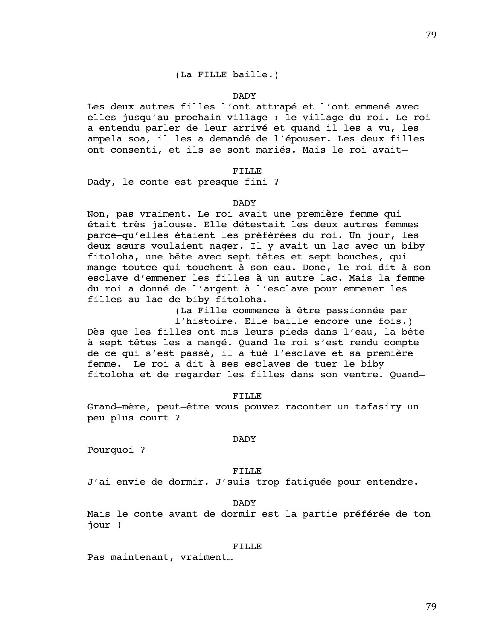# (La FILLE baille.)

## DADY

Les deux autres filles l'ont attrapé et l'ont emmené avec elles jusqu'au prochain village : le village du roi. Le roi a entendu parler de leur arrivé et quand il les a vu, les ampela soa, il les a demandé de l'épouser. Les deux filles ont consenti, et ils se sont mariés. Mais le roi avait–

## FILLE

Dady, le conte est presque fini ?

### DADY

Non, pas vraiment. Le roi avait une première femme qui était très jalouse. Elle détestait les deux autres femmes parce–qu'elles étaient les préférées du roi. Un jour, les deux sœurs voulaient nager. Il y avait un lac avec un biby fitoloha, une bête avec sept têtes et sept bouches, qui mange toutce qui touchent à son eau. Donc, le roi dit à son esclave d'emmener les filles à un autre lac. Mais la femme du roi a donné de l'argent à l'esclave pour emmener les filles au lac de biby fitoloha.

> (La Fille commence à être passionnée par l'histoire. Elle baille encore une fois.)

Dès que les filles ont mis leurs pieds dans l'eau, la bête à sept têtes les a mangé. Quand le roi s'est rendu compte de ce qui s'est passé, il a tué l'esclave et sa première femme. Le roi a dit à ses esclaves de tuer le biby fitoloha et de regarder les filles dans son ventre. Quand–

## FILLE

Grand–mère, peut–être vous pouvez raconter un tafasiry un peu plus court ?

## DADY

Pourquoi ?

#### FILLE

J'ai envie de dormir. J'suis trop fatiguée pour entendre.

## DADY

Mais le conte avant de dormir est la partie préférée de ton jour !

#### FILLE

Pas maintenant, vraiment…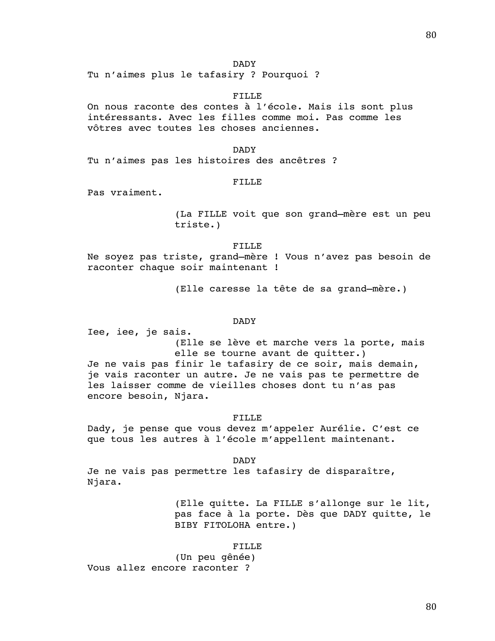DADY

Tu n'aimes plus le tafasiry ? Pourquoi ?

## FILLE

On nous raconte des contes à l'école. Mais ils sont plus intéressants. Avec les filles comme moi. Pas comme les vôtres avec toutes les choses anciennes.

DADY Tu n'aimes pas les histoires des ancêtres ?

## FILLE

Pas vraiment.

(La FILLE voit que son grand–mère est un peu triste.)

### FILLE

Ne soyez pas triste, grand–mère ! Vous n'avez pas besoin de raconter chaque soir maintenant !

(Elle caresse la tête de sa grand–mère.)

# DADY

Iee, iee, je sais. (Elle se lève et marche vers la porte, mais elle se tourne avant de quitter.) Je ne vais pas finir le tafasiry de ce soir, mais demain, je vais raconter un autre. Je ne vais pas te permettre de les laisser comme de vieilles choses dont tu n'as pas encore besoin, Njara.

# FILLE

Dady, je pense que vous devez m'appeler Aurélie. C'est ce que tous les autres à l'école m'appellent maintenant.

DADY

Je ne vais pas permettre les tafasiry de disparaître, Njara.

> (Elle quitte. La FILLE s'allonge sur le lit, pas face à la porte. Dès que DADY quitte, le BIBY FITOLOHA entre.)

#### FILLE

(Un peu gênée) Vous allez encore raconter ?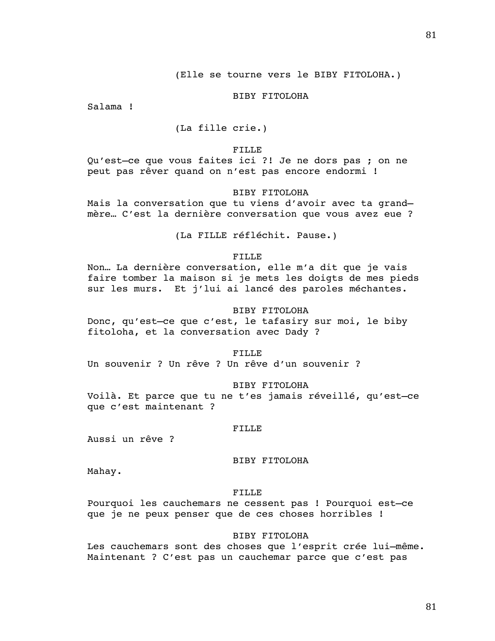## (Elle se tourne vers le BIBY FITOLOHA.)

## BIBY FITOLOHA

Salama !

(La fille crie.)

#### FILLE

Qu'est–ce que vous faites ici ?! Je ne dors pas ; on ne peut pas rêver quand on n'est pas encore endormi !

# BIBY FITOLOHA

Mais la conversation que tu viens d'avoir avec ta grand– mère… C'est la dernière conversation que vous avez eue ?

(La FILLE réfléchit. Pause.)

## FILLE

Non… La dernière conversation, elle m'a dit que je vais faire tomber la maison si je mets les doigts de mes pieds sur les murs. Et j'lui ai lancé des paroles méchantes.

## BIBY FITOLOHA

Donc, qu'est–ce que c'est, le tafasiry sur moi, le biby fitoloha, et la conversation avec Dady ?

#### FILLE

Un souvenir ? Un rêve ? Un rêve d'un souvenir ?

## BIBY FITOLOHA

Voilà. Et parce que tu ne t'es jamais réveillé, qu'est–ce que c'est maintenant ?

# FILLE

Aussi un rêve ?

# BIBY FITOLOHA

Mahay.

# FILLE

Pourquoi les cauchemars ne cessent pas ! Pourquoi est–ce que je ne peux penser que de ces choses horribles !

# BIBY FITOLOHA

Les cauchemars sont des choses que l'esprit crée lui–même. Maintenant ? C'est pas un cauchemar parce que c'est pas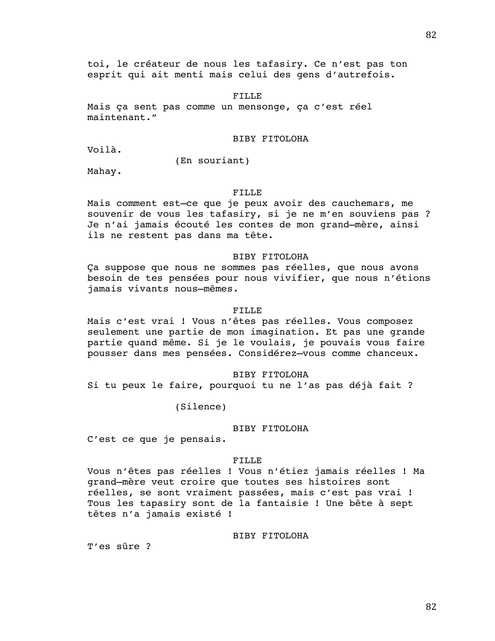toi, le créateur de nous les tafasiry. Ce n'est pas ton esprit qui ait menti mais celui des gens d'autrefois.

FILLE

Mais ça sent pas comme un mensonge, ça c'est réel maintenant."

BIBY FITOLOHA

Voilà.

(En souriant)

Mahay.

# FILLE

Mais comment est–ce que je peux avoir des cauchemars, me souvenir de vous les tafasiry, si je ne m'en souviens pas ? Je n'ai jamais écouté les contes de mon grand–mère, ainsi ils ne restent pas dans ma tête.

## BIBY FITOLOHA

Ça suppose que nous ne sommes pas réelles, que nous avons besoin de tes pensées pour nous vivifier, que nous n'étions jamais vivants nous–mêmes.

## FILLE

Mais c'est vrai ! Vous n'êtes pas réelles. Vous composez seulement une partie de mon imagination. Et pas une grande partie quand même. Si je le voulais, je pouvais vous faire pousser dans mes pensées. Considérez–vous comme chanceux.

# BIBY FITOLOHA

Si tu peux le faire, pourquoi tu ne l'as pas déjà fait ?

(Silence)

# BIBY FITOLOHA

C'est ce que je pensais.

#### FILLE

Vous n'êtes pas réelles ! Vous n'étiez jamais réelles ! Ma grand–mère veut croire que toutes ses histoires sont réelles, se sont vraiment passées, mais c'est pas vrai ! Tous les tapasiry sont de la fantaisie ! Une bête à sept têtes n'a jamais existé !

## BIBY FITOLOHA

T'es sûre ?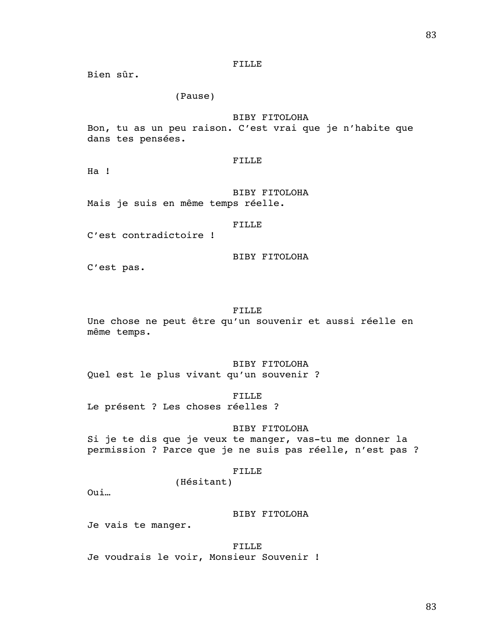Bien sûr.

# (Pause)

# BIBY FITOLOHA

Bon, tu as un peu raison. C'est vrai que je n'habite que dans tes pensées.

## FILLE

Ha !

BIBY FITOLOHA Mais je suis en même temps réelle.

# FILLE

C'est contradictoire !

BIBY FITOLOHA

C'est pas.

## FILLE

Une chose ne peut être qu'un souvenir et aussi réelle en même temps.

BIBY FITOLOHA Quel est le plus vivant qu'un souvenir ?

## FILLE

Le présent ? Les choses réelles ?

# BIBY FITOLOHA

Si je te dis que je veux te manger, vas-tu me donner la permission ? Parce que je ne suis pas réelle, n'est pas ?

#### FILLE

(Hésitant)

Oui…

## BIBY FITOLOHA

Je vais te manger.

FILLE Je voudrais le voir, Monsieur Souvenir !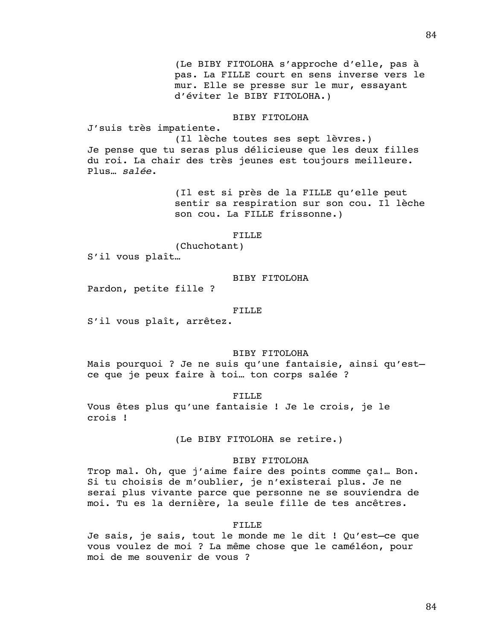(Le BIBY FITOLOHA s'approche d'elle, pas à pas. La FILLE court en sens inverse vers le mur. Elle se presse sur le mur, essayant d'éviter le BIBY FITOLOHA.)

# BIBY FITOLOHA

J'suis très impatiente.

(Il lèche toutes ses sept lèvres.) Je pense que tu seras plus délicieuse que les deux filles du roi. La chair des très jeunes est toujours meilleure. Plus… *salée*.

> (Il est si près de la FILLE qu'elle peut sentir sa respiration sur son cou. Il lèche son cou. La FILLE frissonne.)

### FILLE

(Chuchotant)

S'il vous plaît…

# BIBY FITOLOHA

Pardon, petite fille ?

#### FILLE

S'il vous plaît, arrêtez.

# BIBY FITOLOHA

Mais pourquoi ? Je ne suis qu'une fantaisie, ainsi qu'est– ce que je peux faire à toi… ton corps salée ?

## FILLE

Vous êtes plus qu'une fantaisie ! Je le crois, je le crois !

(Le BIBY FITOLOHA se retire.)

# BIBY FITOLOHA

Trop mal. Oh, que j'aime faire des points comme ça!… Bon. Si tu choisis de m'oublier, je n'existerai plus. Je ne serai plus vivante parce que personne ne se souviendra de moi. Tu es la dernière, la seule fille de tes ancêtres.

#### FILLE

Je sais, je sais, tout le monde me le dit ! Qu'est–ce que vous voulez de moi ? La même chose que le caméléon, pour moi de me souvenir de vous ?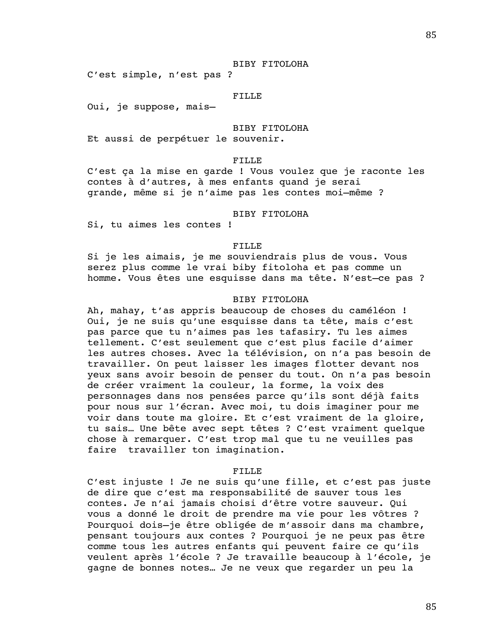### BIBY FITOLOHA

C'est simple, n'est pas ?

## FILLE

Oui, je suppose, mais–

# BIBY FITOLOHA

Et aussi de perpétuer le souvenir.

## FILLE

C'est ça la mise en garde ! Vous voulez que je raconte les contes à d'autres, à mes enfants quand je serai grande, même si je n'aime pas les contes moi–même ?

# BIBY FITOLOHA

Si, tu aimes les contes !

# FILLE

Si je les aimais, je me souviendrais plus de vous. Vous serez plus comme le vrai biby fitoloha et pas comme un homme. Vous êtes une esquisse dans ma tête. N'est–ce pas ?

# BIBY FITOLOHA

Ah, mahay, t'as appris beaucoup de choses du caméléon ! Oui, je ne suis qu'une esquisse dans ta tête, mais c'est pas parce que tu n'aimes pas les tafasiry. Tu les aimes tellement. C'est seulement que c'est plus facile d'aimer les autres choses. Avec la télévision, on n'a pas besoin de travailler. On peut laisser les images flotter devant nos yeux sans avoir besoin de penser du tout. On n'a pas besoin de créer vraiment la couleur, la forme, la voix des personnages dans nos pensées parce qu'ils sont déjà faits pour nous sur l'écran. Avec moi, tu dois imaginer pour me voir dans toute ma gloire. Et c'est vraiment de la gloire, tu sais… Une bête avec sept têtes ? C'est vraiment quelque chose à remarquer. C'est trop mal que tu ne veuilles pas faire travailler ton imagination.

#### FILLE

C'est injuste ! Je ne suis qu'une fille, et c'est pas juste de dire que c'est ma responsabilité de sauver tous les contes. Je n'ai jamais choisi d'être votre sauveur. Qui vous a donné le droit de prendre ma vie pour les vôtres ? Pourquoi dois–je être obligée de m'assoir dans ma chambre, pensant toujours aux contes ? Pourquoi je ne peux pas être comme tous les autres enfants qui peuvent faire ce qu'ils veulent après l'école ? Je travaille beaucoup à l'école, je gagne de bonnes notes… Je ne veux que regarder un peu la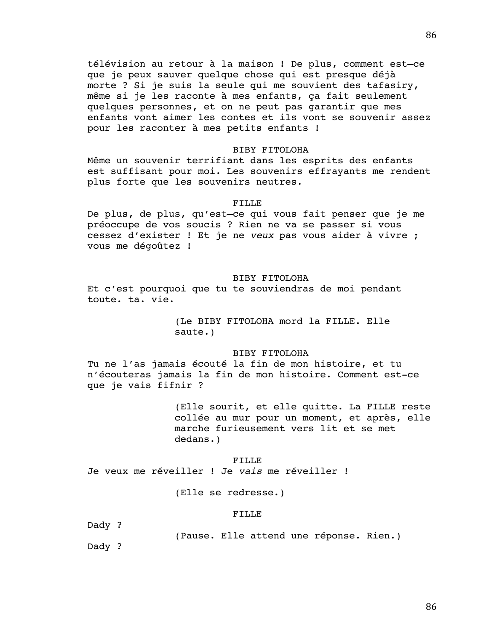télévision au retour à la maison ! De plus, comment est–ce que je peux sauver quelque chose qui est presque déjà morte ? Si je suis la seule qui me souvient des tafasiry, même si je les raconte à mes enfants, ça fait seulement quelques personnes, et on ne peut pas garantir que mes enfants vont aimer les contes et ils vont se souvenir assez pour les raconter à mes petits enfants !

#### BIBY FITOLOHA

Même un souvenir terrifiant dans les esprits des enfants est suffisant pour moi. Les souvenirs effrayants me rendent plus forte que les souvenirs neutres.

## FILLE

De plus, de plus, qu'est–ce qui vous fait penser que je me préoccupe de vos soucis ? Rien ne va se passer si vous cessez d'exister ! Et je ne *veux* pas vous aider à vivre ; vous me dégoûtez !

## BIBY FITOLOHA

Et c'est pourquoi que tu te souviendras de moi pendant toute. ta. vie.

> (Le BIBY FITOLOHA mord la FILLE. Elle saute.)

# BIBY FITOLOHA

Tu ne l'as jamais écouté la fin de mon histoire, et tu n'écouteras jamais la fin de mon histoire. Comment est-ce que je vais fifnir ?

> (Elle sourit, et elle quitte. La FILLE reste collée au mur pour un moment, et après, elle marche furieusement vers lit et se met dedans.)

#### FILLE

Je veux me réveiller ! Je *vais* me réveiller !

(Elle se redresse.)

#### FILLE

Dady ?

(Pause. Elle attend une réponse. Rien.)

Dady ?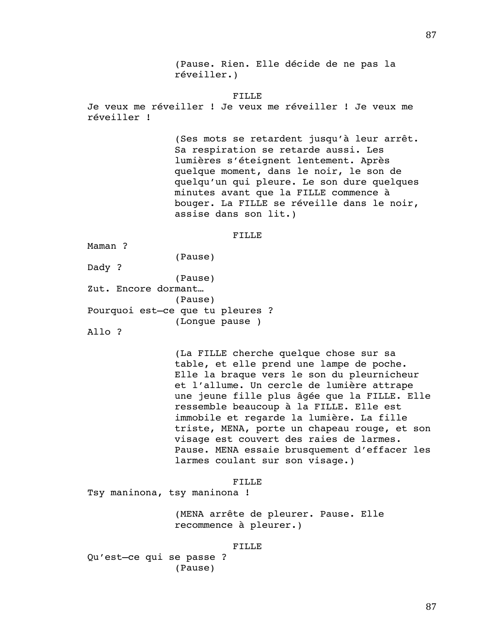(Pause. Rien. Elle décide de ne pas la réveiller.)

## FILLE

Je veux me réveiller ! Je veux me réveiller ! Je veux me réveiller !

> (Ses mots se retardent jusqu'à leur arrêt. Sa respiration se retarde aussi. Les lumières s'éteignent lentement. Après quelque moment, dans le noir, le son de quelqu'un qui pleure. Le son dure quelques minutes avant que la FILLE commence à bouger. La FILLE se réveille dans le noir, assise dans son lit.)

## FILLE

Maman ?

Dady ?

(Pause)

(Pause) Zut. Encore dormant… (Pause) Pourquoi est–ce que tu pleures ? (Longue pause )

Allo ?

(La FILLE cherche quelque chose sur sa table, et elle prend une lampe de poche. Elle la braque vers le son du pleurnicheur et l'allume. Un cercle de lumière attrape une jeune fille plus âgée que la FILLE. Elle ressemble beaucoup à la FILLE. Elle est immobile et regarde la lumière. La fille triste, MENA, porte un chapeau rouge, et son visage est couvert des raies de larmes. Pause. MENA essaie brusquement d'effacer les larmes coulant sur son visage.)

FILLE

Tsy maninona, tsy maninona !

(MENA arrête de pleurer. Pause. Elle recommence à pleurer.)

FILLE

Qu'est–ce qui se passe ? (Pause)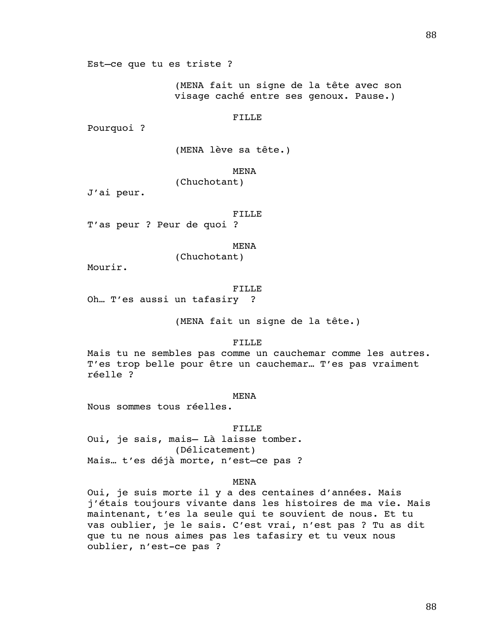Est–ce que tu es triste ?

(MENA fait un signe de la tête avec son visage caché entre ses genoux. Pause.)

FILLE

Pourquoi ?

(MENA lève sa tête.)

MENA

(Chuchotant)

J'ai peur.

FILLE

T'as peur ? Peur de quoi ?

MENA

(Chuchotant)

Mourir.

#### FILLE

Oh… T'es aussi un tafasiry ?

(MENA fait un signe de la tête.)

FILLE

Mais tu ne sembles pas comme un cauchemar comme les autres. T'es trop belle pour être un cauchemar… T'es pas vraiment réelle ?

MENA

Nous sommes tous réelles.

FILLE Oui, je sais, mais– Là laisse tomber. (Délicatement) Mais… t'es déjà morte, n'est–ce pas ?

MENA

Oui, je suis morte il y a des centaines d'années. Mais j'étais toujours vivante dans les histoires de ma vie. Mais maintenant, t'es la seule qui te souvient de nous. Et tu vas oublier, je le sais. C'est vrai, n'est pas ? Tu as dit que tu ne nous aimes pas les tafasiry et tu veux nous oublier, n'est-ce pas ?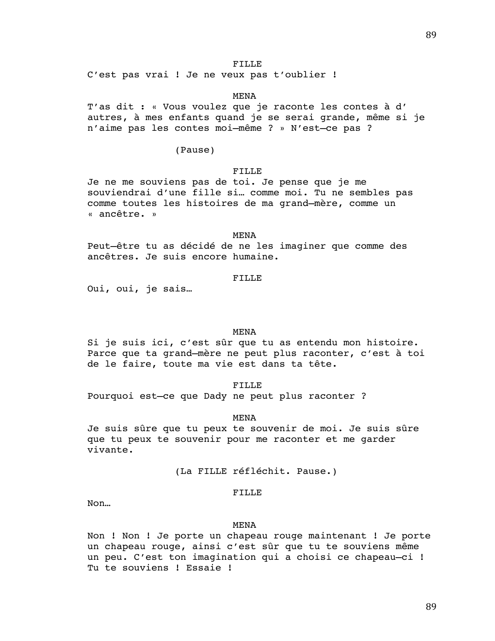C'est pas vrai ! Je ne veux pas t'oublier !

## MENA

T'as dit : « Vous voulez que je raconte les contes à d' autres, à mes enfants quand je se serai grande, même si je n'aime pas les contes moi–même ? » N'est–ce pas ?

(Pause)

# FILLE

Je ne me souviens pas de toi. Je pense que je me souviendrai d'une fille si… comme moi. Tu ne sembles pas comme toutes les histoires de ma grand–mère, comme un « ancêtre. »

#### MENA

Peut–être tu as décidé de ne les imaginer que comme des ancêtres. Je suis encore humaine.

# FILLE

Oui, oui, je sais…

# MENA

Si je suis ici, c'est sûr que tu as entendu mon histoire. Parce que ta grand–mère ne peut plus raconter, c'est à toi de le faire, toute ma vie est dans ta tête.

FILLE

Pourquoi est–ce que Dady ne peut plus raconter ?

## MENA

Je suis sûre que tu peux te souvenir de moi. Je suis sûre que tu peux te souvenir pour me raconter et me garder vivante.

(La FILLE réfléchit. Pause.)

# FILLE

Non…

## MENA

Non ! Non ! Je porte un chapeau rouge maintenant ! Je porte un chapeau rouge, ainsi c'est sûr que tu te souviens même un peu. C'est ton imagination qui a choisi ce chapeau–ci ! Tu te souviens ! Essaie !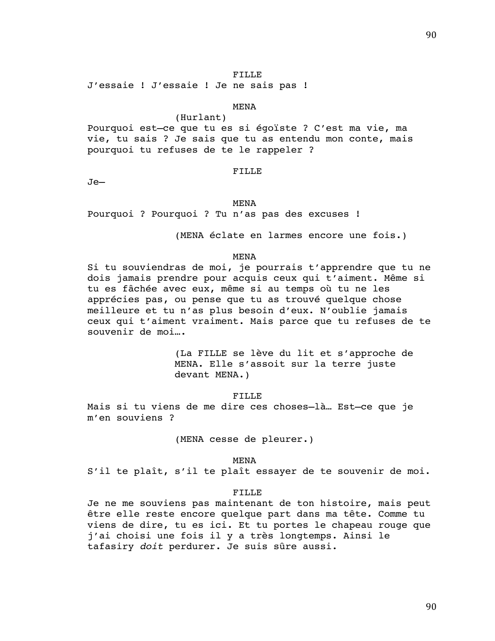J'essaie ! J'essaie ! Je ne sais pas !

# MENA

(Hurlant) Pourquoi est–ce que tu es si égoïste ? C'est ma vie, ma vie, tu sais ? Je sais que tu as entendu mon conte, mais pourquoi tu refuses de te le rappeler ?

FILLE

Je–

#### MENA

Pourquoi ? Pourquoi ? Tu n'as pas des excuses !

(MENA éclate en larmes encore une fois.)

#### MENA

Si tu souviendras de moi, je pourrais t'apprendre que tu ne dois jamais prendre pour acquis ceux qui t'aiment. Même si tu es fâchée avec eux, même si au temps où tu ne les apprécies pas, ou pense que tu as trouvé quelque chose meilleure et tu n'as plus besoin d'eux. N'oublie jamais ceux qui t'aiment vraiment. Mais parce que tu refuses de te souvenir de moi….

> (La FILLE se lève du lit et s'approche de MENA. Elle s'assoit sur la terre juste devant MENA.)

#### FILLE

Mais si tu viens de me dire ces choses–là… Est–ce que je m'en souviens ?

(MENA cesse de pleurer.)

#### MENA

S'il te plaît, s'il te plaît essayer de te souvenir de moi.

#### FILLE

Je ne me souviens pas maintenant de ton histoire, mais peut être elle reste encore quelque part dans ma tête. Comme tu viens de dire, tu es ici. Et tu portes le chapeau rouge que j'ai choisi une fois il y a très longtemps. Ainsi le tafasiry *doit* perdurer. Je suis sûre aussi.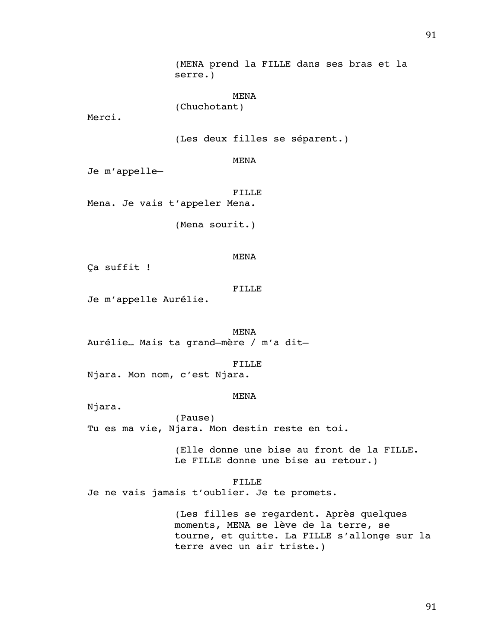(MENA prend la FILLE dans ses bras et la serre.)

MENA

(Chuchotant)

Merci.

(Les deux filles se séparent.)

MENA

Je m'appelle–

FILLE Mena. Je vais t'appeler Mena.

(Mena sourit.)

## MENA

Ça suffit !

### FILLE

Je m'appelle Aurélie.

MENA Aurélie… Mais ta grand–mère / m'a dit–

## FILLE

Njara. Mon nom, c'est Njara.

# MENA

Njara.

(Pause) Tu es ma vie, Njara. Mon destin reste en toi.

> (Elle donne une bise au front de la FILLE. Le FILLE donne une bise au retour.)

#### FILLE

Je ne vais jamais t'oublier. Je te promets.

(Les filles se regardent. Après quelques moments, MENA se lève de la terre, se tourne, et quitte. La FILLE s'allonge sur la terre avec un air triste.)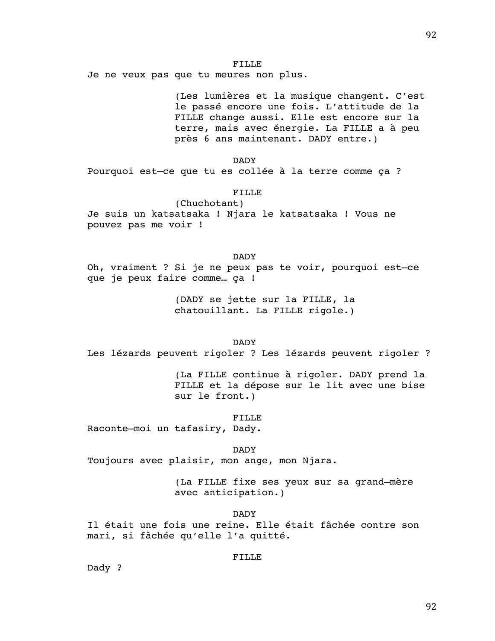Je ne veux pas que tu meures non plus.

(Les lumières et la musique changent. C'est le passé encore une fois. L'attitude de la FILLE change aussi. Elle est encore sur la terre, mais avec énergie. La FILLE a à peu près 6 ans maintenant. DADY entre.)

DADY

Pourquoi est–ce que tu es collée à la terre comme ça ?

# FILLE

(Chuchotant) Je suis un katsatsaka ! Njara le katsatsaka ! Vous ne pouvez pas me voir !

DADY Oh, vraiment ? Si je ne peux pas te voir, pourquoi est–ce que je peux faire comme… ça !

> (DADY se jette sur la FILLE, la chatouillant. La FILLE rigole.)

## DADY

Les lézards peuvent rigoler ? Les lézards peuvent rigoler ?

(La FILLE continue à rigoler. DADY prend la FILLE et la dépose sur le lit avec une bise sur le front.)

## FILLE

Raconte–moi un tafasiry, Dady.

#### DADY

Toujours avec plaisir, mon ange, mon Njara.

(La FILLE fixe ses yeux sur sa grand–mère avec anticipation.)

## DADY

Il était une fois une reine. Elle était fâchée contre son mari, si fâchée qu'elle l'a quitté.

# FILLE

Dady ?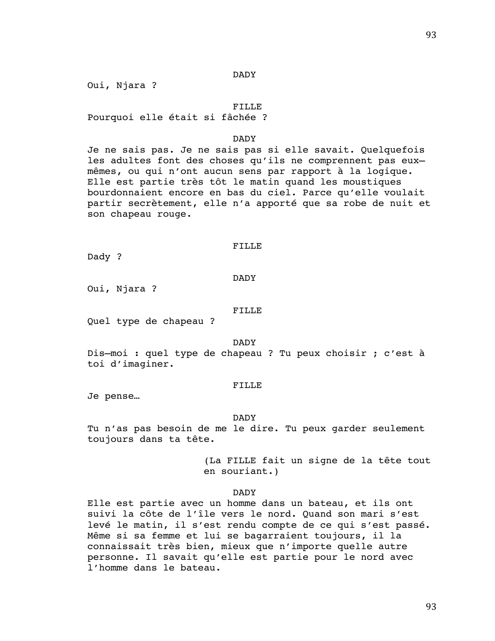## DADY

Oui, Njara ?

## FILLE

Pourquoi elle était si fâchée ?

# DADY

Je ne sais pas. Je ne sais pas si elle savait. Quelquefois les adultes font des choses qu'ils ne comprennent pas eux– mêmes, ou qui n'ont aucun sens par rapport à la logique. Elle est partie très tôt le matin quand les moustiques bourdonnaient encore en bas du ciel. Parce qu'elle voulait partir secrètement, elle n'a apporté que sa robe de nuit et son chapeau rouge.

## FILLE

Dady ?

DADY

Oui, Njara ?

## FILLE

Quel type de chapeau ?

#### DADY

Dis–moi : quel type de chapeau ? Tu peux choisir ; c'est à toi d'imaginer.

## FILLE

Je pense…

### DADY

Tu n'as pas besoin de me le dire. Tu peux garder seulement toujours dans ta tête.

> (La FILLE fait un signe de la tête tout en souriant.)

# DADY

Elle est partie avec un homme dans un bateau, et ils ont suivi la côte de l'île vers le nord. Quand son mari s'est levé le matin, il s'est rendu compte de ce qui s'est passé. Même si sa femme et lui se bagarraient toujours, il la connaissait très bien, mieux que n'importe quelle autre personne. Il savait qu'elle est partie pour le nord avec l'homme dans le bateau.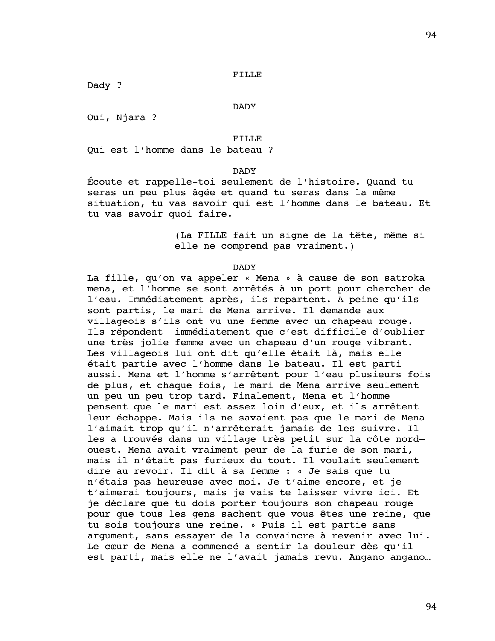Dady ?

DADY

Oui, Njara ?

FILLE

Qui est l'homme dans le bateau ?

DADY

Écoute et rappelle-toi seulement de l'histoire. Quand tu seras un peu plus âgée et quand tu seras dans la même situation, tu vas savoir qui est l'homme dans le bateau. Et tu vas savoir quoi faire.

> (La FILLE fait un signe de la tête, même si elle ne comprend pas vraiment.)

### DADY

La fille, qu'on va appeler « Mena » à cause de son satroka mena, et l'homme se sont arrêtés à un port pour chercher de l'eau. Immédiatement après, ils repartent. A peine qu'ils sont partis, le mari de Mena arrive. Il demande aux villageois s'ils ont vu une femme avec un chapeau rouge. Ils répondent immédiatement que c'est difficile d'oublier une très jolie femme avec un chapeau d'un rouge vibrant. Les villageois lui ont dit qu'elle était là, mais elle était partie avec l'homme dans le bateau. Il est parti aussi. Mena et l'homme s'arrêtent pour l'eau plusieurs fois de plus, et chaque fois, le mari de Mena arrive seulement un peu un peu trop tard. Finalement, Mena et l'homme pensent que le mari est assez loin d'eux, et ils arrêtent leur échappe. Mais ils ne savaient pas que le mari de Mena l'aimait trop qu'il n'arrêterait jamais de les suivre. Il les a trouvés dans un village très petit sur la côte nord– ouest. Mena avait vraiment peur de la furie de son mari, mais il n'était pas furieux du tout. Il voulait seulement dire au revoir. Il dit à sa femme : « Je sais que tu n'étais pas heureuse avec moi. Je t'aime encore, et je t'aimerai toujours, mais je vais te laisser vivre ici. Et je déclare que tu dois porter toujours son chapeau rouge pour que tous les gens sachent que vous êtes une reine, que tu sois toujours une reine. » Puis il est partie sans argument, sans essayer de la convaincre à revenir avec lui. Le cœur de Mena a commencé a sentir la douleur dès qu'il est parti, mais elle ne l'avait jamais revu. Angano angano…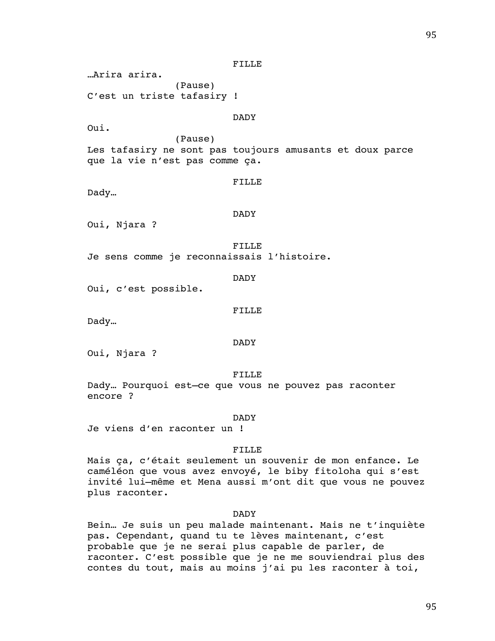…Arira arira.

(Pause) C'est un triste tafasiry !

## DADY

Oui.

(Pause) Les tafasiry ne sont pas toujours amusants et doux parce que la vie n'est pas comme ça.

#### FILLE

Dady…

# DADY

Oui, Njara ?

FILLE Je sens comme je reconnaissais l'histoire.

DADY

Oui, c'est possible.

FILLE

Dady…

DADY

Oui, Njara ?

FILLE

Dady… Pourquoi est–ce que vous ne pouvez pas raconter encore ?

### DADY

Je viens d'en raconter un !

# FILLE

Mais ça, c'était seulement un souvenir de mon enfance. Le caméléon que vous avez envoyé, le biby fitoloha qui s'est invité lui–même et Mena aussi m'ont dit que vous ne pouvez plus raconter.

## DADY

Bein… Je suis un peu malade maintenant. Mais ne t'inquiète pas. Cependant, quand tu te lèves maintenant, c'est probable que je ne serai plus capable de parler, de raconter. C'est possible que je ne me souviendrai plus des contes du tout, mais au moins j'ai pu les raconter à toi,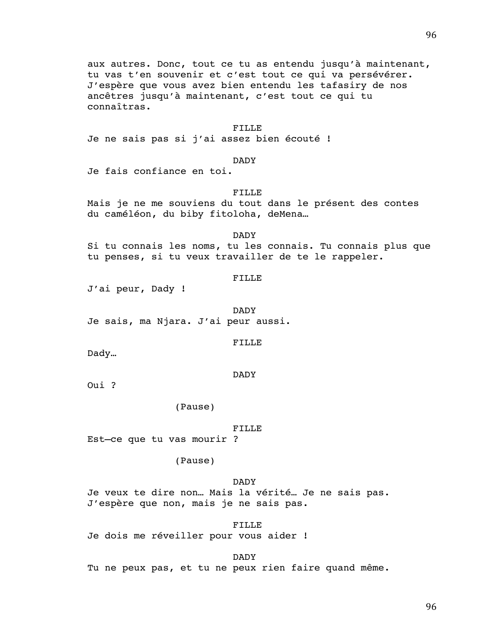aux autres. Donc, tout ce tu as entendu jusqu'à maintenant, tu vas t'en souvenir et c'est tout ce qui va persévérer. J'espère que vous avez bien entendu les tafasiry de nos ancêtres jusqu'à maintenant, c'est tout ce qui tu connaîtras.

### FILLE

Je ne sais pas si j'ai assez bien écouté !

## DADY

Je fais confiance en toi.

# FILLE

Mais je ne me souviens du tout dans le présent des contes du caméléon, du biby fitoloha, deMena…

DADY

Si tu connais les noms, tu les connais. Tu connais plus que tu penses, si tu veux travailler de te le rappeler.

### FILLE

J'ai peur, Dady !

DADY Je sais, ma Njara. J'ai peur aussi.

#### FILLE

Dady…

#### DADY

Oui ?

(Pause)

#### FILLE

Est–ce que tu vas mourir ?

# (Pause)

DADY

Je veux te dire non… Mais la vérité… Je ne sais pas. J'espère que non, mais je ne sais pas.

FILLE

Je dois me réveiller pour vous aider !

DADY

Tu ne peux pas, et tu ne peux rien faire quand même.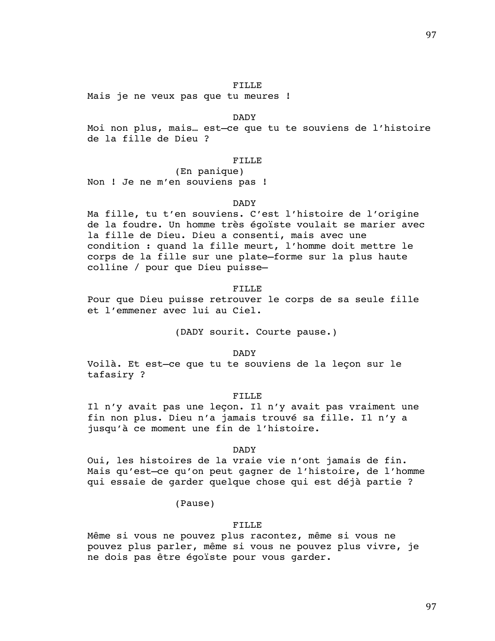Mais je ne veux pas que tu meures !

#### DADY

Moi non plus, mais… est–ce que tu te souviens de l'histoire de la fille de Dieu ?

# FILLE

(En panique) Non ! Je ne m'en souviens pas !

#### DADY

Ma fille, tu t'en souviens. C'est l'histoire de l'origine de la foudre. Un homme très égoïste voulait se marier avec la fille de Dieu. Dieu a consenti, mais avec une condition : quand la fille meurt, l'homme doit mettre le corps de la fille sur une plate–forme sur la plus haute colline / pour que Dieu puisse–

#### FILLE

Pour que Dieu puisse retrouver le corps de sa seule fille et l'emmener avec lui au Ciel.

(DADY sourit. Courte pause.)

## DADY

Voilà. Et est–ce que tu te souviens de la leçon sur le tafasiry ?

#### FILLE

Il n'y avait pas une leçon. Il n'y avait pas vraiment une fin non plus. Dieu n'a jamais trouvé sa fille. Il n'y a jusqu'à ce moment une fin de l'histoire.

## DADY

Oui, les histoires de la vraie vie n'ont jamais de fin. Mais qu'est–ce qu'on peut gagner de l'histoire, de l'homme qui essaie de garder quelque chose qui est déjà partie ?

(Pause)

## FILLE

Même si vous ne pouvez plus racontez, même si vous ne pouvez plus parler, même si vous ne pouvez plus vivre, je ne dois pas être égoïste pour vous garder.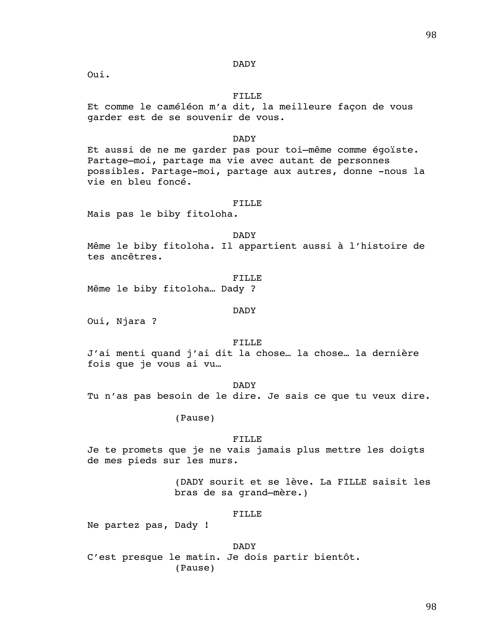### DADY

Oui.

# FILLE

Et comme le caméléon m'a dit, la meilleure façon de vous garder est de se souvenir de vous.

# DADY

Et aussi de ne me garder pas pour toi–même comme égoïste. Partage–moi, partage ma vie avec autant de personnes possibles. Partage-moi, partage aux autres, donne -nous la vie en bleu foncé.

#### FILLE

Mais pas le biby fitoloha.

#### DADY

Même le biby fitoloha. Il appartient aussi à l'histoire de tes ancêtres.

#### FILLE

Même le biby fitoloha… Dady ?

#### DADY

Oui, Njara ?

#### FILLE

J'ai menti quand j'ai dit la chose… la chose… la dernière fois que je vous ai vu…

DADY

Tu n'as pas besoin de le dire. Je sais ce que tu veux dire.

(Pause)

# FILLE

Je te promets que je ne vais jamais plus mettre les doigts de mes pieds sur les murs.

> (DADY sourit et se lève. La FILLE saisit les bras de sa grand–mère.)

#### FILLE

Ne partez pas, Dady !

DADY C'est presque le matin. Je dois partir bientôt. (Pause)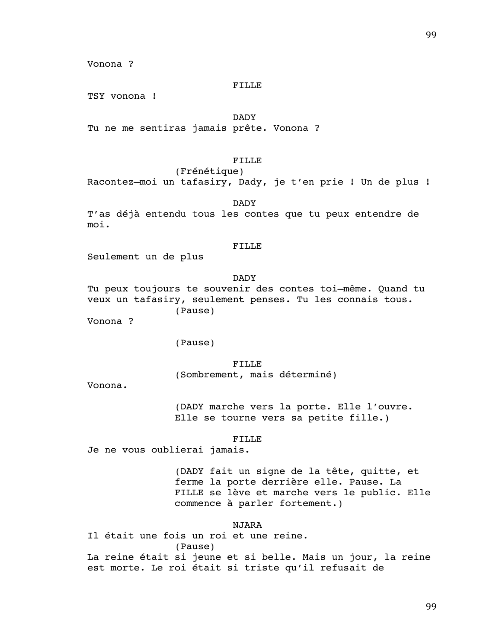Vonona ?

# FILLE

TSY vonona !

DADY

Tu ne me sentiras jamais prête. Vonona ?

# FILLE

(Frénétique) Racontez–moi un tafasiry, Dady, je t'en prie ! Un de plus !

DADY

T'as déjà entendu tous les contes que tu peux entendre de moi.

## FILLE

Seulement un de plus

DADY

Tu peux toujours te souvenir des contes toi–même. Quand tu veux un tafasiry, seulement penses. Tu les connais tous. (Pause)

Vonona ?

(Pause)

FILLE (Sombrement, mais déterminé)

Vonona.

(DADY marche vers la porte. Elle l'ouvre. Elle se tourne vers sa petite fille.)

FILLE

Je ne vous oublierai jamais.

(DADY fait un signe de la tête, quitte, et ferme la porte derrière elle. Pause. La FILLE se lève et marche vers le public. Elle commence à parler fortement.)

# NJARA

Il était une fois un roi et une reine. (Pause) La reine était si jeune et si belle. Mais un jour, la reine est morte. Le roi était si triste qu'il refusait de